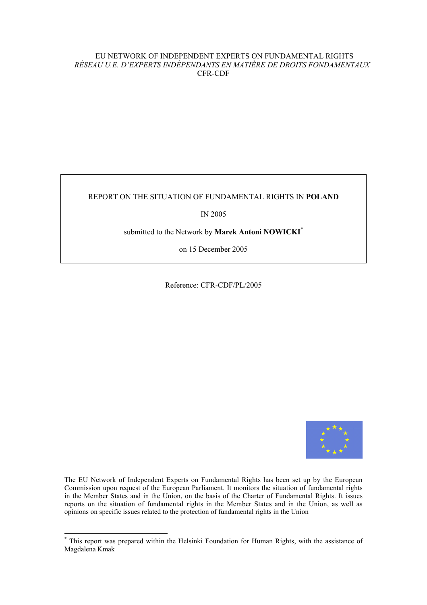## EU NETWORK OF INDEPENDENT EXPERTS ON FUNDAMENTAL RIGHTS *RÉSEAU U.E. D'EXPERTS INDÉPENDANTS EN MATIÈRE DE DROITS FONDAMENTAUX* CFR-CDF

## REPORT ON THE SITUATION OF FUNDAMENTAL RIGHTS IN POLAND

IN 2005

submitted to the Network by Marek Antoni NOWICKI<sup>\*</sup>

on 15 December 2005

Reference: CFR-CDF/PL/2005



The EU Network of Independent Experts on Fundamental Rights has been set up by the European Commission upon request of the European Parliament. It monitors the situation of fundamental rights in the Member States and in the Union, on the basis of the Charter of Fundamental Rights. It issues reports on the situation of fundamental rights in the Member States and in the Union, as well as opinions on specific issues related to the protection of fundamental rights in the Union

 <sup>\*</sup> This report was prepared within the Helsinki Foundation for Human Rights, with the assistance of Magdalena Kmak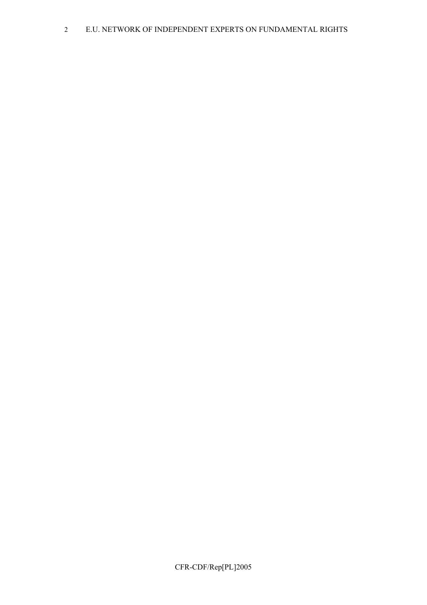CFR-CDF/Rep[PL]2005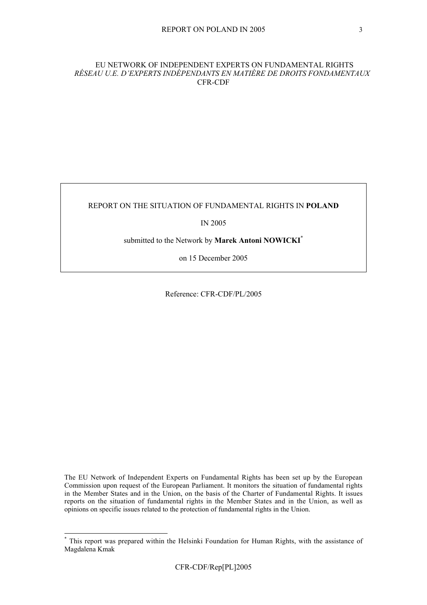## EU NETWORK OF INDEPENDENT EXPERTS ON FUNDAMENTAL RIGHTS *RÉSEAU U.E. D'EXPERTS INDÉPENDANTS EN MATIÈRE DE DROITS FONDAMENTAUX* CFR-CDF

## REPORT ON THE SITUATION OF FUNDAMENTAL RIGHTS IN POLAND

IN 2005

## submitted to the Network by Marek Antoni NOWICKI<sup>\*</sup>

on 15 December 2005

Reference: CFR-CDF/PL/2005

The EU Network of Independent Experts on Fundamental Rights has been set up by the European Commission upon request of the European Parliament. It monitors the situation of fundamental rights in the Member States and in the Union, on the basis of the Charter of Fundamental Rights. It issues reports on the situation of fundamental rights in the Member States and in the Union, as well as opinions on specific issues related to the protection of fundamental rights in the Union.

 <sup>\*</sup> This report was prepared within the Helsinki Foundation for Human Rights, with the assistance of Magdalena Kmak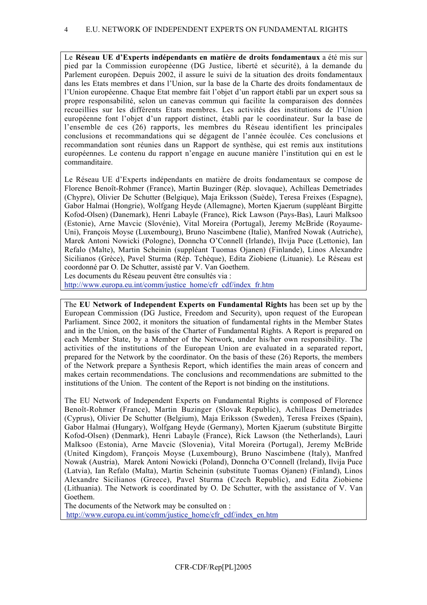Le Réseau UE d'Experts indépendants en matière de droits fondamentaux a été mis sur pied par la Commission européenne (DG Justice, liberté et sécurité), à la demande du Parlement européen. Depuis 2002, il assure le suivi de la situation des droits fondamentaux dans les Etats membres et dans l'Union, sur la base de la Charte des droits fondamentaux de l'Union européenne. Chaque Etat membre fait l'objet d'un rapport établi par un expert sous sa propre responsabilité, selon un canevas commun qui facilite la comparaison des données recueillies sur les différents Etats membres. Les activités des institutions de l'Union européenne font l'objet d'un rapport distinct, établi par le coordinateur. Sur la base de l'ensemble de ces (26) rapports, les membres du Réseau identifient les principales conclusions et recommandations qui se dégagent de l'année écoulée. Ces conclusions et recommandation sont réunies dans un Rapport de synthèse, qui est remis aux institutions européennes. Le contenu du rapport n'engage en aucune manière l'institution qui en est le commanditaire.

Le Réseau UE d'Experts indépendants en matière de droits fondamentaux se compose de Florence Benoît-Rohmer (France), Martin Buzinger (Rép. slovaque), Achilleas Demetriades (Chypre), Olivier De Schutter (Belgique), Maja Eriksson (Suède), Teresa Freixes (Espagne), Gabor Halmai (Hongrie), Wolfgang Heyde (Allemagne), Morten Kjaerum (suppléant Birgitte Kofod-Olsen) (Danemark), Henri Labayle (France), Rick Lawson (Pays-Bas), Lauri Malksoo (Estonie), Arne Mavcic (Slovénie), Vital Moreira (Portugal), Jeremy McBride (Royaume-Uni), François Moyse (Luxembourg), Bruno Nascimbene (Italie), Manfred Nowak (Autriche), Marek Antoni Nowicki (Pologne), Donncha O'Connell (Irlande), Ilvija Puce (Lettonie), Ian Refalo (Malte), Martin Scheinin (suppléant Tuomas Ojanen) (Finlande), Linos Alexandre Sicilianos (Grèce), Pavel Sturma (Rép. Tchèque), Edita Ziobiene (Lituanie). Le Réseau est coordonné par O. De Schutter, assisté par V. Van Goethem. Les documents du Réseau peuvent être consultés via :

http://www.europa.eu.int/comm/justice\_home/cfr\_cdf/index\_fr.htm

The EU Network of Independent Experts on Fundamental Rights has been set up by the European Commission (DG Justice, Freedom and Security), upon request of the European Parliament. Since 2002, it monitors the situation of fundamental rights in the Member States and in the Union, on the basis of the Charter of Fundamental Rights. A Report is prepared on each Member State, by a Member of the Network, under his/her own responsibility. The activities of the institutions of the European Union are evaluated in a separated report, prepared for the Network by the coordinator. On the basis of these (26) Reports, the members of the Network prepare a Synthesis Report, which identifies the main areas of concern and makes certain recommendations. The conclusions and recommendations are submitted to the institutions of the Union. The content of the Report is not binding on the institutions.

The EU Network of Independent Experts on Fundamental Rights is composed of Florence Benoît-Rohmer (France), Martin Buzinger (Slovak Republic), Achilleas Demetriades (Cyprus), Olivier De Schutter (Belgium), Maja Eriksson (Sweden), Teresa Freixes (Spain), Gabor Halmai (Hungary), Wolfgang Heyde (Germany), Morten Kjaerum (substitute Birgitte Kofod-Olsen) (Denmark), Henri Labayle (France), Rick Lawson (the Netherlands), Lauri Malksoo (Estonia), Arne Mavcic (Slovenia), Vital Moreira (Portugal), Jeremy McBride (United Kingdom), François Moyse (Luxembourg), Bruno Nascimbene (Italy), Manfred Nowak (Austria), Marek Antoni Nowicki (Poland), Donncha O'Connell (Ireland), Ilvija Puce (Latvia), Ian Refalo (Malta), Martin Scheinin (substitute Tuomas Ojanen) (Finland), Linos Alexandre Sicilianos (Greece), Pavel Sturma (Czech Republic), and Edita Ziobiene (Lithuania). The Network is coordinated by O. De Schutter, with the assistance of V. Van Goethem.

The documents of the Network may be consulted on :

http://www.europa.eu.int/comm/justice\_home/cfr\_cdf/index\_en.htm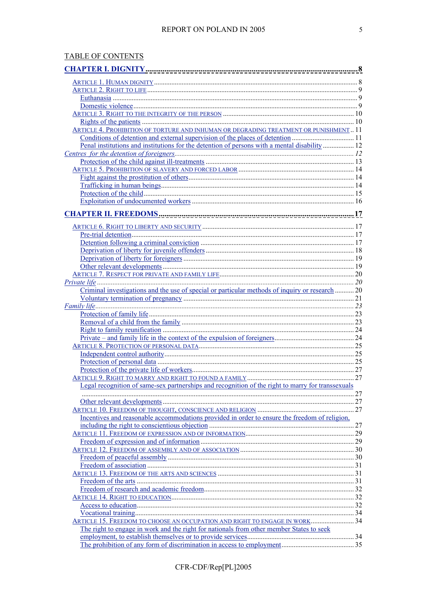# **TABLE OF CONTENTS**

| ARTICLE 4. PROHIBITION OF TORTURE AND INHUMAN OR DEGRADING TREATMENT OR PUNISHMENT 11             |  |
|---------------------------------------------------------------------------------------------------|--|
|                                                                                                   |  |
| Penal institutions and institutions for the detention of persons with a mental disability 12      |  |
|                                                                                                   |  |
|                                                                                                   |  |
|                                                                                                   |  |
|                                                                                                   |  |
|                                                                                                   |  |
|                                                                                                   |  |
|                                                                                                   |  |
|                                                                                                   |  |
|                                                                                                   |  |
|                                                                                                   |  |
|                                                                                                   |  |
|                                                                                                   |  |
|                                                                                                   |  |
|                                                                                                   |  |
|                                                                                                   |  |
|                                                                                                   |  |
| Criminal investigations and the use of special or particular methods of inquiry or research  20   |  |
|                                                                                                   |  |
|                                                                                                   |  |
|                                                                                                   |  |
|                                                                                                   |  |
|                                                                                                   |  |
|                                                                                                   |  |
|                                                                                                   |  |
|                                                                                                   |  |
|                                                                                                   |  |
|                                                                                                   |  |
| Legal recognition of same-sex partnerships and recognition of the right to marry for transsexuals |  |
|                                                                                                   |  |
|                                                                                                   |  |
|                                                                                                   |  |
| Incentives and reasonable accommodations provided in order to ensure the freedom of religion,     |  |
|                                                                                                   |  |
|                                                                                                   |  |
|                                                                                                   |  |
|                                                                                                   |  |
|                                                                                                   |  |
|                                                                                                   |  |
|                                                                                                   |  |
|                                                                                                   |  |
|                                                                                                   |  |
|                                                                                                   |  |
|                                                                                                   |  |
|                                                                                                   |  |
| ARTICLE 15. FREEDOM TO CHOOSE AN OCCUPATION AND RIGHT TO ENGAGE IN WORK 34                        |  |
| The right to engage in work and the right for nationals from other member States to seek          |  |
|                                                                                                   |  |
|                                                                                                   |  |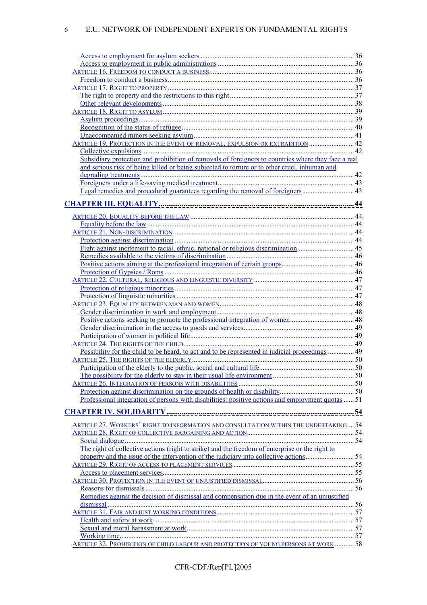| ARTICLE 19. PROTECTION IN THE EVENT OF REMOVAL, EXPULSION OR EXTRADITION  42                             |  |
|----------------------------------------------------------------------------------------------------------|--|
|                                                                                                          |  |
| Subsidiary protection and prohibition of removals of foreigners to countries where they face a real      |  |
| and serious risk of being killed or being subjected to torture or to other cruel, inhuman and            |  |
|                                                                                                          |  |
|                                                                                                          |  |
|                                                                                                          |  |
| Legal remedies and procedural guarantees regarding the removal of foreigners 43                          |  |
|                                                                                                          |  |
|                                                                                                          |  |
|                                                                                                          |  |
|                                                                                                          |  |
|                                                                                                          |  |
|                                                                                                          |  |
|                                                                                                          |  |
|                                                                                                          |  |
|                                                                                                          |  |
|                                                                                                          |  |
|                                                                                                          |  |
|                                                                                                          |  |
|                                                                                                          |  |
|                                                                                                          |  |
|                                                                                                          |  |
|                                                                                                          |  |
|                                                                                                          |  |
|                                                                                                          |  |
|                                                                                                          |  |
| Possibility for the child to be heard, to act and to be represented in judicial proceedings  49          |  |
|                                                                                                          |  |
|                                                                                                          |  |
|                                                                                                          |  |
|                                                                                                          |  |
|                                                                                                          |  |
| <u>Professional integration of persons with disabilities: positive actions and employment quotas  51</u> |  |
|                                                                                                          |  |
|                                                                                                          |  |
| ARTICLE 27. WORKERS' RIGHT TO INFORMATION AND CONSULTATION WITHIN THE UNDERTAKING 54                     |  |
|                                                                                                          |  |
|                                                                                                          |  |
| The right of collective actions (right to strike) and the freedom of enterprise or the right to          |  |
|                                                                                                          |  |
|                                                                                                          |  |
|                                                                                                          |  |
|                                                                                                          |  |
|                                                                                                          |  |
|                                                                                                          |  |
| Remedies against the decision of dismissal and compensation due in the event of an unjustified           |  |
|                                                                                                          |  |
|                                                                                                          |  |
|                                                                                                          |  |
|                                                                                                          |  |
|                                                                                                          |  |
| ARTICLE 32. PROHIBITION OF CHILD LABOUR AND PROTECTION OF YOUNG PERSONS AT WORK  58                      |  |

CFR-CDF/Rep[PL]2005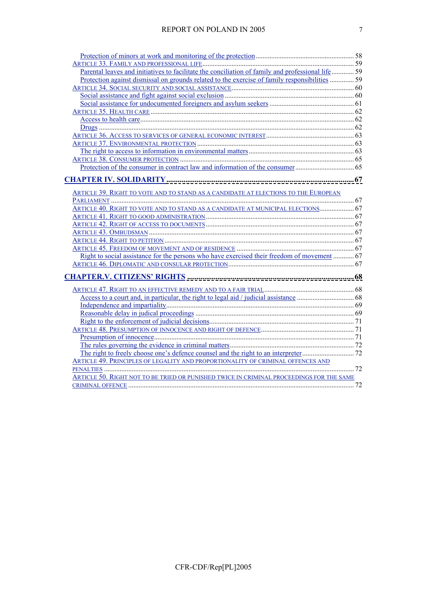| Parental leaves and initiatives to facilitate the conciliation of family and professional life 59 |  |
|---------------------------------------------------------------------------------------------------|--|
| Protection against dismissal on grounds related to the exercise of family responsibilities  59    |  |
|                                                                                                   |  |
|                                                                                                   |  |
|                                                                                                   |  |
|                                                                                                   |  |
|                                                                                                   |  |
|                                                                                                   |  |
|                                                                                                   |  |
|                                                                                                   |  |
|                                                                                                   |  |
|                                                                                                   |  |
|                                                                                                   |  |
|                                                                                                   |  |
|                                                                                                   |  |
| ARTICLE 39. RIGHT TO VOTE AND TO STAND AS A CANDIDATE AT ELECTIONS TO THE EUROPEAN                |  |
|                                                                                                   |  |
| ARTICLE 40. RIGHT TO VOTE AND TO STAND AS A CANDIDATE AT MUNICIPAL ELECTIONS 67                   |  |
|                                                                                                   |  |
|                                                                                                   |  |
|                                                                                                   |  |
|                                                                                                   |  |
|                                                                                                   |  |
| Right to social assistance for the persons who have exercised their freedom of movement  67       |  |
|                                                                                                   |  |
|                                                                                                   |  |
|                                                                                                   |  |
|                                                                                                   |  |
|                                                                                                   |  |
|                                                                                                   |  |
|                                                                                                   |  |
|                                                                                                   |  |
|                                                                                                   |  |
|                                                                                                   |  |
|                                                                                                   |  |
|                                                                                                   |  |
| ARTICLE 49. PRINCIPLES OF LEGALITY AND PROPORTIONALITY OF CRIMINAL OFFENCES AND                   |  |
|                                                                                                   |  |
| ARTICLE 50. RIGHT NOT TO BE TRIED OR PUNISHED TWICE IN CRIMINAL PROCEEDINGS FOR THE SAME          |  |
|                                                                                                   |  |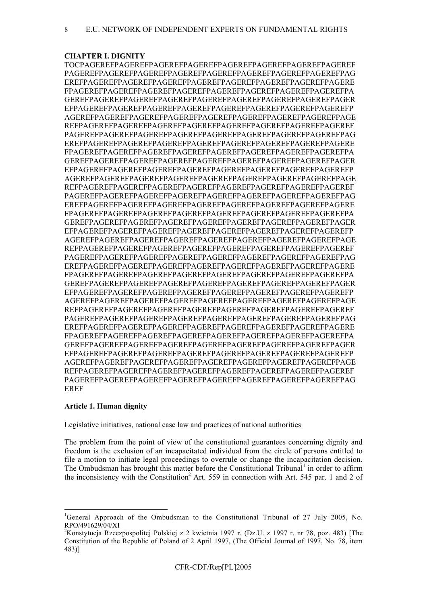## CHAPTER I. DIGNITY

TOCPAGEREFPAGEREFPAGEREFPAGEREFPAGEREFPAGEREFPAGEREFPAGEREF PAGEREFPAGEREFPAGEREFPAGEREFPAGEREFPAGEREFPAGEREFPAGEREFPAG EREFPAGEREFPAGEREFPAGEREFPAGEREFPAGEREFPAGEREFPAGEREFPAGERE FPAGEREFPAGEREFPAGEREFPAGEREFPAGEREFPAGEREFPAGEREFPAGEREFPA GEREFPAGEREFPAGEREFPAGEREFPAGEREFPAGEREFPAGEREFPAGEREFPAGER EFPAGEREFPAGEREFPAGEREFPAGEREFPAGEREFPAGEREFPAGEREFPAGEREFP AGEREFPAGEREFPAGEREFPAGEREFPAGEREFPAGEREFPAGEREFPAGEREFPAGE REFPAGEREFPAGEREFPAGEREFPAGEREFPAGEREFPAGEREFPAGEREFPAGEREF PAGEREFPAGEREFPAGEREFPAGEREFPAGEREFPAGEREFPAGEREFPAGEREFPAG EREFPAGEREFPAGEREFPAGEREFPAGEREFPAGEREFPAGEREFPAGEREFPAGERE FPAGEREFPAGEREFPAGEREFPAGEREFPAGEREFPAGEREFPAGEREFPAGEREFPA GEREFPAGEREFPAGEREFPAGEREFPAGEREFPAGEREFPAGEREFPAGEREFPAGER EFPAGEREFPAGEREFPAGEREFPAGEREFPAGEREFPAGEREFPAGEREFPAGEREFP AGEREFPAGEREFPAGEREFPAGEREFPAGEREFPAGEREFPAGEREFPAGEREFPAGE REFPAGEREFPAGEREFPAGEREFPAGEREFPAGEREFPAGEREFPAGEREFPAGEREF PAGEREFPAGEREFPAGEREFPAGEREFPAGEREFPAGEREFPAGEREFPAGEREFPAG EREFPAGEREFPAGEREFPAGEREFPAGEREFPAGEREFPAGEREFPAGEREFPAGERE FPAGEREFPAGEREFPAGEREFPAGEREFPAGEREFPAGEREFPAGEREFPAGEREFPA GEREFPAGEREFPAGEREFPAGEREFPAGEREFPAGEREFPAGEREFPAGEREFPAGER EFPAGEREFPAGEREFPAGEREFPAGEREFPAGEREFPAGEREFPAGEREFPAGEREFP AGEREFPAGEREFPAGEREFPAGEREFPAGEREFPAGEREFPAGEREFPAGEREFPAGE REFPAGEREFPAGEREFPAGEREFPAGEREFPAGEREFPAGEREFPAGEREFPAGEREF PAGEREFPAGEREFPAGEREFPAGEREFPAGEREFPAGEREFPAGEREFPAGEREFPAG EREFPAGEREFPAGEREFPAGEREFPAGEREFPAGEREFPAGEREFPAGEREFPAGERE FPAGEREFPAGEREFPAGEREFPAGEREFPAGEREFPAGEREFPAGEREFPAGEREFPA GEREFPAGEREFPAGEREFPAGEREFPAGEREFPAGEREFPAGEREFPAGEREFPAGER EFPAGEREFPAGEREFPAGEREFPAGEREFPAGEREFPAGEREFPAGEREFPAGEREFP AGEREFPAGEREFPAGEREFPAGEREFPAGEREFPAGEREFPAGEREFPAGEREFPAGE REFPAGEREFPAGEREFPAGEREFPAGEREFPAGEREFPAGEREFPAGEREFPAGEREF PAGEREFPAGEREFPAGEREFPAGEREFPAGEREFPAGEREFPAGEREFPAGEREFPAG EREFPAGEREFPAGEREFPAGEREFPAGEREFPAGEREFPAGEREFPAGEREFPAGERE FPAGEREFPAGEREFPAGEREFPAGEREFPAGEREFPAGEREFPAGEREFPAGEREFPA GEREFPAGEREFPAGEREFPAGEREFPAGEREFPAGEREFPAGEREFPAGEREFPAGER EFPAGEREFPAGEREFPAGEREFPAGEREFPAGEREFPAGEREFPAGEREFPAGEREFP AGEREFPAGEREFPAGEREFPAGEREFPAGEREFPAGEREFPAGEREFPAGEREFPAGE REFPAGEREFPAGEREFPAGEREFPAGEREFPAGEREFPAGEREFPAGEREFPAGEREF PAGEREFPAGEREFPAGEREFPAGEREFPAGEREFPAGEREFPAGEREFPAGEREFPAG EREF

### Article 1. Human dignity

Legislative initiatives, national case law and practices of national authorities

The problem from the point of view of the constitutional guarantees concerning dignity and freedom is the exclusion of an incapacitated individual from the circle of persons entitled to file a motion to initiate legal proceedings to overrule or change the incapacitation decision. The Ombudsman has brought this matter before the Constitutional Tribunal<sup>1</sup> in order to affirm the inconsistency with the Constitution<sup>2</sup> Art. 559 in connection with Art. 545 par. 1 and 2 of

 $\frac{1}{1}$ <sup>1</sup>General Approach of the Ombudsman to the Constitutional Tribunal of 27 July 2005, No. RPO/491629/04/XI

<sup>2</sup> Konstytucja Rzeczpospolitej Polskiej z 2 kwietnia 1997 r. (Dz.U. z 1997 r. nr 78, poz. 483) [The Constitution of the Republic of Poland of 2 April 1997, (The Official Journal of 1997, No. 78, item 483)]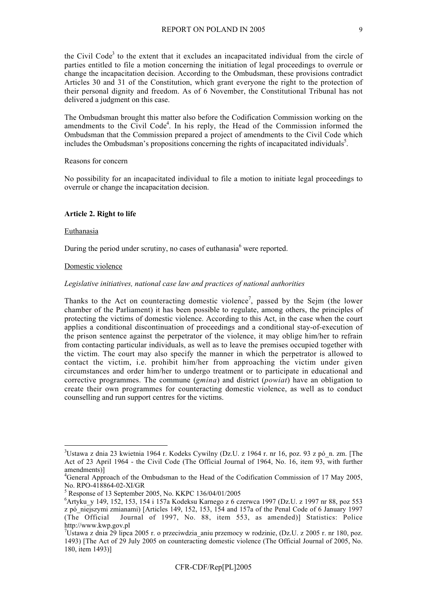the Civil Code<sup>3</sup> to the extent that it excludes an incapacitated individual from the circle of parties entitled to file a motion concerning the initiation of legal proceedings to overrule or change the incapacitation decision. According to the Ombudsman, these provisions contradict Articles 30 and 31 of the Constitution, which grant everyone the right to the protection of their personal dignity and freedom. As of 6 November, the Constitutional Tribunal has not delivered a judgment on this case.

The Ombudsman brought this matter also before the Codification Commission working on the amendments to the Civil Code<sup>4</sup>. In his reply, the Head of the Commission informed the Ombudsman that the Commission prepared a project of amendments to the Civil Code which includes the Ombudsman's propositions concerning the rights of incapacitated individuals<sup>5</sup>.

#### Reasons for concern

No possibility for an incapacitated individual to file a motion to initiate legal proceedings to overrule or change the incapacitation decision.

#### Article 2. Right to life

#### **Euthanasia**

During the period under scrutiny, no cases of euthanasia<sup>6</sup> were reported.

#### Domestic violence

#### *Legislative initiatives, national case law and practices of national authorities*

Thanks to the Act on counteracting domestic violence<sup>7</sup>, passed by the Sejm (the lower chamber of the Parliament) it has been possible to regulate, among others, the principles of protecting the victims of domestic violence. According to this Act, in the case when the court applies a conditional discontinuation of proceedings and a conditional stay-of-execution of the prison sentence against the perpetrator of the violence, it may oblige him/her to refrain from contacting particular individuals, as well as to leave the premises occupied together with the victim. The court may also specify the manner in which the perpetrator is allowed to contact the victim, i.e. prohibit him/her from approaching the victim under given circumstances and order him/her to undergo treatment or to participate in educational and corrective programmes. The commune (*gmina*) and district (*powiat*) have an obligation to create their own programmes for counteracting domestic violence, as well as to conduct counselling and run support centres for the victims.

<sup>&</sup>lt;sup>2</sup><br>3 <sup>3</sup>Ustawa z dnia 23 kwietnia 1964 r. Kodeks Cywilny (Dz.U. z 1964 r. nr 16, poz. 93 z pó $n$ . zm. [The Act of 23 April 1964 - the Civil Code (The Official Journal of 1964, No. 16, item 93, with further amendments)]

<sup>&</sup>lt;sup>4</sup>General Approach of the Ombudsman to the Head of the Codification Commission of 17 May 2005, No. RPO-418864-02-XI/GR

<sup>5</sup> Response of 13 September 2005, No. KKPC 136/04/01/2005

<sup>6</sup> Artyku\_y 149, 152, 153, 154 i 157a Kodeksu Karnego z 6 czerwca 1997 (Dz.U. z 1997 nr 88, poz 553 z pó\_niejszymi zmianami) [Articles 149, 152, 153, 154 and 157a of the Penal Code of 6 January 1997 (The Official Journal of 1997, No. 88, item 553, as amended)] Statistics: Police http://www.kwp.gov.pl

<sup>7</sup> Ustawa z dnia 29 lipca 2005 r. o przeciwdzia\_aniu przemocy w rodzinie, (Dz.U. z 2005 r. nr 180, poz. 1493) [The Act of 29 July 2005 on counteracting domestic violence (The Official Journal of 2005, No. 180, item 1493)]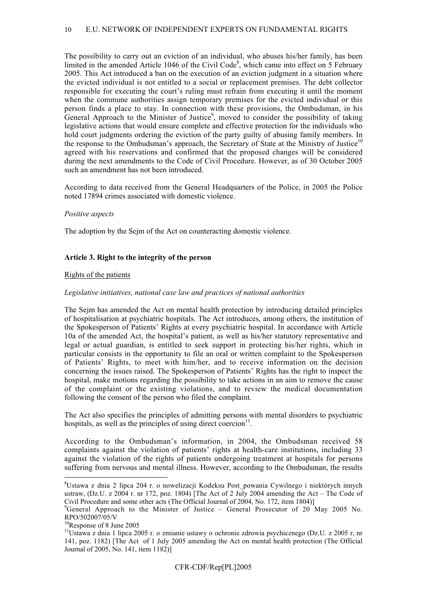The possibility to carry out an eviction of an individual, who abuses his/her family, has been limited in the amended Article 1046 of the Civil Code<sup>8</sup>, which came into effect on 5 February 2005. This Act introduced a ban on the execution of an eviction judgment in a situation where the evicted individual is not entitled to a social or replacement premises. The debt collector responsible for executing the court's ruling must refrain from executing it until the moment when the commune authorities assign temporary premises for the evicted individual or this person finds a place to stay. In connection with these provisions, the Ombudsman, in his General Approach to the Minister of Justice<sup>9</sup>, moved to consider the possibility of taking legislative actions that would ensure complete and effective protection for the individuals who hold court judgments ordering the eviction of the party guilty of abusing family members. In the response to the Ombudsman's approach, the Secretary of State at the Ministry of Justice<sup>10</sup> agreed with his reservations and confirmed that the proposed changes will be considered during the next amendments to the Code of Civil Procedure. However, as of 30 October 2005 such an amendment has not been introduced.

According to data received from the General Headquarters of the Police, in 2005 the Police noted 17894 crimes associated with domestic violence.

### *Positive aspects*

The adoption by the Sejm of the Act on counteracting domestic violence.

## Article 3. Right to the integrity of the person

### Rights of the patients

## *Legislative initiatives, national case law and practices of national authorities*

The Sejm has amended the Act on mental health protection by introducing detailed principles of hospitalisation at psychiatric hospitals. The Act introduces, among others, the institution of the Spokesperson of Patients' Rights at every psychiatric hospital. In accordance with Article 10a of the amended Act, the hospital's patient, as well as his/her statutory representative and legal or actual guardian, is entitled to seek support in protecting his/her rights, which in particular consists in the opportunity to file an oral or written complaint to the Spokesperson of Patients' Rights, to meet with him/her, and to receive information on the decision concerning the issues raised. The Spokesperson of Patients' Rights has the right to inspect the hospital, make motions regarding the possibility to take actions in an aim to remove the cause of the complaint or the existing violations, and to review the medical documentation following the consent of the person who filed the complaint.

The Act also specifies the principles of admitting persons with mental disorders to psychiatric hospitals, as well as the principles of using direct coercion $11$ .

According to the Ombudsman's information, in 2004, the Ombudsman received 58 complaints against the violation of patients' rights at health-care institutions, including 33 against the violation of the rights of patients undergoing treatment at hospitals for persons suffering from nervous and mental illness. However, according to the Ombudsman, the results

 <sup>8</sup> Ustawa z dnia 2 lipca 204 r. o nowelizacji Kodeksu Post\_powania Cywilnego i niektórych innych ustraw, (Dz.U. z 2004 r. nr 172, poz. 1804) [The Act of 2 July 2004 amending the Act – The Code of Civil Procedure and some other acts (The Official Journal of 2004, No. 172, item 1804)]

<sup>&</sup>lt;sup>9</sup>General Approach to the Minister of Justice – General Prosecutor of 20 May 2005 No.

RPO/502007/05/V<br><sup>10</sup>Response of 8 June 2005

<sup>11</sup> Ustawa z dnia 1 lipca 2005 r. o zmianie ustawy o ochronie zdrowia psychicznego (Dz.U. z 2005 r, nr 141, poz. 1182) [The Act of 1 July 2005 amending the Act on mental health protection (The Official Journal of 2005, No. 141, item 1182)]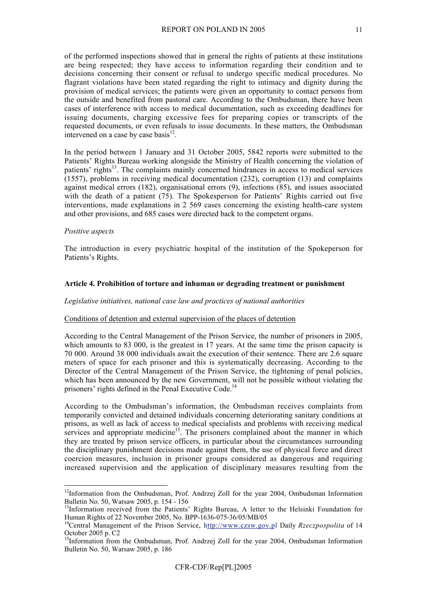of the performed inspections showed that in general the rights of patients at these institutions are being respected; they have access to information regarding their condition and to decisions concerning their consent or refusal to undergo specific medical procedures. No flagrant violations have been stated regarding the right to intimacy and dignity during the provision of medical services; the patients were given an opportunity to contact persons from the outside and benefited from pastoral care. According to the Ombudsman, there have been cases of interference with access to medical documentation, such as exceeding deadlines for issuing documents, charging excessive fees for preparing copies or transcripts of the requested documents, or even refusals to issue documents. In these matters, the Ombudsman intervened on a case by case basis<sup>12</sup>.

In the period between 1 January and 31 October 2005, 5842 reports were submitted to the Patients' Rights Bureau working alongside the Ministry of Health concerning the violation of patients' rights<sup>13</sup>. The complaints mainly concerned hindrances in access to medical services  $(1557)$ , problems in receiving medical documentation (232), corruption (13) and complaints against medical errors (182), organisational errors (9), infections (85), and issues associated with the death of a patient (75). The Spokesperson for Patients' Rights carried out five interventions, made explanations in 2 569 cases concerning the existing health-care system and other provisions, and 685 cases were directed back to the competent organs.

#### *Positive aspects*

The introduction in every psychiatric hospital of the institution of the Spokeperson for Patients's Rights.

#### Article 4. Prohibition of torture and inhuman or degrading treatment or punishment

#### *Legislative initiatives, national case law and practices of national authorities*

#### Conditions of detention and external supervision of the places of detention

According to the Central Management of the Prison Service, the number of prisoners in 2005, which amounts to 83 000, is the greatest in 17 years. At the same time the prison capacity is 70 000. Around 38 000 individuals await the execution of their sentence. There are 2.6 square meters of space for each prisoner and this is systematically decreasing. According to the Director of the Central Management of the Prison Service, the tightening of penal policies, which has been announced by the new Government, will not be possible without violating the prisoners' rights defined in the Penal Executive Code.<sup>14</sup>

According to the Ombudsman's information, the Ombudsman receives complaints from temporarily convicted and detained individuals concerning deteriorating sanitary conditions at prisons, as well as lack of access to medical specialists and problems with receiving medical services and appropriate medicine<sup>15</sup>. The prisoners complained about the manner in which they are treated by prison service officers, in particular about the circumstances surrounding the disciplinary punishment decisions made against them, the use of physical force and direct coercion measures, inclusion in prisoner groups considered as dangerous and requiring increased supervision and the application of disciplinary measures resulting from the

11

<sup>&</sup>lt;sup>12</sup>Information from the Ombudsman, Prof. Andrzej Zoll for the year 2004, Ombudsman Information Bulletin No. 50, Warsaw 2005, p. 154 - 156

<sup>&</sup>lt;sup>13</sup>Information received from the Patients' Rights Bureau, A letter to the Helsinki Foundation for Human Rights of 22 November 2005, No. BPP-1636-075-36/05/MB/05

<sup>&</sup>lt;sup>14</sup>Central Management of the Prison Service, http://www.czsw.gov.pl Daily *Rzeczpospolita* of 14 October 2005 p. C2

<sup>&</sup>lt;sup>15</sup>Information from the Ombudsman, Prof. Andrzej Zoll for the year 2004, Ombudsman Information Bulletin No. 50, Warsaw 2005, p. 186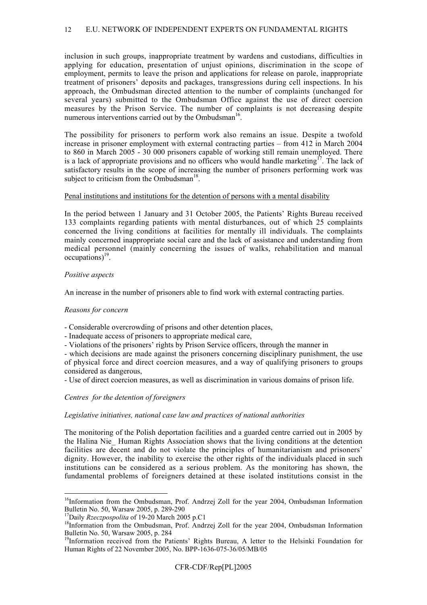inclusion in such groups, inappropriate treatment by wardens and custodians, difficulties in applying for education, presentation of unjust opinions, discrimination in the scope of employment, permits to leave the prison and applications for release on parole, inappropriate treatment of prisoners' deposits and packages, transgressions during cell inspections. In his approach, the Ombudsman directed attention to the number of complaints (unchanged for several years) submitted to the Ombudsman Office against the use of direct coercion measures by the Prison Service. The number of complaints is not decreasing despite numerous interventions carried out by the Ombudsman<sup>16</sup>.

The possibility for prisoners to perform work also remains an issue. Despite a twofold increase in prisoner employment with external contracting parties – from 412 in March 2004 to 860 in March 2005 - 30 000 prisoners capable of working still remain unemployed. There is a lack of appropriate provisions and no officers who would handle marketing<sup>17</sup>. The lack of satisfactory results in the scope of increasing the number of prisoners performing work was subject to criticism from the Ombudsman $18$ .

## Penal institutions and institutions for the detention of persons with a mental disability

In the period between 1 January and 31 October 2005, the Patients' Rights Bureau received 133 complaints regarding patients with mental disturbances, out of which 25 complaints concerned the living conditions at facilities for mentally ill individuals. The complaints mainly concerned inappropriate social care and the lack of assistance and understanding from medical personnel (mainly concerning the issues of walks, rehabilitation and manual  $occupations)^{19}$ .

### *Positive aspects*

An increase in the number of prisoners able to find work with external contracting parties.

### *Reasons for concern*

- Considerable overcrowding of prisons and other detention places,

- Inadequate access of prisoners to appropriate medical care,

- Violations of the prisoners' rights by Prison Service officers, through the manner in

- which decisions are made against the prisoners concerning disciplinary punishment, the use of physical force and direct coercion measures, and a way of qualifying prisoners to groups considered as dangerous,

- Use of direct coercion measures, as well as discrimination in various domains of prison life.

### *Centres for the detention of foreigners*

### *Legislative initiatives, national case law and practices of national authorities*

The monitoring of the Polish deportation facilities and a guarded centre carried out in 2005 by the Halina Nie\_ Human Rights Association shows that the living conditions at the detention facilities are decent and do not violate the principles of humanitarianism and prisoners' dignity. However, the inability to exercise the other rights of the individuals placed in such institutions can be considered as a serious problem. As the monitoring has shown, the fundamental problems of foreigners detained at these isolated institutions consist in the

<sup>&</sup>lt;sup>16</sup>Information from the Ombudsman, Prof. Andrzej Zoll for the year 2004, Ombudsman Information Bulletin No. 50, Warsaw 2005, p. 289-290

<sup>&</sup>lt;sup>17</sup>Daily *Rzeczpospolita* of 19-20 March 2005 p.C1<sup>18</sup>Information from the Ombudsman, Prof. And

 $^{18}$ Information from the Ombudsman, Prof. Andrzej Zoll for the year 2004, Ombudsman Information Bulletin No. 50, Warsaw 2005, p. 284

<sup>&</sup>lt;sup>19</sup>Information received from the Patients' Rights Bureau, A letter to the Helsinki Foundation for Human Rights of 22 November 2005, No. BPP-1636-075-36/05/MB/05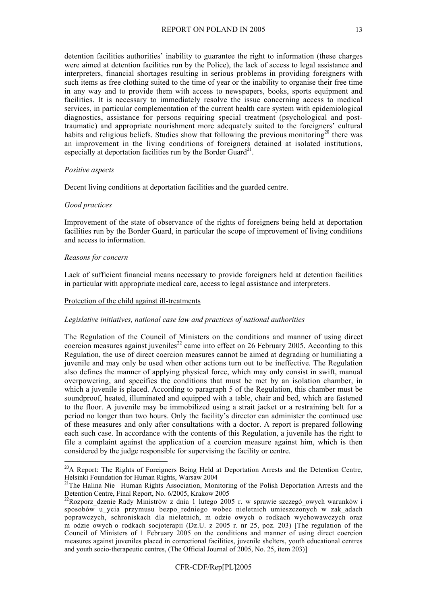detention facilities authorities' inability to guarantee the right to information (these charges were aimed at detention facilities run by the Police), the lack of access to legal assistance and interpreters, financial shortages resulting in serious problems in providing foreigners with such items as free clothing suited to the time of year or the inability to organise their free time in any way and to provide them with access to newspapers, books, sports equipment and facilities. It is necessary to immediately resolve the issue concerning access to medical services, in particular complementation of the current health care system with epidemiological diagnostics, assistance for persons requiring special treatment (psychological and posttraumatic) and appropriate nourishment more adequately suited to the foreigners' cultural habits and religious beliefs. Studies show that following the previous monitoring<sup>20</sup> there was an improvement in the living conditions of foreigners detained at isolated institutions, especially at deportation facilities run by the Border Guard<sup>21</sup>.

#### *Positive aspects*

Decent living conditions at deportation facilities and the guarded centre.

#### *Good practices*

Improvement of the state of observance of the rights of foreigners being held at deportation facilities run by the Border Guard, in particular the scope of improvement of living conditions and access to information.

#### *Reasons for concern*

Lack of sufficient financial means necessary to provide foreigners held at detention facilities in particular with appropriate medical care, access to legal assistance and interpreters.

#### Protection of the child against ill-treatments

### *Legislative initiatives, national case law and practices of national authorities*

The Regulation of the Council of Ministers on the conditions and manner of using direct coercion measures against juveniles<sup>22</sup> came into effect on 26 February 2005. According to this Regulation, the use of direct coercion measures cannot be aimed at degrading or humiliating a juvenile and may only be used when other actions turn out to be ineffective. The Regulation also defines the manner of applying physical force, which may only consist in swift, manual overpowering, and specifies the conditions that must be met by an isolation chamber, in which a juvenile is placed. According to paragraph 5 of the Regulation, this chamber must be soundproof, heated, illuminated and equipped with a table, chair and bed, which are fastened to the floor. A juvenile may be immobilized using a strait jacket or a restraining belt for a period no longer than two hours. Only the facility's director can administer the continued use of these measures and only after consultations with a doctor. A report is prepared following each such case. In accordance with the contents of this Regulation, a juvenile has the right to file a complaint against the application of a coercion measure against him, which is then considered by the judge responsible for supervising the facility or centre.

<sup>&</sup>lt;sup>20</sup>A Report: The Rights of Foreigners Being Held at Deportation Arrests and the Detention Centre, Helsinki Foundation for Human Rights, Warsaw 2004

<sup>&</sup>lt;sup>21</sup>The Halina Nie Human Rights Association, Monitoring of the Polish Deportation Arrests and the Detention Centre, Final Report, No. 6/2005, Krakow 2005

 $^{22}$ Rozporz dzenie Rady Ministrów z dnia 1 lutego 2005 r. w sprawie szczegó owych warunków i sposobów u ycia przymusu bezpo redniego wobec nieletnich umieszczonych w zak adach poprawczych, schroniskach dla nieletnich, m\_odzie\_owych o\_rodkach wychowawczych oraz m\_odzie\_owych o\_rodkach socjoterapii (Dz.U. z  $2005$  r. nr 25, poz. 203) [The regulation of the Council of Ministers of 1 February 2005 on the conditions and manner of using direct coercion measures against juveniles placed in correctional facilities, juvenile shelters, youth educational centres and youth socio-therapeutic centres, (The Official Journal of 2005, No. 25, item 203)]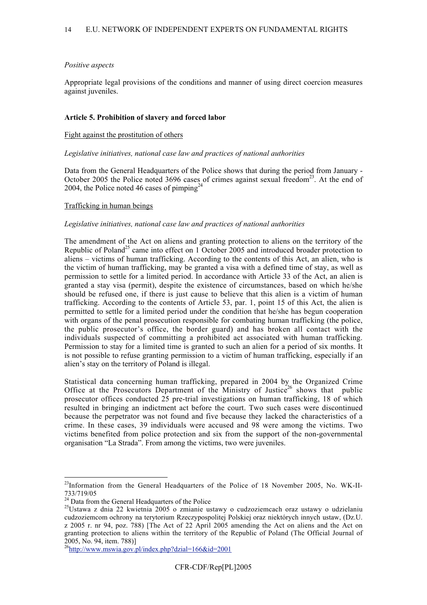## *Positive aspects*

Appropriate legal provisions of the conditions and manner of using direct coercion measures against juveniles.

## Article 5. Prohibition of slavery and forced labor

## Fight against the prostitution of others

## *Legislative initiatives, national case law and practices of national authorities*

Data from the General Headquarters of the Police shows that during the period from January -October 2005 the Police noted 3696 cases of crimes against sexual freedom<sup>23</sup>. At the end of 2004, the Police noted 46 cases of pimping<sup>24</sup>

## Trafficking in human beings

## *Legislative initiatives, national case law and practices of national authorities*

The amendment of the Act on aliens and granting protection to aliens on the territory of the Republic of Poland<sup>25</sup> came into effect on 1 October 2005 and introduced broader protection to aliens – victims of human trafficking. According to the contents of this Act, an alien, who is the victim of human trafficking, may be granted a visa with a defined time of stay, as well as permission to settle for a limited period. In accordance with Article 33 of the Act, an alien is granted a stay visa (permit), despite the existence of circumstances, based on which he/she should be refused one, if there is just cause to believe that this alien is a victim of human trafficking. According to the contents of Article 53, par. 1, point 15 of this Act, the alien is permitted to settle for a limited period under the condition that he/she has begun cooperation with organs of the penal prosecution responsible for combating human trafficking (the police, the public prosecutor's office, the border guard) and has broken all contact with the individuals suspected of committing a prohibited act associated with human trafficking. Permission to stay for a limited time is granted to such an alien for a period of six months. It is not possible to refuse granting permission to a victim of human trafficking, especially if an alien's stay on the territory of Poland is illegal.

Statistical data concerning human trafficking, prepared in 2004 by the Organized Crime Office at the Prosecutors Department of the Ministry of Justice<sup>26</sup> shows that public prosecutor offices conducted 25 pre-trial investigations on human trafficking, 18 of which resulted in bringing an indictment act before the court. Two such cases were discontinued because the perpetrator was not found and five because they lacked the characteristics of a crime. In these cases, 39 individuals were accused and 98 were among the victims. Two victims benefited from police protection and six from the support of the non-governmental organisation "La Strada". From among the victims, two were juveniles.

<sup>&</sup>lt;sup>23</sup>Information from the General Headquarters of the Police of 18 November 2005, No. WK-II-

<sup>733/719/05</sup> 24 Data from the General Headquarters of the Police

<sup>&</sup>lt;sup>25</sup>Ustawa z dnia 22 kwietnia 2005 o zmianie ustawy o cudzoziemcach oraz ustawy o udzielaniu cudzoziemcom ochrony na terytorium Rzeczypospolitej Polskiej oraz niektórych innych ustaw, (Dz.U. z 2005 r. nr 94, poz. 788) [The Act of 22 April 2005 amending the Act on aliens and the Act on granting protection to aliens within the territory of the Republic of Poland (The Official Journal of 2005, No. 94, item. 788)]

<sup>&</sup>lt;sup>26</sup>http://www.mswia.gov.pl/index.php?dzial=166&id=2001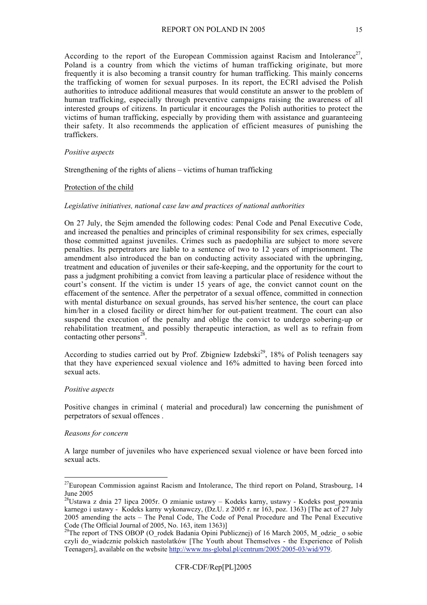According to the report of the European Commission against Racism and Intolerance<sup>27</sup>, Poland is a country from which the victims of human trafficking originate, but more frequently it is also becoming a transit country for human trafficking. This mainly concerns the trafficking of women for sexual purposes. In its report, the ECRI advised the Polish authorities to introduce additional measures that would constitute an answer to the problem of human trafficking, especially through preventive campaigns raising the awareness of all interested groups of citizens. In particular it encourages the Polish authorities to protect the victims of human trafficking, especially by providing them with assistance and guaranteeing their safety. It also recommends the application of efficient measures of punishing the traffickers.

#### *Positive aspects*

Strengthening of the rights of aliens – victims of human trafficking

#### Protection of the child

#### *Legislative initiatives, national case law and practices of national authorities*

On 27 July, the Sejm amended the following codes: Penal Code and Penal Executive Code, and increased the penalties and principles of criminal responsibility for sex crimes, especially those committed against juveniles. Crimes such as paedophilia are subject to more severe penalties. Its perpetrators are liable to a sentence of two to 12 years of imprisonment. The amendment also introduced the ban on conducting activity associated with the upbringing, treatment and education of juveniles or their safe-keeping, and the opportunity for the court to pass a judgment prohibiting a convict from leaving a particular place of residence without the court's consent. If the victim is under 15 years of age, the convict cannot count on the effacement of the sentence. After the perpetrator of a sexual offence, committed in connection with mental disturbance on sexual grounds, has served his/her sentence, the court can place him/her in a closed facility or direct him/her for out-patient treatment. The court can also suspend the execution of the penalty and oblige the convict to undergo sobering-up or rehabilitation treatment, and possibly therapeutic interaction, as well as to refrain from contacting other persons<sup>28</sup>.

According to studies carried out by Prof. Zbigniew Izdebski<sup>29</sup>, 18% of Polish teenagers say that they have experienced sexual violence and 16% admitted to having been forced into sexual acts.

#### *Positive aspects*

Positive changes in criminal ( material and procedural) law concerning the punishment of perpetrators of sexual offences .

#### *Reasons for concern*

A large number of juveniles who have experienced sexual violence or have been forced into sexual acts.

<sup>&</sup>lt;sup>27</sup>European Commission against Racism and Intolerance, The third report on Poland, Strasbourg, 14 June 2005

<sup>&</sup>lt;sup>28</sup>Ustawa z dnia 27 lipca 2005r. O zmianie ustawy – Kodeks karny, ustawy - Kodeks post powania karnego i ustawy - Kodeks karny wykonawczy, (Dz.U. z 2005 r. nr 163, poz. 1363) [The act of 27 July 2005 amending the acts – The Penal Code, The Code of Penal Procedure and The Penal Executive Code (The Official Journal of 2005, No. 163, item 1363)]

<sup>&</sup>lt;sup>29</sup>The report of TNS OBOP (O\_rodek Badania Opini Publicznej) of 16 March 2005, M\_odzie\_ o sobie czyli do\_wiadcznie polskich nastolatków [The Youth about Themselves - the Experience of Polish Teenagers], available on the website http://www.tns-global.pl/centrum/2005/2005-03/wid/979.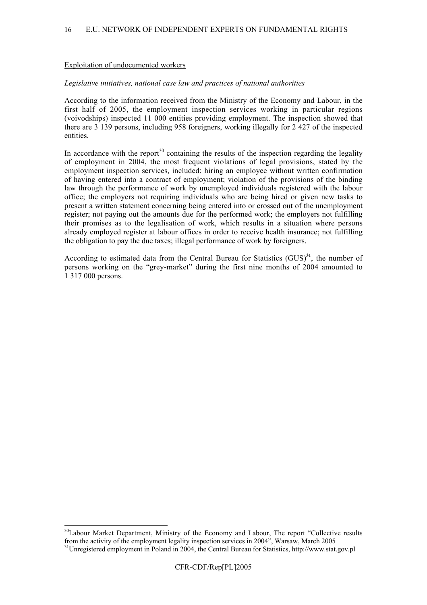#### E.U. NETWORK OF INDEPENDENT EXPERTS ON FUNDAMENTAL RIGHTS 16

## Exploitation of undocumented workers

## *Legislative initiatives, national case law and practices of national authorities*

According to the information received from the Ministry of the Economy and Labour, in the first half of 2005, the employment inspection services working in particular regions (voivodships) inspected 11 000 entities providing employment. The inspection showed that there are 3 139 persons, including 958 foreigners, working illegally for 2 427 of the inspected entities.

In accordance with the report $30$  containing the results of the inspection regarding the legality of employment in 2004, the most frequent violations of legal provisions, stated by the employment inspection services, included: hiring an employee without written confirmation of having entered into a contract of employment; violation of the provisions of the binding law through the performance of work by unemployed individuals registered with the labour office; the employers not requiring individuals who are being hired or given new tasks to present a written statement concerning being entered into or crossed out of the unemployment register; not paying out the amounts due for the performed work; the employers not fulfilling their promises as to the legalisation of work, which results in a situation where persons already employed register at labour offices in order to receive health insurance; not fulfilling the obligation to pay the due taxes; illegal performance of work by foreigners.

According to estimated data from the Central Bureau for Statistics  $(GUS)^{31}$ , the number of persons working on the "grey-market" during the first nine months of 2004 amounted to 1 317 000 persons.

<sup>&</sup>lt;sup>30</sup>Labour Market Department, Ministry of the Economy and Labour, The report "Collective results from the activity of the employment legality inspection services in 2004", Warsaw, March 2005 <sup>31</sup>Unregistered employment in Poland in 2004, the Central Bureau for Statistics, http://www.stat.gov.pl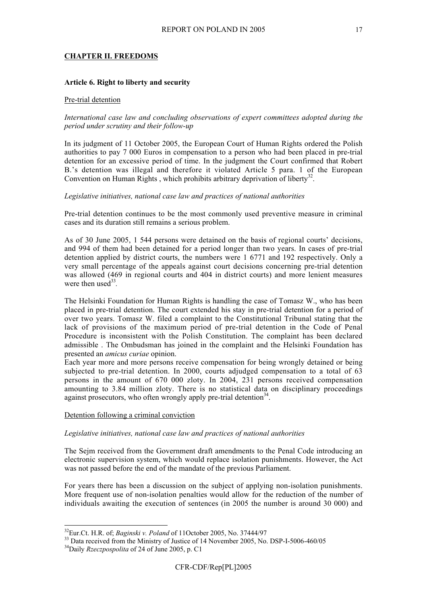## Article 6. Right to liberty and security

#### Pre-trial detention

## *International case law and concluding observations of expert committees adopted during the period under scrutiny and their follow-up*

In its judgment of 11 October 2005, the European Court of Human Rights ordered the Polish authorities to pay 7 000 Euros in compensation to a person who had been placed in pre-trial detention for an excessive period of time. In the judgment the Court confirmed that Robert B.'s detention was illegal and therefore it violated Article 5 para. 1 of the European Convention on Human Rights, which prohibits arbitrary deprivation of liberty<sup>32</sup>.

## *Legislative initiatives, national case law and practices of national authorities*

Pre-trial detention continues to be the most commonly used preventive measure in criminal cases and its duration still remains a serious problem.

As of 30 June 2005, 1 544 persons were detained on the basis of regional courts' decisions, and 994 of them had been detained for a period longer than two years. In cases of pre-trial detention applied by district courts, the numbers were 1 6771 and 192 respectively. Only a very small percentage of the appeals against court decisions concerning pre-trial detention was allowed (469 in regional courts and 404 in district courts) and more lenient measures were then used<sup>33</sup>.

The Helsinki Foundation for Human Rights is handling the case of Tomasz W., who has been placed in pre-trial detention. The court extended his stay in pre-trial detention for a period of over two years. Tomasz W. filed a complaint to the Constitutional Tribunal stating that the lack of provisions of the maximum period of pre-trial detention in the Code of Penal Procedure is inconsistent with the Polish Constitution. The complaint has been declared admissible . The Ombudsman has joined in the complaint and the Helsinki Foundation has presented an *amicus curiae* opinion.

Each year more and more persons receive compensation for being wrongly detained or being subjected to pre-trial detention. In 2000, courts adjudged compensation to a total of 63 persons in the amount of 670 000 zloty. In 2004, 231 persons received compensation amounting to 3.84 million zloty. There is no statistical data on disciplinary proceedings against prosecutors, who often wrongly apply pre-trial detention<sup>34</sup>.

## Detention following a criminal conviction

#### *Legislative initiatives, national case law and practices of national authorities*

The Sejm received from the Government draft amendments to the Penal Code introducing an electronic supervision system, which would replace isolation punishments. However, the Act was not passed before the end of the mandate of the previous Parliament.

For years there has been a discussion on the subject of applying non-isolation punishments. More frequent use of non-isolation penalties would allow for the reduction of the number of individuals awaiting the execution of sentences (in 2005 the number is around 30 000) and

<sup>&</sup>lt;sup>32</sup> <sup>32</sup>Eur.Ct. H.R. of; *Baginski v. Poland* of 11October 2005, No. 37444/97<br><sup>33</sup> Data required from the Ministry of Justice of 14 November 2005, No.

<sup>&</sup>lt;sup>33</sup> Data received from the Ministry of Justice of 14 November 2005, No. DSP-I-5006-460/05

<sup>34</sup> Daily *Rzeczpospolita* of 24 of June 2005, p. C1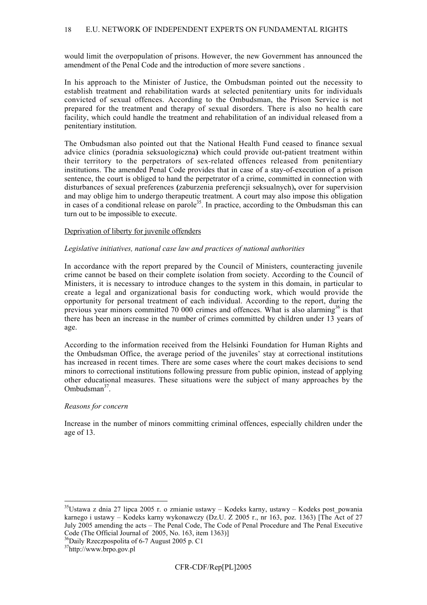would limit the overpopulation of prisons. However, the new Government has announced the amendment of the Penal Code and the introduction of more severe sanctions .

In his approach to the Minister of Justice, the Ombudsman pointed out the necessity to establish treatment and rehabilitation wards at selected penitentiary units for individuals convicted of sexual offences. According to the Ombudsman, the Prison Service is not prepared for the treatment and therapy of sexual disorders. There is also no health care facility, which could handle the treatment and rehabilitation of an individual released from a penitentiary institution.

The Ombudsman also pointed out that the National Health Fund ceased to finance sexual advice clinics (poradnia seksuologiczna) which could provide out-patient treatment within their territory to the perpetrators of sex-related offences released from penitentiary institutions. The amended Penal Code provides that in case of a stay-of-execution of a prison sentence, the court is obliged to hand the perpetrator of a crime, committed in connection with disturbances of sexual preferences (zaburzenia preferencji seksualnych), over for supervision and may oblige him to undergo therapeutic treatment. A court may also impose this obligation in cases of a conditional release on parole<sup>35</sup>. In practice, according to the Ombudsman this can turn out to be impossible to execute.

## Deprivation of liberty for juvenile offenders

## *Legislative initiatives, national case law and practices of national authorities*

In accordance with the report prepared by the Council of Ministers, counteracting juvenile crime cannot be based on their complete isolation from society. According to the Council of Ministers, it is necessary to introduce changes to the system in this domain, in particular to create a legal and organizational basis for conducting work, which would provide the opportunity for personal treatment of each individual. According to the report, during the previous year minors committed 70 000 crimes and offences. What is also alarming<sup>36</sup> is that there has been an increase in the number of crimes committed by children under 13 years of age.

According to the information received from the Helsinki Foundation for Human Rights and the Ombudsman Office, the average period of the juveniles' stay at correctional institutions has increased in recent times. There are some cases where the court makes decisions to send minors to correctional institutions following pressure from public opinion, instead of applying other educational measures. These situations were the subject of many approaches by the Ombudsman<sup>37</sup>.

#### *Reasons for concern*

Increase in the number of minors committing criminal offences, especially children under the age of 13.

 <sup>35</sup> Ustawa z dnia 27 lipca 2005 r. o zmianie ustawy – Kodeks karny, ustawy – Kodeks post\_powania karnego i ustawy – Kodeks karny wykonawczy (Dz.U. Z 2005 r., nr 163, poz. 1363) [The Act of 27 July 2005 amending the acts – The Penal Code, The Code of Penal Procedure and The Penal Executive Code (The Official Journal of 2005, No. 163, item 1363)]

<sup>&</sup>lt;sup>36</sup>Daily Rzeczpospolita of 6-7 August 2005 p. C1

<sup>37</sup> http://www.brpo.gov.pl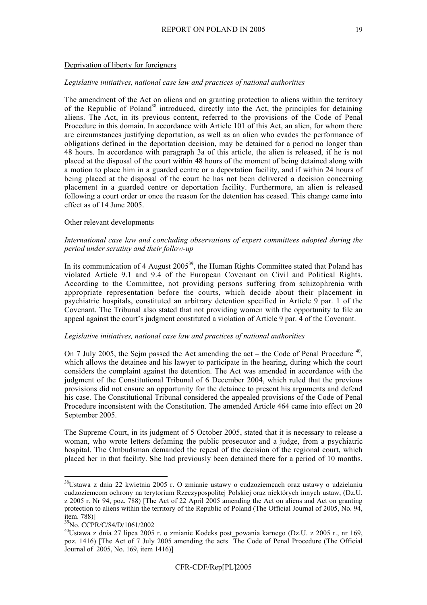19

## Deprivation of liberty for foreigners

## *Legislative initiatives, national case law and practices of national authorities*

The amendment of the Act on aliens and on granting protection to aliens within the territory of the Republic of Poland<sup>38</sup> introduced, directly into the Act, the principles for detaining aliens. The Act, in its previous content, referred to the provisions of the Code of Penal Procedure in this domain. In accordance with Article 101 of this Act, an alien, for whom there are circumstances justifying deportation, as well as an alien who evades the performance of obligations defined in the deportation decision, may be detained for a period no longer than 48 hours. In accordance with paragraph 3a of this article, the alien is released, if he is not placed at the disposal of the court within 48 hours of the moment of being detained along with a motion to place him in a guarded centre or a deportation facility, and if within 24 hours of being placed at the disposal of the court he has not been delivered a decision concerning placement in a guarded centre or deportation facility. Furthermore, an alien is released following a court order or once the reason for the detention has ceased. This change came into effect as of 14 June 2005.

## Other relevant developments

## *International case law and concluding observations of expert committees adopted during the period under scrutiny and their follow-up*

In its communication of 4 August 2005<sup>39</sup>, the Human Rights Committee stated that Poland has violated Article 9.1 and 9.4 of the European Covenant on Civil and Political Rights. According to the Committee, not providing persons suffering from schizophrenia with appropriate representation before the courts, which decide about their placement in psychiatric hospitals, constituted an arbitrary detention specified in Article 9 par. 1 of the Covenant. The Tribunal also stated that not providing women with the opportunity to file an appeal against the court's judgment constituted a violation of Article 9 par. 4 of the Covenant.

## *Legislative initiatives, national case law and practices of national authorities*

On 7 July 2005, the Sejm passed the Act amending the act – the Code of Penal Procedure<sup>40</sup>, which allows the detainee and his lawyer to participate in the hearing, during which the court considers the complaint against the detention. The Act was amended in accordance with the judgment of the Constitutional Tribunal of 6 December 2004, which ruled that the previous provisions did not ensure an opportunity for the detainee to present his arguments and defend his case. The Constitutional Tribunal considered the appealed provisions of the Code of Penal Procedure inconsistent with the Constitution. The amended Article 464 came into effect on 20 September 2005.

The Supreme Court, in its judgment of 5 October 2005, stated that it is necessary to release a woman, who wrote letters defaming the public prosecutor and a judge, from a psychiatric hospital. The Ombudsman demanded the repeal of the decision of the regional court, which placed her in that facility. She had previously been detained there for a period of 10 months.

 <sup>38</sup> Ustawa z dnia 22 kwietnia 2005 r. O zmianie ustawy o cudzoziemcach oraz ustawy o udzielaniu cudzoziemcom ochrony na terytorium Rzeczypospolitej Polskiej oraz niektórych innych ustaw, (Dz.U. z 2005 r. Nr 94, poz. 788) [The Act of 22 April 2005 amending the Act on aliens and Act on granting protection to aliens within the territory of the Republic of Poland (The Official Journal of 2005, No. 94,

item. 788)]<br><sup>39</sup>No. CCPR/C/84/D/1061/2002<br><sup>40</sup>Ustawa z dnie 27 linee 2005

Ustawa z dnia 27 lipca 2005 r. o zmianie Kodeks post\_powania karnego (Dz.U. z 2005 r., nr 169, poz. 1416) [The Act of 7 July 2005 amending the acts The Code of Penal Procedure (The Official Journal of 2005, No. 169, item 1416)]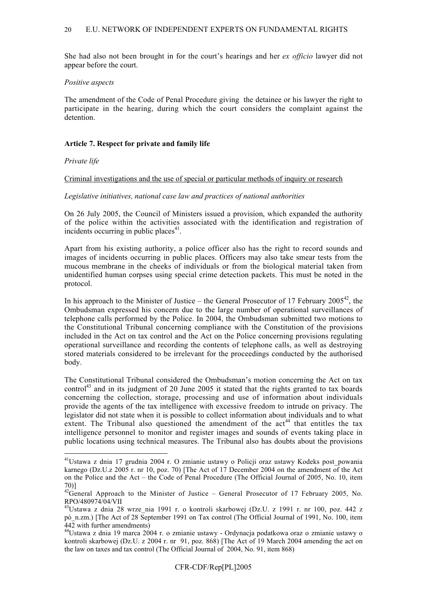She had also not been brought in for the court's hearings and her *ex officio* lawyer did not appear before the court.

### *Positive aspects*

The amendment of the Code of Penal Procedure giving the detainee or his lawyer the right to participate in the hearing, during which the court considers the complaint against the detention.

## Article 7. Respect for private and family life

## *Private life*

Criminal investigations and the use of special or particular methods of inquiry or research

### *Legislative initiatives, national case law and practices of national authorities*

On 26 July 2005, the Council of Ministers issued a provision, which expanded the authority of the police within the activities associated with the identification and registration of incidents occurring in public places<sup>41</sup>.

Apart from his existing authority, a police officer also has the right to record sounds and images of incidents occurring in public places. Officers may also take smear tests from the mucous membrane in the cheeks of individuals or from the biological material taken from unidentified human corpses using special crime detection packets. This must be noted in the protocol.

In his approach to the Minister of Justice – the General Prosecutor of 17 February  $2005^{42}$ , the Ombudsman expressed his concern due to the large number of operational surveillances of telephone calls performed by the Police. In 2004, the Ombudsman submitted two motions to the Constitutional Tribunal concerning compliance with the Constitution of the provisions included in the Act on tax control and the Act on the Police concerning provisions regulating operational surveillance and recording the contents of telephone calls, as well as destroying stored materials considered to be irrelevant for the proceedings conducted by the authorised body.

The Constitutional Tribunal considered the Ombudsman's motion concerning the Act on tax control<sup>43</sup> and in its judgment of 20 June 2005 it stated that the rights granted to tax boards concerning the collection, storage, processing and use of information about individuals provide the agents of the tax intelligence with excessive freedom to intrude on privacy. The legislator did not state when it is possible to collect information about individuals and to what extent. The Tribunal also questioned the amendment of the  $act<sup>44</sup>$  that entitles the tax intelligence personnel to monitor and register images and sounds of events taking place in public locations using technical measures. The Tribunal also has doubts about the provisions

 <sup>41</sup> Ustawa z dnia 17 grudnia 2004 r. O zmianie ustawy o Policji oraz ustawy Kodeks post\_powania karnego (Dz.U.z 2005 r. nr 10, poz. 70) [The Act of 17 December 2004 on the amendment of the Act on the Police and the Act – the Code of Penal Procedure (The Official Journal of 2005, No. 10, item 70)]

 $^{42}$ General Approach to the Minister of Justice – General Prosecutor of 17 February 2005, No. RPO/480974/04/VII

<sup>43</sup> Ustawa z dnia 28 wrze\_nia 1991 r. o kontroli skarbowej (Dz.U. z 1991 r. nr 100, poz. 442 z pó\_n.zm.) [The Act of 28 September 1991 on Tax control (The Official Journal of 1991, No. 100, item  $44\overline{2}$  with further amendments)

<sup>44</sup> Ustawa z dnia 19 marca 2004 r. o zmianie ustawy - Ordynacja podatkowa oraz o zmianie ustawy o kontroli skarbowej (Dz.U. z 2004 r. nr 91, poz. 868) [The Act of 19 March 2004 amending the act on the law on taxes and tax control (The Official Journal of 2004, No. 91, item 868)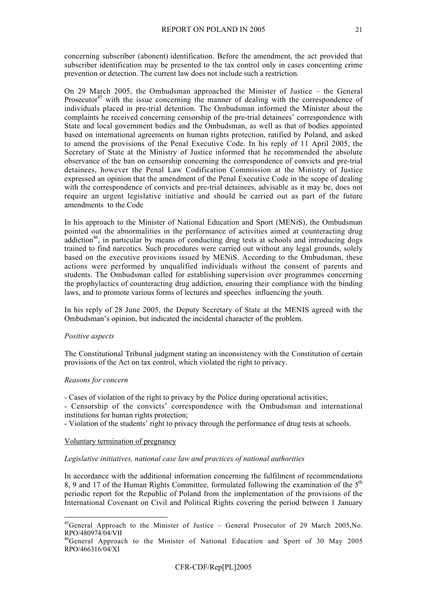concerning subscriber (abonent) identification. Before the amendment, the act provided that subscriber identification may be presented to the tax control only in cases concerning crime prevention or detection. The current law does not include such a restriction.

On 29 March 2005, the Ombudsman approached the Minister of Justice – the General Prosecutor<sup>45</sup> with the issue concerning the manner of dealing with the correspondence of individuals placed in pre-trial detention. The Ombudsman informed the Minister about the complaints he received concerning censorship of the pre-trial detainees' correspondence with State and local government bodies and the Ombudsman, as well as that of bodies appointed based on international agreements on human rights protection, ratified by Poland, and asked to amend the provisions of the Penal Executive Code. In his reply of 11 April 2005, the Secretary of State at the Ministry of Justice informed that he recommended the absolute observance of the ban on censorship concerning the correspondence of convicts and pre-trial detainees, however the Penal Law Codification Commission at the Ministry of Justice expressed an opinion that the amendment of the Penal Executive Code in the scope of dealing with the correspondence of convicts and pre-trial detainees, advisable as it may be, does not require an urgent legislative initiative and should be carried out as part of the future amendments to the Code

In his approach to the Minister of National Education and Sport (MENiS), the Ombudsman pointed out the abnormalities in the performance of activities aimed at counteracting drug  $a$ ddiction<sup>46</sup>, in particular by means of conducting drug tests at schools and introducing dogs trained to find narcotics. Such procedures were carried out without any legal grounds, solely based on the executive provisions issued by MENiS. According to the Ombudsman, these actions were performed by unqualified individuals without the consent of parents and students. The Ombudsman called for establishing supervision over programmes concerning the prophylactics of counteracting drug addiction, ensuring their compliance with the binding laws, and to promote various forms of lectures and speeches influencing the youth.

In his reply of 28 June 2005, the Deputy Secretary of State at the MENIS agreed with the Ombudsman's opinion, but indicated the incidental character of the problem.

#### *Positive aspects*

The Constitutional Tribunal judgment stating an inconsistency with the Constitution of certain provisions of the Act on tax control, which violated the right to privacy.

#### *Reasons for concern*

- Cases of violation of the right to privacy by the Police during operational activities;

- Censorship of the convicts' correspondence with the Ombudsman and international institutions for human rights protection;

- Violation of the students' right to privacy through the performance of drug tests at schools.

## Voluntary termination of pregnancy

#### *Legislative initiatives, national case law and practices of national authorities*

In accordance with the additional information concerning the fulfilment of recommendations 8, 9 and 17 of the Human Rights Committee, formulated following the examination of the  $5<sup>th</sup>$ periodic report for the Republic of Poland from the implementation of the provisions of the International Covenant on Civil and Political Rights covering the period between 1 January

<sup>&</sup>lt;sup>45</sup> General Approach to the Minister of Justice – General Prosecutor of 29 March 2005, No. RPO/480974/04/VII

<sup>&</sup>lt;sup>46</sup>General Approach to the Minister of National Education and Sport of 30 May 2005 RPO/466316/04/XI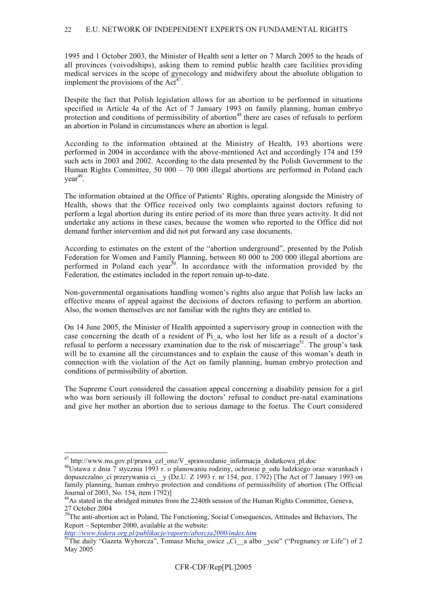1995 and 1 October 2003, the Minister of Health sent a letter on 7 March 2005 to the heads of all provinces (voivodships), asking them to remind public health care facilities providing medical services in the scope of gynecology and midwifery about the absolute obligation to implement the provisions of the  $Act^{47}$ .

Despite the fact that Polish legislation allows for an abortion to be performed in situations specified in Article 4a of the Act of 7 January 1993 on family planning, human embryo protection and conditions of permissibility of abortion<sup>48</sup> there are cases of refusals to perform an abortion in Poland in circumstances where an abortion is legal.

According to the information obtained at the Ministry of Health, 193 abortions were performed in 2004 in accordance with the above-mentioned Act and accordingly 174 and 159 such acts in 2003 and 2002. According to the data presented by the Polish Government to the Human Rights Committee, 50 000 – 70 000 illegal abortions are performed in Poland each year 49 .

The information obtained at the Office of Patients' Rights, operating alongside the Ministry of Health, shows that the Office received only two complaints against doctors refusing to perform a legal abortion during its entire period of its more than three years activity. It did not undertake any actions in these cases, because the women who reported to the Office did not demand further intervention and did not put forward any case documents.

According to estimates on the extent of the "abortion underground", presented by the Polish Federation for Women and Family Planning, between 80 000 to 200 000 illegal abortions are performed in Poland each year<sup>50</sup>. In accordance with the information provided by the Federation, the estimates included in the report remain up-to-date.

Non-governmental organisations handling women's rights also argue that Polish law lacks an effective means of appeal against the decisions of doctors refusing to perform an abortion. Also, the women themselves are not familiar with the rights they are entitled to.

On 14 June 2005, the Minister of Health appointed a supervisory group in connection with the case concerning the death of a resident of Pi a, who lost her life as a result of a doctor's refusal to perform a necessary examination due to the risk of miscarriage<sup>51</sup>. The group's task will be to examine all the circumstances and to explain the cause of this woman's death in connection with the violation of the Act on family planning, human embryo protection and conditions of permissibility of abortion.

The Supreme Court considered the cassation appeal concerning a disability pension for a girl who was born seriously ill following the doctors' refusal to conduct pre-natal examinations and give her mother an abortion due to serious damage to the foetus. The Court considered

<sup>&</sup>lt;sup>47</sup> http://www.ms.gov.pl/prawa\_czl\_onz/V\_sprawozdanie\_informacja\_dodatkowa\_pl.doc

 $^{48}$ Ustawa z dnia 7 stycznia 1993 r. o planowaniu rodziny, ochronie p\_odu ludzkiego oraz warunkach i dopuszczalno\_ci przerywania ci\_y (Dz.U. Z 1993 r. nr 154, poz. 1792) [The Act of 7 January 1993 on family planning, human embryo protection and conditions of permissibility of abortion (The Official

Journal of 2003, No. 154, item 1792)]<br><sup>49</sup>As stated in the abridged minutes from the 2240th session of the Human Rights Committee, Geneva, 27 October 2004

*<sup>50</sup>* The anti-abortion act in Poland, The Functioning, Social Consequences, Attitudes and Behaviors, The Report – September 2000, available at the website:

http://www.federa.org.pl/publikacje/raporty/aborcja2000/index.htm<br><sup>51</sup>The daily "Gazeta Wyborcza", Tomasz Micha\_owicz "Ci\_\_a albo\_ycie" ("Pregnancy or Life") of 2 May 2005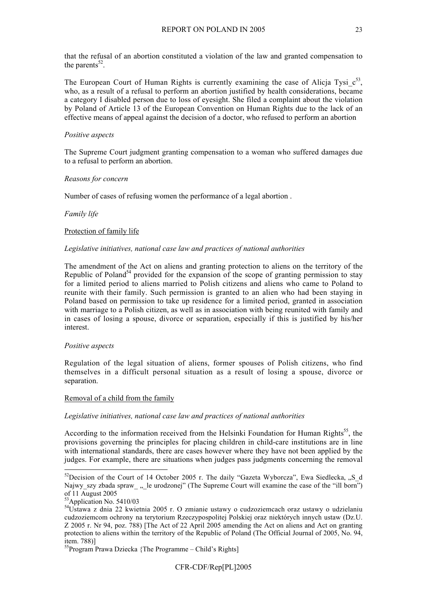that the refusal of an abortion constituted a violation of the law and granted compensation to the parents<sup>52</sup>.

The European Court of Human Rights is currently examining the case of Alicja Tysi  $c^{53}$ , who, as a result of a refusal to perform an abortion justified by health considerations, became a category I disabled person due to loss of eyesight. She filed a complaint about the violation by Poland of Article 13 of the European Convention on Human Rights due to the lack of an effective means of appeal against the decision of a doctor, who refused to perform an abortion

### *Positive aspects*

The Supreme Court judgment granting compensation to a woman who suffered damages due to a refusal to perform an abortion.

### *Reasons for concern*

Number of cases of refusing women the performance of a legal abortion .

## *Family life*

## Protection of family life

## *Legislative initiatives, national case law and practices of national authorities*

The amendment of the Act on aliens and granting protection to aliens on the territory of the Republic of Poland<sup>54</sup> provided for the expansion of the scope of granting permission to stay for a limited period to aliens married to Polish citizens and aliens who came to Poland to reunite with their family. Such permission is granted to an alien who had been staying in Poland based on permission to take up residence for a limited period, granted in association with marriage to a Polish citizen, as well as in association with being reunited with family and in cases of losing a spouse, divorce or separation, especially if this is justified by his/her interest.

### *Positive aspects*

Regulation of the legal situation of aliens, former spouses of Polish citizens, who find themselves in a difficult personal situation as a result of losing a spouse, divorce or separation.

### Removal of a child from the family

## *Legislative initiatives, national case law and practices of national authorities*

According to the information received from the Helsinki Foundation for Human Rights<sup>55</sup>, the provisions governing the principles for placing children in child-care institutions are in line with international standards, there are cases however where they have not been applied by the judges. For example, there are situations when judges pass judgments concerning the removal

 $^{52}$ Decision of the Court of 14 October 2005 r. The daily "Gazeta Wyborcza", Ewa Siedlecka, "S\_d Najwy szy zbada spraw " le urodzonej" (The Supreme Court will examine the case of the "ill born")

of 11 August 2005<br><sup>53</sup> Application No. 5410/03

<sup>54</sup> Ustawa z dnia 22 kwietnia 2005 r. O zmianie ustawy o cudzoziemcach oraz ustawy o udzielaniu cudzoziemcom ochrony na terytorium Rzeczypospolitej Polskiej oraz niektórych innych ustaw (Dz.U. Z 2005 r. Nr 94, poz. 788) [The Act of 22 April 2005 amending the Act on aliens and Act on granting protection to aliens within the territory of the Republic of Poland (The Official Journal of 2005, No. 94, item. 788)]

<sup>55</sup> Program Prawa Dziecka {The Programme – Child's Rights]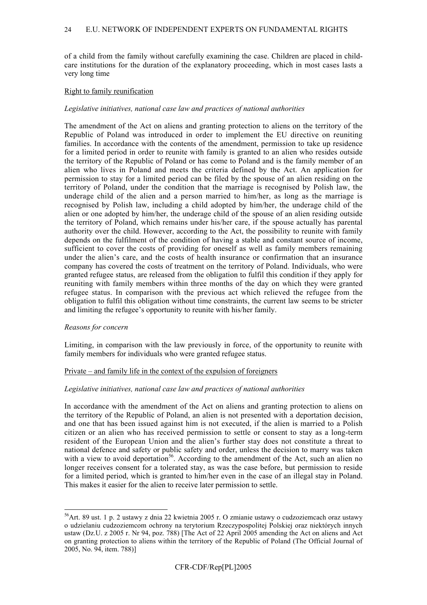of a child from the family without carefully examining the case. Children are placed in childcare institutions for the duration of the explanatory proceeding, which in most cases lasts a very long time

## Right to family reunification

#### *Legislative initiatives, national case law and practices of national authorities*

The amendment of the Act on aliens and granting protection to aliens on the territory of the Republic of Poland was introduced in order to implement the EU directive on reuniting families. In accordance with the contents of the amendment, permission to take up residence for a limited period in order to reunite with family is granted to an alien who resides outside the territory of the Republic of Poland or has come to Poland and is the family member of an alien who lives in Poland and meets the criteria defined by the Act. An application for permission to stay for a limited period can be filed by the spouse of an alien residing on the territory of Poland, under the condition that the marriage is recognised by Polish law, the underage child of the alien and a person married to him/her, as long as the marriage is recognised by Polish law, including a child adopted by him/her, the underage child of the alien or one adopted by him/her, the underage child of the spouse of an alien residing outside the territory of Poland, which remains under his/her care, if the spouse actually has parental authority over the child. However, according to the Act, the possibility to reunite with family depends on the fulfilment of the condition of having a stable and constant source of income, sufficient to cover the costs of providing for oneself as well as family members remaining under the alien's care, and the costs of health insurance or confirmation that an insurance company has covered the costs of treatment on the territory of Poland. Individuals, who were granted refugee status, are released from the obligation to fulfil this condition if they apply for reuniting with family members within three months of the day on which they were granted refugee status. In comparison with the previous act which relieved the refugee from the obligation to fulfil this obligation without time constraints, the current law seems to be stricter and limiting the refugee's opportunity to reunite with his/her family.

## *Reasons for concern*

Limiting, in comparison with the law previously in force, of the opportunity to reunite with family members for individuals who were granted refugee status.

#### Private – and family life in the context of the expulsion of foreigners

### *Legislative initiatives, national case law and practices of national authorities*

In accordance with the amendment of the Act on aliens and granting protection to aliens on the territory of the Republic of Poland, an alien is not presented with a deportation decision, and one that has been issued against him is not executed, if the alien is married to a Polish citizen or an alien who has received permission to settle or consent to stay as a long-term resident of the European Union and the alien's further stay does not constitute a threat to national defence and safety or public safety and order, unless the decision to marry was taken with a view to avoid deportation<sup>56</sup>. According to the amendment of the Act, such an alien no longer receives consent for a tolerated stay, as was the case before, but permission to reside for a limited period, which is granted to him/her even in the case of an illegal stay in Poland. This makes it easier for the alien to receive later permission to settle.

 <sup>56</sup> Art. 89 ust. 1 p. 2 ustawy z dnia 22 kwietnia 2005 r. O zmianie ustawy o cudzoziemcach oraz ustawy o udzielaniu cudzoziemcom ochrony na terytorium Rzeczypospolitej Polskiej oraz niektórych innych ustaw (Dz.U. z 2005 r. Nr 94, poz. 788) [The Act of 22 April 2005 amending the Act on aliens and Act on granting protection to aliens within the territory of the Republic of Poland (The Official Journal of 2005, No. 94, item. 788)]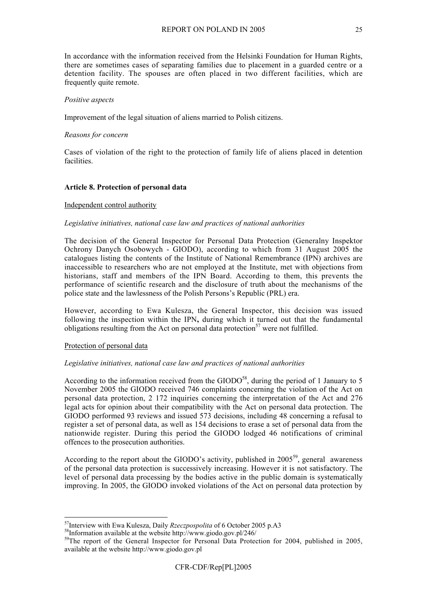In accordance with the information received from the Helsinki Foundation for Human Rights, there are sometimes cases of separating families due to placement in a guarded centre or a detention facility. The spouses are often placed in two different facilities, which are frequently quite remote.

## *Positive aspects*

Improvement of the legal situation of aliens married to Polish citizens.

## *Reasons for concern*

Cases of violation of the right to the protection of family life of aliens placed in detention facilities.

## Article 8. Protection of personal data

## Independent control authority

### *Legislative initiatives, national case law and practices of national authorities*

The decision of the General Inspector for Personal Data Protection (Generalny Inspektor Ochrony Danych Osobowych - GIODO), according to which from 31 August 2005 the catalogues listing the contents of the Institute of National Remembrance (IPN) archives are inaccessible to researchers who are not employed at the Institute, met with objections from historians, staff and members of the IPN Board. According to them, this prevents the performance of scientific research and the disclosure of truth about the mechanisms of the police state and the lawlessness of the Polish Persons's Republic (PRL) era.

However, according to Ewa Kulesza, the General Inspector, this decision was issued following the inspection within the IPN, during which it turned out that the fundamental obligations resulting from the Act on personal data protection<sup>57</sup> were not fulfilled.

### Protection of personal data

### *Legislative initiatives, national case law and practices of national authorities*

According to the information received from the  $GIOD^{58}$ , during the period of 1 January to 5 November 2005 the GIODO received 746 complaints concerning the violation of the Act on personal data protection, 2 172 inquiries concerning the interpretation of the Act and 276 legal acts for opinion about their compatibility with the Act on personal data protection. The GIODO performed 93 reviews and issued 573 decisions, including 48 concerning a refusal to register a set of personal data, as well as 154 decisions to erase a set of personal data from the nationwide register. During this period the GIODO lodged 46 notifications of criminal offences to the prosecution authorities.

According to the report about the GIODO's activity, published in  $2005<sup>59</sup>$ , general awareness of the personal data protection is successively increasing. However it is not satisfactory. The level of personal data processing by the bodies active in the public domain is systematically improving. In 2005, the GIODO invoked violations of the Act on personal data protection by

 <sup>57</sup> <sup>S/</sup>Interview with Ewa Kulesza, Daily *Rzeczpospolita* of 6 October 2005 p.A3<sup>58</sup>Information available at the website http://www.giode.gov.pl/346/

Information available at the website http://www.giodo.gov.pl/246/

<sup>&</sup>lt;sup>59</sup>The report of the General Inspector for Personal Data Protection for 2004, published in 2005, available at the website http://www.giodo.gov.pl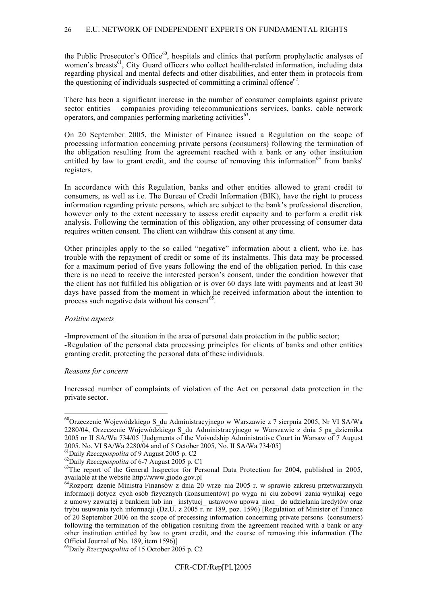#### E.U. NETWORK OF INDEPENDENT EXPERTS ON FUNDAMENTAL RIGHTS 26

the Public Prosecutor's Office $\frac{60}{5}$ , hospitals and clinics that perform prophylactic analyses of women's breasts<sup>61</sup>, City Guard officers who collect health-related information, including data regarding physical and mental defects and other disabilities, and enter them in protocols from the questioning of individuals suspected of committing a criminal offence $62$ .

There has been a significant increase in the number of consumer complaints against private sector entities – companies providing telecommunications services, banks, cable network operators, and companies performing marketing activities $^{63}$ .

On 20 September 2005, the Minister of Finance issued a Regulation on the scope of processing information concerning private persons (consumers) following the termination of the obligation resulting from the agreement reached with a bank or any other institution entitled by law to grant credit, and the course of removing this information<sup>64</sup> from banks' registers.

In accordance with this Regulation, banks and other entities allowed to grant credit to consumers, as well as i.e. The Bureau of Credit Information (BIK), have the right to process information regarding private persons, which are subject to the bank's professional discretion, however only to the extent necessary to assess credit capacity and to perform a credit risk analysis. Following the termination of this obligation, any other processing of consumer data requires written consent. The client can withdraw this consent at any time.

Other principles apply to the so called "negative" information about a client, who i.e. has trouble with the repayment of credit or some of its instalments. This data may be processed for a maximum period of five years following the end of the obligation period. In this case there is no need to receive the interested person's consent, under the condition however that the client has not fulfilled his obligation or is over 60 days late with payments and at least 30 days have passed from the moment in which he received information about the intention to process such negative data without his consent<sup>65</sup>.

### *Positive aspects*

-Improvement of the situation in the area of personal data protection in the public sector; -Regulation of the personal data processing principles for clients of banks and other entities granting credit, protecting the personal data of these individuals.

### *Reasons for concern*

Increased number of complaints of violation of the Act on personal data protection in the private sector.

 <sup>60</sup> Orzeczenie Wojewódzkiego S\_du Administracyjnego w Warszawie z 7 sierpnia 2005, Nr VI SA/Wa 2280/04, Orzeczenie Wojewódzkiego S\_du Administracyjnego w Warszawie z dnia 5 pa\_dziernika 2005 nr II SA/Wa 734/05 [Judgments of the Voivodship Administrative Court in Warsaw of 7 August 2005. No. VI SA/Wa 2280/04 and of 5 October 2005, No. II SA/Wa 734/05] <sup>61</sup>

<sup>&</sup>lt;sup>61</sup>Daily *Rzeczpospolita* of 9 August 2005 p. C2

<sup>&</sup>lt;sup>62</sup>Daily *Rzeczpospolita* of 6-7 August 2005 p. C1

 $^{63}$ The report of the General Inspector for Personal Data Protection for 2004, published in 2005, available at the website http://www.giodo.gov.pl

<sup>64</sup> Rozporz\_dzenie Ministra Finansów z dnia 20 wrze\_nia 2005 r. w sprawie zakresu przetwarzanych informacji dotycz\_cych osób fizycznych (konsumentów) po wyga\_ni\_ciu zobowi\_zania wynikaj\_cego z umowy zawartej z bankiem lub inn\_ instytucj\_ ustawowo upowa\_nion\_ do udzielania kredytów oraz trybu usuwania tych informacji (Dz.U. z 2005 r. nr 189, poz. 1596) [Regulation of Minister of Finance of 20 September 2006 on the scope of processing information concerning private persons (consumers) following the termination of the obligation resulting from the agreement reached with a bank or any other institution entitled by law to grant credit, and the course of removing this information (The Official Journal of No. 189, item 1596)]

<sup>65</sup> Daily *Rzeczpospolita* of 15 October 2005 p. C2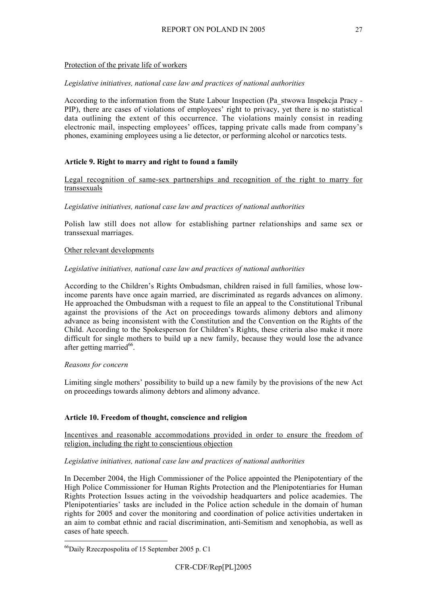## Protection of the private life of workers

## *Legislative initiatives, national case law and practices of national authorities*

According to the information from the State Labour Inspection (Pa\_stwowa Inspekcja Pracy - PIP), there are cases of violations of employees' right to privacy, yet there is no statistical data outlining the extent of this occurrence. The violations mainly consist in reading electronic mail, inspecting employees' offices, tapping private calls made from company's phones, examining employees using a lie detector, or performing alcohol or narcotics tests.

## Article 9. Right to marry and right to found a family

Legal recognition of same-sex partnerships and recognition of the right to marry for transsexuals

## *Legislative initiatives, national case law and practices of national authorities*

Polish law still does not allow for establishing partner relationships and same sex or transsexual marriages.

## Other relevant developments

## *Legislative initiatives, national case law and practices of national authorities*

According to the Children's Rights Ombudsman, children raised in full families, whose lowincome parents have once again married, are discriminated as regards advances on alimony. He approached the Ombudsman with a request to file an appeal to the Constitutional Tribunal against the provisions of the Act on proceedings towards alimony debtors and alimony advance as being inconsistent with the Constitution and the Convention on the Rights of the Child. According to the Spokesperson for Children's Rights, these criteria also make it more difficult for single mothers to build up a new family, because they would lose the advance after getting married<sup>66</sup>.

## *Reasons for concern*

Limiting single mothers' possibility to build up a new family by the provisions of the new Act on proceedings towards alimony debtors and alimony advance.

## Article 10. Freedom of thought, conscience and religion

Incentives and reasonable accommodations provided in order to ensure the freedom of religion, including the right to conscientious objection

### *Legislative initiatives, national case law and practices of national authorities*

In December 2004, the High Commissioner of the Police appointed the Plenipotentiary of the High Police Commissioner for Human Rights Protection and the Plenipotentiaries for Human Rights Protection Issues acting in the voivodship headquarters and police academies. The Plenipotentiaries' tasks are included in the Police action schedule in the domain of human rights for 2005 and cover the monitoring and coordination of police activities undertaken in an aim to combat ethnic and racial discrimination, anti-Semitism and xenophobia, as well as cases of hate speech.

 <sup>66</sup> Daily Rzeczpospolita of 15 September 2005 p. C1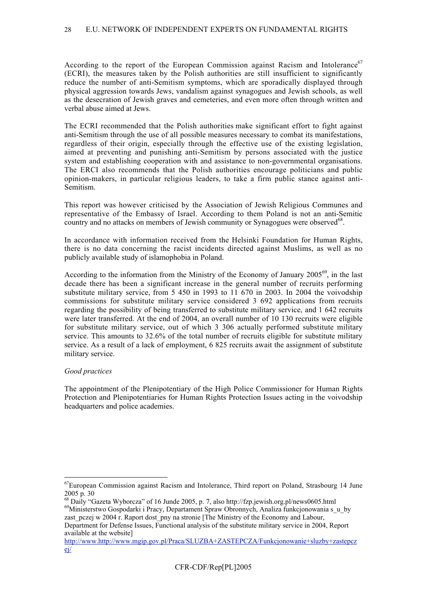According to the report of the European Commission against Racism and Intolerance<sup>67</sup> (ECRI), the measures taken by the Polish authorities are still insufficient to significantly reduce the number of anti-Semitism symptoms, which are sporadically displayed through physical aggression towards Jews, vandalism against synagogues and Jewish schools, as well as the desecration of Jewish graves and cemeteries, and even more often through written and verbal abuse aimed at Jews.

The ECRI recommended that the Polish authorities make significant effort to fight against anti-Semitism through the use of all possible measures necessary to combat its manifestations, regardless of their origin, especially through the effective use of the existing legislation, aimed at preventing and punishing anti-Semitism by persons associated with the justice system and establishing cooperation with and assistance to non-governmental organisations. The ERCI also recommends that the Polish authorities encourage politicians and public opinion-makers, in particular religious leaders, to take a firm public stance against anti-Semitism.

This report was however criticised by the Association of Jewish Religious Communes and representative of the Embassy of Israel. According to them Poland is not an anti-Semitic country and no attacks on members of Jewish community or Synagogues were observed<sup>68</sup>.

In accordance with information received from the Helsinki Foundation for Human Rights, there is no data concerning the racist incidents directed against Muslims, as well as no publicly available study of islamophobia in Poland.

According to the information from the Ministry of the Economy of January  $2005^{\text{69}}$ , in the last decade there has been a significant increase in the general number of recruits performing substitute military service, from 5 450 in 1993 to 11 670 in 2003. In 2004 the voivodship commissions for substitute military service considered 3 692 applications from recruits regarding the possibility of being transferred to substitute military service, and 1 642 recruits were later transferred. At the end of 2004, an overall number of 10 130 recruits were eligible for substitute military service, out of which 3 306 actually performed substitute military service. This amounts to 32.6% of the total number of recruits eligible for substitute military service. As a result of a lack of employment, 6 825 recruits await the assignment of substitute military service.

### *Good practices*

The appointment of the Plenipotentiary of the High Police Commissioner for Human Rights Protection and Plenipotentiaries for Human Rights Protection Issues acting in the voivodship headquarters and police academies.

<sup>&</sup>lt;sup>67</sup>European Commission against Racism and Intolerance, Third report on Poland, Strasbourg 14 June 2005 p. 30

<sup>&</sup>lt;sup>68</sup> Daily "Gazeta Wyborcza" of 16 Junde 2005, p. 7, also http://fzp.jewish.org.pl/news0605.html<br><sup>69</sup>Ministerature Geopodarki i Presu. Department Spreu. Obrony sk Apelice funkcione uspie s <sup>69</sup>Ministerstwo Gospodarki i Pracy, Departament Spraw Obronnych, Analiza funkcjonowania s\_u\_by

zast pczej w 2004 r. Raport dost pny na stronie [The Ministry of the Economy and Labour, Department for Defense Issues, Functional analysis of the substitute military service in 2004, Report

available at the website] http://www.http://www.mgip.gov.pl/Praca/SLUZBA+ZASTEPCZA/Funkcjonowanie+sluzby+zastepcz

ej/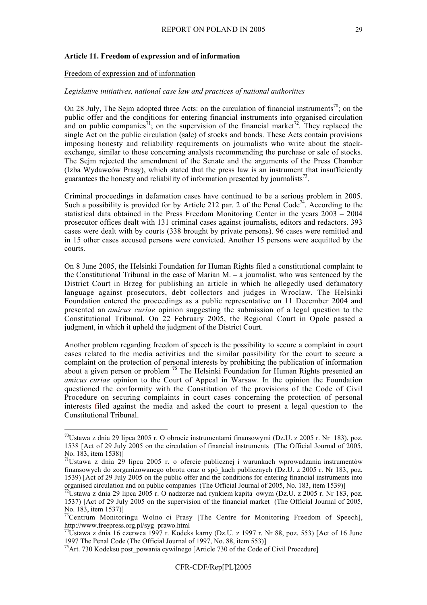#### Article 11. Freedom of expression and of information

#### Freedom of expression and of information

## *Legislative initiatives, national case law and practices of national authorities*

On 28 July, The Sejm adopted three Acts: on the circulation of financial instruments<sup>70</sup>; on the public offer and the conditions for entering financial instruments into organised circulation and on public companies<sup>71</sup>; on the supervision of the financial market<sup>72</sup>. They replaced the single Act on the public circulation (sale) of stocks and bonds. These Acts contain provisions imposing honesty and reliability requirements on journalists who write about the stockexchange, similar to those concerning analysts recommending the purchase or sale of stocks. The Sejm rejected the amendment of the Senate and the arguments of the Press Chamber (Izba Wydawców Prasy), which stated that the press law is an instrument that insufficiently guarantees the honesty and reliability of information presented by journalists $^{73}$ .

Criminal proceedings in defamation cases have continued to be a serious problem in 2005. Such a possibility is provided for by Article 212 par. 2 of the Penal Code<sup>74</sup>. According to the statistical data obtained in the Press Freedom Monitoring Center in the years 2003 – 2004 prosecutor offices dealt with 131 criminal cases against journalists, editors and redactors. 393 cases were dealt with by courts (338 brought by private persons). 96 cases were remitted and in 15 other cases accused persons were convicted. Another 15 persons were acquitted by the courts.

On 8 June 2005, the Helsinki Foundation for Human Rights filed a constitutional complaint to the Constitutional Tribunal in the case of Marian M. – a journalist, who was sentenced by the District Court in Brzeg for publishing an article in which he allegedly used defamatory language against prosecutors, debt collectors and judges in Wroclaw. The Helsinki Foundation entered the proceedings as a public representative on 11 December 2004 and presented an *amicus curiae* opinion suggesting the submission of a legal question to the Constitutional Tribunal. On 22 February 2005, the Regional Court in Opole passed a judgment, in which it upheld the judgment of the District Court.

Another problem regarding freedom of speech is the possibility to secure a complaint in court cases related to the media activities and the similar possibility for the court to secure a complaint on the protection of personal interests by prohibiting the publication of information about a given person or problem <sup>75</sup> The Helsinki Foundation for Human Rights presented an *amicus curiae* opinion to the Court of Appeal in Warsaw. In the opinion the Foundation questioned the conformity with the Constitution of the provisions of the Code of Civil Procedure on securing complaints in court cases concerning the protection of personal interests filed against the media and asked the court to present a legal question to the Constitutional Tribunal.

 <sup>70</sup> Ustawa z dnia 29 lipca 2005 r. O obrocie instrumentami finansowymi (Dz.U. z 2005 r. Nr 183), poz. 1538 [Act of 29 July 2005 on the circulation of financial instruments (The Official Journal of 2005, No. 183, item 1538)]

<sup>&</sup>lt;sup>71</sup>Ustawa z dnia 29 lipca 2005 r. o ofercie publicznej i warunkach wprowadzania instrumentów finansowych do zorganizowanego obrotu oraz o spó\_kach publicznych (Dz.U. z 2005 r. Nr 183, poz. 1539) [Act of 29 July 2005 on the public offer and the conditions for entering financial instruments into organised circulation and on public companies (The Official Journal of 2005, No. 183, item 1539)]

<sup>&</sup>lt;sup>72</sup>Ustawa z dnia 29 lipca 2005 r. O nadzorze nad rynkiem kapita\_owym (Dz.U. z 2005 r. Nr 183, poz. 1537) [Act of 29 July 2005 on the supervision of the financial market (The Official Journal of 2005, No. 183, item 1537)]

 $73$ Centrum Monitoringu Wolno ci Prasy [The Centre for Monitoring Freedom of Speech], http://www.freepress.org.pl/syg\_prawo.html

<sup>&</sup>lt;sup>74</sup> Ustawa z dnia 16 czerwca 1997 r. Kodeks karny (Dz.U. z 1997 r. Nr 88, poz. 553) [Act of 16 June 1997 The Penal Code (The Official Journal of 1997, No. 88, item 553)]

<sup>&</sup>lt;sup>75</sup> Art. 730 Kodeksu post\_powania cywilnego [Article 730 of the Code of Civil Procedure]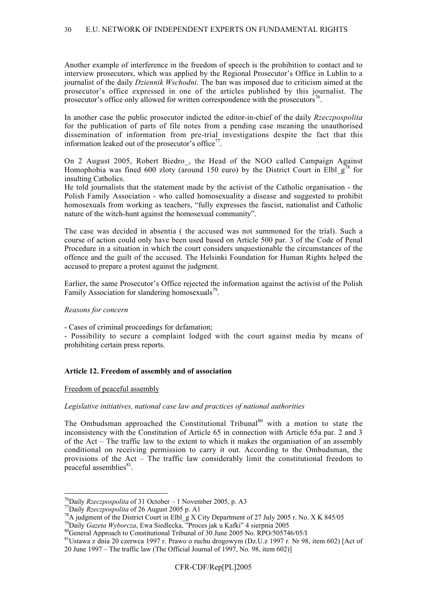Another example of interference in the freedom of speech is the prohibition to contact and to interview prosecutors, which was applied by the Regional Prosecutor's Office in Lublin to a journalist of the daily *Dziennik Wschodni*. The ban was imposed due to criticism aimed at the prosecutor's office expressed in one of the articles published by this journalist. The prosecutor's office only allowed for written correspondence with the prosecutors<sup>76</sup>.

In another case the public prosecutor indicted the editor-in-chief of the daily *Rzeczpospolita* for the publication of parts of file notes from a pending case meaning the unauthorised dissemination of information from pre-trial investigations despite the fact that this information leaked out of the prosecutor's office<sup>77</sup>.

On 2 August 2005, Robert Biedro\_, the Head of the NGO called Campaign Against Homophobia was fined 600 zloty (around 150 euro) by the District Court in Elbl  $g^{78}$  for insulting Catholics.

He told journalists that the statement made by the activist of the Catholic organisation - the Polish Family Association - who called homosexuality a disease and suggested to prohibit homosexuals from working as teachers, "fully expresses the fascist, nationalist and Catholic nature of the witch-hunt against the homosexual community".

The case was decided in absentia ( the accused was not summoned for the trial). Such a course of action could only have been used based on Article 500 par. 3 of the Code of Penal Procedure in a situation in which the court considers unquestionable the circumstances of the offence and the guilt of the accused. The Helsinki Foundation for Human Rights helped the accused to prepare a protest against the judgment.

Earlier, the same Prosecutor's Office rejected the information against the activist of the Polish Family Association for slandering homosexuals<sup>79</sup>.

## *Reasons for concern*

- Cases of criminal proceedings for defamation;

- Possibility to secure a complaint lodged with the court against media by means of prohibiting certain press reports.

## Article 12. Freedom of assembly and of association

### Freedom of peaceful assembly

## *Legislative initiatives, national case law and practices of national authorities*

The Ombudsman approached the Constitutional Tribunal<sup>80</sup> with a motion to state the inconsistency with the Constitution of Article 65 in connection with Article 65a par. 2 and 3 of the Act – The traffic law to the extent to which it makes the organisation of an assembly conditional on receiving permission to carry it out. According to the Ombudsman, the provisions of the Act – The traffic law considerably limit the constitutional freedom to peaceful assemblies $81$ .

 <sup>76</sup> <sup>th</sup>Daily *Rzeczpospolita* of 31 October – 1 November 2005, p. A3<sup>77</sup>Daily *Presencepolita* of 26 Awayst 2005 p. A1

<sup>&</sup>lt;sup>77</sup>Daily *Rzeczpospolita* of 26 August 2005 p. A1

<sup>&</sup>lt;sup>78</sup>A judgment of the District Court in Elbl\_g X City Department of 27 July 2005 r. No. X K 845/05<sup>79</sup><br><sup>79</sup>Daily *Gazeta Wyborcza*, Ewa Siedlecka, "Proces jak u Kafki" 4 sierpnia 2005<br><sup>80</sup>General Annreach to Constitutional

General Approach to Constitutional Tribunal of 30 June 2005 No. RPO/505746/05/I

<sup>81</sup> Ustawa z dnia 20 czerwca 1997 r. Prawo o ruchu drogowym (Dz.U.z 1997 r. Nr 98, item 602) [Act of 20 June 1997 – The traffic law (The Official Journal of 1997, No. 98, item 602)]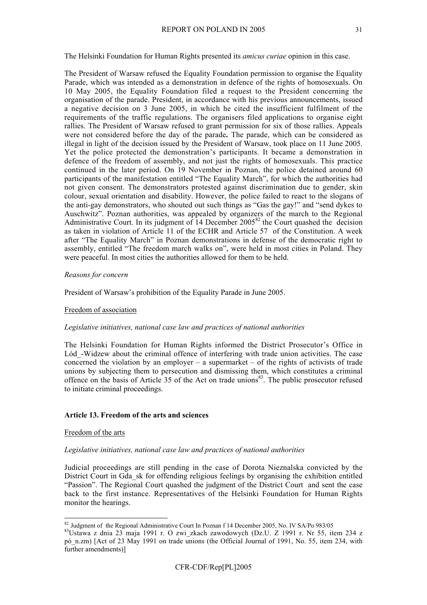The Helsinki Foundation for Human Rights presented its *amicus curiae* opinion in this case.

The President of Warsaw refused the Equality Foundation permission to organise the Equality Parade, which was intended as a demonstration in defence of the rights of homosexuals. On 10 May 2005, the Equality Foundation filed a request to the President concerning the organisation of the parade. President, in accordance with his previous announcements, issued a negative decision on 3 June 2005, in which he cited the insufficient fulfilment of the requirements of the traffic regulations. The organisers filed applications to organise eight rallies. The President of Warsaw refused to grant permission for six of those rallies. Appeals were not considered before the day of the parade. The parade, which can be considered as illegal in light of the decision issued by the President of Warsaw, took place on 11 June 2005. Yet the police protected the demonstration's participants. It became a demonstration in defence of the freedom of assembly, and not just the rights of homosexuals. This practice continued in the later period. On 19 November in Poznan, the police detained around 60 participants of the manifestation entitled "The Equality March", for which the authorities had not given consent. The demonstrators protested against discrimination due to gender, skin colour, sexual orientation and disability. However, the police failed to react to the slogans of the anti-gay demonstrators, who shouted out such things as "Gas the gay!" and "send dykes to Auschwitz". Poznan authorities, was appealed by organizers of the march to the Regional Administrative Court. In its judgment of 14 December  $2005^{82}$  the Court quashed the decision as taken in violation of Article 11 of the ECHR and Article 57 of the Constitution. A week after "The Equality March" in Poznan demonstrations in defense of the democratic right to assembly, entitled "The freedom march walks on", were held in most cities in Poland. They were peaceful. In most cities the authorities allowed for them to be held.

#### *Reasons for concern*

President of Warsaw's prohibition of the Equality Parade in June 2005.

#### Freedom of association

#### *Legislative initiatives, national case law and practices of national authorities*

The Helsinki Foundation for Human Rights informed the District Prosecutor's Office in Lód -Widzew about the criminal offence of interfering with trade union activities. The case concerned the violation by an employer – a supermarket – of the rights of activists of trade unions by subjecting them to persecution and dismissing them, which constitutes a criminal offence on the basis of Article 35 of the Act on trade unions<sup>83</sup>. The public prosecutor refused to initiate criminal proceedings.

#### Article 13. Freedom of the arts and sciences

#### Freedom of the arts

#### *Legislative initiatives, national case law and practices of national authorities*

Judicial proceedings are still pending in the case of Dorota Nieznalska convicted by the District Court in Gda\_sk for offending religious feelings by organising the exhibition entitled "Passion". The Regional Court quashed the judgment of the District Court and sent the case back to the first instance. Representatives of the Helsinki Foundation for Human Rights monitor the hearings.

<sup>&</sup>lt;sup>82</sup> Judgment of the Regional Administrative Court In Poznan f 14 December 2005, No. IV SA/Po 983/05

Ustawa z dnia 23 maja 1991 r. O zwi\_zkach zawodowych (Dz.U. Z 1991 r. Nr 55, item 234 z pó\_n.zm) [Act of 23 May 1991 on trade unions (the Official Journal of 1991, No. 55, item 234, with further amendments)]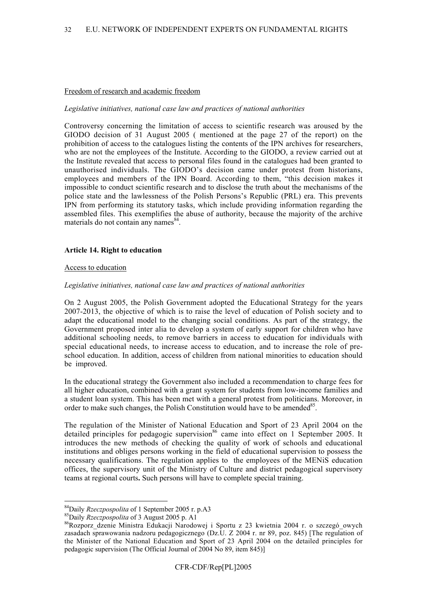## Freedom of research and academic freedom

## *Legislative initiatives, national case law and practices of national authorities*

Controversy concerning the limitation of access to scientific research was aroused by the GIODO decision of 31 August 2005 ( mentioned at the page 27 of the report) on the prohibition of access to the catalogues listing the contents of the IPN archives for researchers, who are not the employees of the Institute. According to the GIODO, a review carried out at the Institute revealed that access to personal files found in the catalogues had been granted to unauthorised individuals. The GIODO's decision came under protest from historians, employees and members of the IPN Board. According to them, "this decision makes it impossible to conduct scientific research and to disclose the truth about the mechanisms of the police state and the lawlessness of the Polish Persons's Republic (PRL) era. This prevents IPN from performing its statutory tasks, which include providing information regarding the assembled files. This exemplifies the abuse of authority, because the majority of the archive materials do not contain any names  $84$ .

## Article 14. Right to education

### Access to education

## *Legislative initiatives, national case law and practices of national authorities*

On 2 August 2005, the Polish Government adopted the Educational Strategy for the years 2007-2013, the objective of which is to raise the level of education of Polish society and to adapt the educational model to the changing social conditions. As part of the strategy, the Government proposed inter alia to develop a system of early support for children who have additional schooling needs, to remove barriers in access to education for individuals with special educational needs, to increase access to education, and to increase the role of preschool education. In addition, access of children from national minorities to education should be improved.

In the educational strategy the Government also included a recommendation to charge fees for all higher education, combined with a grant system for students from low-income families and a student loan system. This has been met with a general protest from politicians. Moreover, in order to make such changes, the Polish Constitution would have to be amended<sup>85</sup>.

The regulation of the Minister of National Education and Sport of 23 April 2004 on the detailed principles for pedagogic supervision<sup>86</sup> came into effect on 1 September 2005. It introduces the new methods of checking the quality of work of schools and educational institutions and obliges persons working in the field of educational supervision to possess the necessary qualifications. The regulation applies to the employees of the MENiS education offices, the supervisory unit of the Ministry of Culture and district pedagogical supervisory teams at regional courts. Such persons will have to complete special training.

 <sup>84</sup> <sup>84</sup>Daily *Rzeczpospolita* of 1 September 2005 r. p.A3<br><sup>85</sup>Deily *Rzeczpospolita* of 2 Ayout 2005 p. A1

<sup>&</sup>lt;sup>85</sup>Daily *Rzeczpospolita* of 3 August 2005 p. A1

<sup>&</sup>lt;sup>86</sup>Rozporz dzenie Ministra Edukacji Narodowej i Sportu z 23 kwietnia 2004 r. o szczegó owych zasadach sprawowania nadzoru pedagogicznego (Dz.U. Z 2004 r. nr 89, poz. 845) [The regulation of the Minister of the National Education and Sport of 23 April 2004 on the detailed principles for pedagogic supervision (The Official Journal of 2004 No 89, item 845)]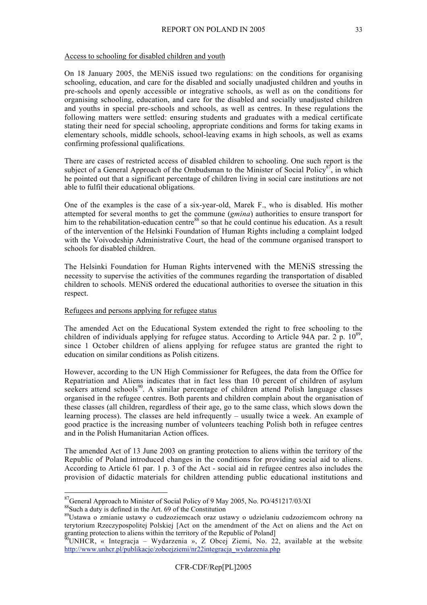#### Access to schooling for disabled children and youth

On 18 January 2005, the MENiS issued two regulations: on the conditions for organising schooling, education, and care for the disabled and socially unadjusted children and youths in pre-schools and openly accessible or integrative schools, as well as on the conditions for organising schooling, education, and care for the disabled and socially unadjusted children and youths in special pre-schools and schools, as well as centres. In these regulations the following matters were settled: ensuring students and graduates with a medical certificate stating their need for special schooling, appropriate conditions and forms for taking exams in elementary schools, middle schools, school-leaving exams in high schools, as well as exams confirming professional qualifications.

There are cases of restricted access of disabled children to schooling. One such report is the subject of a General Approach of the Ombudsman to the Minister of Social Policy<sup>87</sup>, in which he pointed out that a significant percentage of children living in social care institutions are not able to fulfil their educational obligations.

One of the examples is the case of a six-year-old, Marek F., who is disabled. His mother attempted for several months to get the commune (*gmina*) authorities to ensure transport for him to the rehabilitation-education centre<sup>88</sup> so that he could continue his education. As a result of the intervention of the Helsinki Foundation of Human Rights including a complaint lodged with the Voivodeship Administrative Court, the head of the commune organised transport to schools for disabled children.

The Helsinki Foundation for Human Rights intervened with the MENiS stressing the necessity to supervise the activities of the communes regarding the transportation of disabled children to schools. MENiS ordered the educational authorities to oversee the situation in this respect.

## Refugees and persons applying for refugee status

The amended Act on the Educational System extended the right to free schooling to the children of individuals applying for refugee status. According to Article 94A par. 2 p.  $10^{89}$ , since 1 October children of aliens applying for refugee status are granted the right to education on similar conditions as Polish citizens.

However, according to the UN High Commissioner for Refugees, the data from the Office for Repatriation and Aliens indicates that in fact less than 10 percent of children of asylum seekers attend schools<sup>90</sup>. A similar percentage of children attend Polish language classes organised in the refugee centres. Both parents and children complain about the organisation of these classes (all children, regardless of their age, go to the same class, which slows down the learning process). The classes are held infrequently – usually twice a week. An example of good practice is the increasing number of volunteers teaching Polish both in refugee centres and in the Polish Humanitarian Action offices.

The amended Act of 13 June 2003 on granting protection to aliens within the territory of the Republic of Poland introduced changes in the conditions for providing social aid to aliens. According to Article 61 par. 1 p. 3 of the Act - social aid in refugee centres also includes the provision of didactic materials for children attending public educational institutions and

 <sup>87</sup> General Approach to Minister of Social Policy of 9 May 2005, No. PO/451217/03/XI

<sup>88</sup> Such a duty is defined in the Art. 69 of the Constitution

<sup>&</sup>lt;sup>89</sup>Ustawa o zmianie ustawy o cudzoziemcach oraz ustawy o udzielaniu cudzoziemcom ochrony na terytorium Rzeczypospolitej Polskiej [Act on the amendment of the Act on aliens and the Act on

granting protection to aliens within the territory of the Republic of Poland]<br><sup>90</sup>UNHCR, « Integracja – Wydarzenia », Z Obcej Ziemi, No. 22, available at the website http://www.unhcr.pl/publikacje/zobcejziemi/nr22integracja\_wydarzenia.php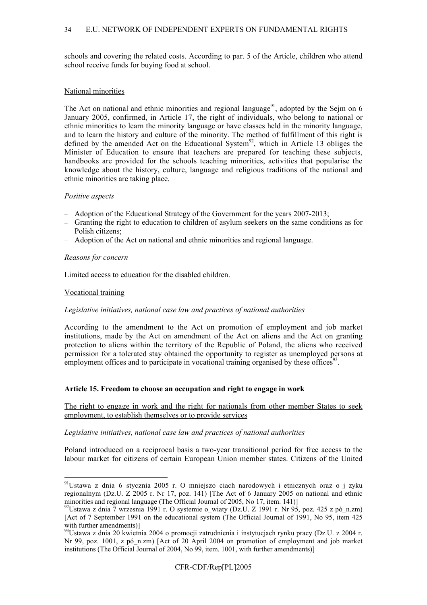#### E.U. NETWORK OF INDEPENDENT EXPERTS ON FUNDAMENTAL RIGHTS 34

schools and covering the related costs. According to par. 5 of the Article, children who attend school receive funds for buying food at school.

## National minorities

The Act on national and ethnic minorities and regional language<sup>91</sup>, adopted by the Sejm on 6 January 2005, confirmed, in Article 17, the right of individuals, who belong to national or ethnic minorities to learn the minority language or have classes held in the minority language, and to learn the history and culture of the minority. The method of fulfillment of this right is defined by the amended Act on the Educational System<sup>92</sup>, which in Article 13 obliges the Minister of Education to ensure that teachers are prepared for teaching these subjects, handbooks are provided for the schools teaching minorities, activities that popularise the knowledge about the history, culture, language and religious traditions of the national and ethnic minorities are taking place.

## *Positive aspects*

- Adoption of the Educational Strategy of the Government for the years 2007-2013;
- Granting the right to education to children of asylum seekers on the same conditions as for Polish citizens;
- Adoption of the Act on national and ethnic minorities and regional language.

## *Reasons for concern*

Limited access to education for the disabled children.

## Vocational training

## *Legislative initiatives, national case law and practices of national authorities*

According to the amendment to the Act on promotion of employment and job market institutions, made by the Act on amendment of the Act on aliens and the Act on granting protection to aliens within the territory of the Republic of Poland, the aliens who received permission for a tolerated stay obtained the opportunity to register as unemployed persons at employment offices and to participate in vocational training organised by these offices<sup>93</sup>.

### Article 15. Freedom to choose an occupation and right to engage in work

The right to engage in work and the right for nationals from other member States to seek employment, to establish themselves or to provide services

### *Legislative initiatives, national case law and practices of national authorities*

Poland introduced on a reciprocal basis a two-year transitional period for free access to the labour market for citizens of certain European Union member states. Citizens of the United

 <sup>91</sup> Ustawa z dnia 6 stycznia 2005 r. O mniejszo\_ciach narodowych i etnicznych oraz o j\_zyku regionalnym (Dz.U. Z 2005 r. Nr 17, poz. 141) [The Act of 6 January 2005 on national and ethnic minorities and regional language (The Official Journal of 2005, No 17, item. 141)]

<sup>92</sup> Ustawa z dnia 7 wrzesnia 1991 r. O systemie o\_wiaty (Dz.U. Z 1991 r. Nr 95, poz. 425 z pó\_n.zm) [Act of 7 September 1991 on the educational system (The Official Journal of 1991, No 95, item 425 with further amendments)]

<sup>93</sup> Ustawa z dnia 20 kwietnia 2004 o promocji zatrudnienia i instytucjach rynku pracy (Dz.U. z 2004 r. Nr 99, poz. 1001, z pó n.zm) [Act of 20 April 2004 on promotion of employment and job market institutions (The Official Journal of 2004, No 99, item. 1001, with further amendments)]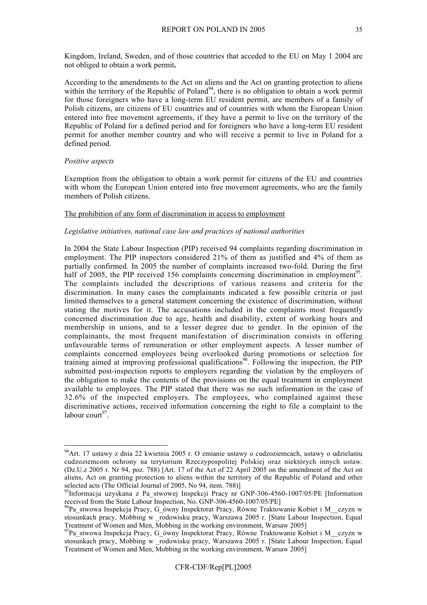Kingdom, Ireland, Sweden, and of those countries that acceded to the EU on May 1 2004 are not obliged to obtain a work permit.

According to the amendments to the Act on aliens and the Act on granting protection to aliens within the territory of the Republic of Poland<sup>94</sup>, there is no obligation to obtain a work permit for those foreigners who have a long-term EU resident permit, are members of a family of Polish citizens, are citizens of EU countries and of countries with whom the European Union entered into free movement agreements, if they have a permit to live on the territory of the Republic of Poland for a defined period and for foreigners who have a long-term EU resident permit for another member country and who will receive a permit to live in Poland for a defined period.

#### *Positive aspects*

Exemption from the obligation to obtain a work permit for citizens of the EU and countries with whom the European Union entered into free movement agreements, who are the family members of Polish citizens.

#### The prohibition of any form of discrimination in access to employment

#### *Legislative initiatives, national case law and practices of national authorities*

In 2004 the State Labour Inspection (PIP) received 94 complaints regarding discrimination in employment. The PIP inspectors considered 21% of them as justified and 4% of them as partially confirmed. In 2005 the number of complaints increased two-fold. During the first half of 2005, the PIP received 156 complaints concerning discrimination in employment<sup>95</sup>. The complaints included the descriptions of various reasons and criteria for the discrimination. In many cases the complainants indicated a few possible criteria or just limited themselves to a general statement concerning the existence of discrimination, without stating the motives for it. The accusations included in the complaints most frequently concerned discrimination due to age, health and disability, extent of working hours and membership in unions, and to a lesser degree due to gender. In the opinion of the complainants, the most frequent manifestation of discrimination consists in offering unfavourable terms of remuneration or other employment aspects. A lesser number of complaints concerned employees being overlooked during promotions or selection for training aimed at improving professional qualifications<sup>96</sup>. Following the inspection, the PIP submitted post-inspection reports to employers regarding the violation by the employers of the obligation to make the contents of the provisions on the equal treatment in employment available to employees. The PIP stated that there was no such information in the case of 32.6% of the inspected employers. The employees, who complained against these discriminative actions, received information concerning the right to file a complaint to the labour court<sup>97</sup>.

 <sup>94</sup> Art. 17 ustawy z dnia 22 kwietnia 2005 r. O zmianie ustawy o cudzoziemcach, ustawy o udzielaniu cudzoziemcom ochrony na terytorium Rzeczypospolitej Polskiej oraz niektórych innych ustaw. (Dz.U.z 2005 r. Nr 94, poz. 788) [Art. 17 of the Act of 22 April 2005 on the amendment of the Act on aliens, Act on granting protection to aliens within the territory of the Republic of Poland and other selected acts (The Official Journal of 2005, No 94, item. 788)]

<sup>&</sup>lt;sup>95</sup>Informacja uzyskana z Pa\_stwowej Inspekcji Pracy nr GNP-306-4560-1007/05/PE [Information received from the State Labour Inspection, No. GNP-306-4560-1007/05/PE]

<sup>96</sup> Pa\_stwowa Inspekcja Pracy, G\_ówny Inspektorat Pracy, Równe Traktowanie Kobiet i M\_\_czyzn w stosunkach pracy, Mobbing w \_rodowisku pracy, Warszawa 2005 r. [State Labour Inspection, Equal Treatment of Women and Men, Mobbing in the working environment, Warsaw 2005]

<sup>97</sup> Pa\_stwowa Inspekcja Pracy, G\_ówny Inspektorat Pracy, Równe Traktowanie Kobiet i M\_\_czyzn w stosunkach pracy, Mobbing w \_rodowisku pracy, Warszawa 2005 r. [State Labour Inspection, Equal Treatment of Women and Men, Mobbing in the working environment, Warsaw 2005]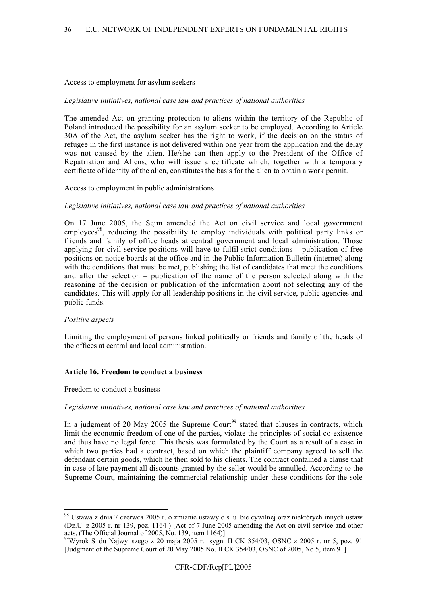## Access to employment for asylum seekers

### *Legislative initiatives, national case law and practices of national authorities*

The amended Act on granting protection to aliens within the territory of the Republic of Poland introduced the possibility for an asylum seeker to be employed. According to Article 30A of the Act, the asylum seeker has the right to work, if the decision on the status of refugee in the first instance is not delivered within one year from the application and the delay was not caused by the alien. He/she can then apply to the President of the Office of Repatriation and Aliens, who will issue a certificate which, together with a temporary certificate of identity of the alien, constitutes the basis for the alien to obtain a work permit.

### Access to employment in public administrations

## *Legislative initiatives, national case law and practices of national authorities*

On 17 June 2005, the Sejm amended the Act on civil service and local government employees<sup>98</sup>, reducing the possibility to employ individuals with political party links or friends and family of office heads at central government and local administration. Those applying for civil service positions will have to fulfil strict conditions – publication of free positions on notice boards at the office and in the Public Information Bulletin (internet) along with the conditions that must be met, publishing the list of candidates that meet the conditions and after the selection – publication of the name of the person selected along with the reasoning of the decision or publication of the information about not selecting any of the candidates. This will apply for all leadership positions in the civil service, public agencies and public funds.

### *Positive aspects*

Limiting the employment of persons linked politically or friends and family of the heads of the offices at central and local administration.

### Article 16. Freedom to conduct a business

#### Freedom to conduct a business

### *Legislative initiatives, national case law and practices of national authorities*

In a judgment of 20 May 2005 the Supreme Court<sup>99</sup> stated that clauses in contracts, which limit the economic freedom of one of the parties, violate the principles of social co-existence and thus have no legal force. This thesis was formulated by the Court as a result of a case in which two parties had a contract, based on which the plaintiff company agreed to sell the defendant certain goods, which he then sold to his clients. The contract contained a clause that in case of late payment all discounts granted by the seller would be annulled. According to the Supreme Court, maintaining the commercial relationship under these conditions for the sole

<sup>&</sup>lt;sup>98</sup> Ustawa z dnia 7 czerwca 2005 r. o zmianie ustawy o s\_u\_bie cywilnej oraz niektórych innych ustaw (Dz.U. z 2005 r. nr 139, poz. 1164) [Act of 7 June 2005 amending the Act on civil service and other acts, (The Official Journal of 2005, No. 139, item 1164)]

<sup>99</sup> Wyrok S\_du Najwy\_szego z 20 maja 2005 r. sygn. II CK 354/03, OSNC z 2005 r. nr 5, poz. 91 [Judgment of the Supreme Court of 20 May 2005 No. II CK 354/03, OSNC of 2005, No 5, item 91]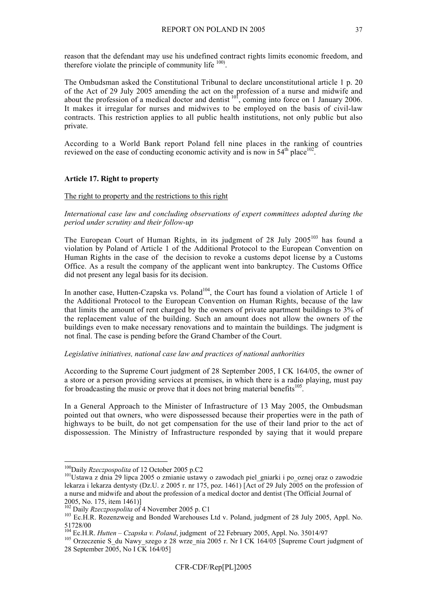reason that the defendant may use his undefined contract rights limits economic freedom, and therefore violate the principle of community life  $100$ .

The Ombudsman asked the Constitutional Tribunal to declare unconstitutional article 1 p. 20 of the Act of 29 July 2005 amending the act on the profession of a nurse and midwife and about the profession of a medical doctor and dentist  $^{10^{\dagger}}$ , coming into force on 1 January 2006. It makes it irregular for nurses and midwives to be employed on the basis of civil-law contracts. This restriction applies to all public health institutions, not only public but also private.

According to a World Bank report Poland fell nine places in the ranking of countries reviewed on the ease of conducting economic activity and is now in  $54<sup>th</sup>$  place<sup>102</sup>.

#### Article 17. Right to property

#### The right to property and the restrictions to this right

*International case law and concluding observations of expert committees adopted during the period under scrutiny and their follow-up*

The European Court of Human Rights, in its judgment of 28 July  $2005^{103}$  has found a violation by Poland of Article 1 of the Additional Protocol to the European Convention on Human Rights in the case of the decision to revoke a customs depot license by a Customs Office. As a result the company of the applicant went into bankruptcy. The Customs Office did not present any legal basis for its decision.

In another case, Hutten-Czapska vs. Poland<sup>104</sup>, the Court has found a violation of Article 1 of the Additional Protocol to the European Convention on Human Rights, because of the law that limits the amount of rent charged by the owners of private apartment buildings to 3% of the replacement value of the building. Such an amount does not allow the owners of the buildings even to make necessary renovations and to maintain the buildings. The judgment is not final. The case is pending before the Grand Chamber of the Court.

## *Legislative initiatives, national case law and practices of national authorities*

According to the Supreme Court judgment of 28 September 2005, I CK 164/05, the owner of a store or a person providing services at premises, in which there is a radio playing, must pay for broadcasting the music or prove that it does not bring material benefits $^{105}$ .

In a General Approach to the Minister of Infrastructure of 13 May 2005, the Ombudsman pointed out that owners, who were dispossessed because their properties were in the path of highways to be built, do not get compensation for the use of their land prior to the act of dispossession. The Ministry of Infrastructure responded by saying that it would prepare

<sup>&</sup>lt;sup>100</sup> <sup>100</sup>Daily *Rzeczpospolita* of 12 October 2005 p.C2<br><sup>101</sup>Llatays a dnie 20 linea 2005 o gminuje urtav

<sup>&</sup>lt;sup>101</sup>Ustawa z dnia 29 lipca 2005 o zmianie ustawy o zawodach piel\_gniarki i po\_oznej oraz o zawodzie lekarza i lekarza dentysty (Dz.U. z 2005 r. nr 175, poz. 1461) [Act of 29 July 2005 on the profession of a nurse and midwife and about the profession of a medical doctor and dentist (The Official Journal of 2005, No. 175, item 1461)]

 $102$  Daily *Rzeczpospolita* of 4 November 2005 p. C1

<sup>&</sup>lt;sup>103</sup> Ec.H.R. Rozenzweig and Bonded Warehouses Ltd v. Poland, judgment of 28 July 2005, Appl. No. 51728/00

<sup>&</sup>lt;sup>104</sup> Ec.H.R. *Hutten – Czapska v. Poland*, judgment of 22 February 2005, Appl. No. 35014/97

<sup>&</sup>lt;sup>105</sup> Orzeczenie S\_du Nawy\_szego z 28 wrze\_nia 2005 r. Nr I CK 164/05 [Supreme Court judgment of 28 September 2005, No I CK 164/05]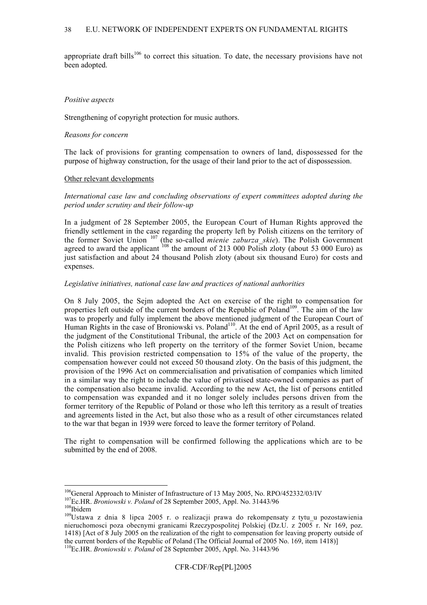appropriate draft bills<sup>106</sup> to correct this situation. To date, the necessary provisions have not been adopted.

#### *Positive aspects*

Strengthening of copyright protection for music authors.

## *Reasons for concern*

The lack of provisions for granting compensation to owners of land, dispossessed for the purpose of highway construction, for the usage of their land prior to the act of dispossession.

#### Other relevant developments

## *International case law and concluding observations of expert committees adopted during the period under scrutiny and their follow-up*

In a judgment of 28 September 2005, the European Court of Human Rights approved the friendly settlement in the case regarding the property left by Polish citizens on the territory of the former Soviet Union <sup>107</sup> (the so-called *mienie zaburza skie*). The Polish Government agreed to award the applicant  $108$  the amount of 213 000 Polish zloty (about 53 000 Euro) as just satisfaction and about 24 thousand Polish zloty (about six thousand Euro) for costs and expenses.

## *Legislative initiatives, national case law and practices of national authorities*

On 8 July 2005, the Sejm adopted the Act on exercise of the right to compensation for properties left outside of the current borders of the Republic of Poland<sup>109</sup>. The aim of the law was to properly and fully implement the above mentioned judgment of the European Court of Human Rights in the case of Broniowski vs. Poland<sup>110</sup>. At the end of April 2005, as a result of the judgment of the Constitutional Tribunal, the article of the 2003 Act on compensation for the Polish citizens who left property on the territory of the former Soviet Union, became invalid. This provision restricted compensation to 15% of the value of the property, the compensation however could not exceed 50 thousand zloty. On the basis of this judgment, the provision of the 1996 Act on commercialisation and privatisation of companies which limited in a similar way the right to include the value of privatised state-owned companies as part of the compensation also became invalid. According to the new Act, the list of persons entitled to compensation was expanded and it no longer solely includes persons driven from the former territory of the Republic of Poland or those who left this territory as a result of treaties and agreements listed in the Act, but also those who as a result of other circumstances related to the war that began in 1939 were forced to leave the former territory of Poland.

The right to compensation will be confirmed following the applications which are to be submitted by the end of 2008.

<sup>&</sup>lt;sup>106</sup> <sup>106</sup>General Approach to Minister of Infrastructure of 13 May 2005, No. RPO/452332/03/IV  $^{107}$ Ee HP, *Pusniquali ii*, *Poland* of 28 Soptember 2005, Appl. No. 21442/06 <sup>107</sup>Ec.HR. *Broniowski v. Poland* of 28 September 2005, Appl. No. 31443/96  $108$ Ibidem

 $109$ Ustawa z dnia 8 lipca 2005 r. o realizacji prawa do rekompensaty z tytu\_u pozostawienia nieruchomosci poza obecnymi granicami Rzeczypospolitej Polskiej (Dz.U. z 2005 r. Nr 169, poz. 1418) [Act of 8 July 2005 on the realization of the right to compensation for leaving property outside of the current borders of the Republic of Poland (The Official Journal of 2005 No. 169, item 1418)] 110 Ec.HR. *Broniowski v. Poland* of 28 September 2005, Appl. No. 31443/96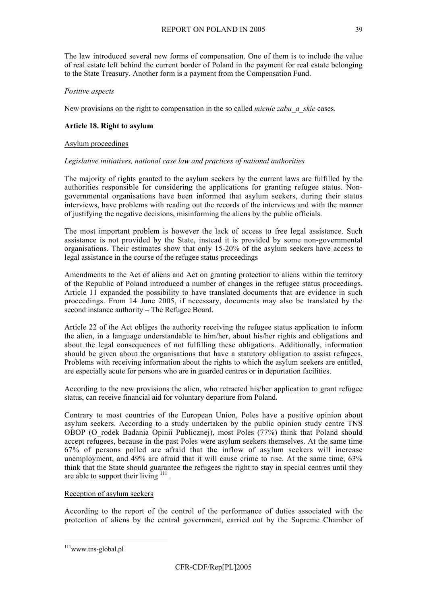The law introduced several new forms of compensation. One of them is to include the value of real estate left behind the current border of Poland in the payment for real estate belonging to the State Treasury. Another form is a payment from the Compensation Fund.

## *Positive aspects*

New provisions on the right to compensation in the so called *mienie zabu\_a\_skie* cases.

## Article 18. Right to asylum

## Asylum proceedings

## *Legislative initiatives, national case law and practices of national authorities*

The majority of rights granted to the asylum seekers by the current laws are fulfilled by the authorities responsible for considering the applications for granting refugee status. Nongovernmental organisations have been informed that asylum seekers, during their status interviews, have problems with reading out the records of the interviews and with the manner of justifying the negative decisions, misinforming the aliens by the public officials.

The most important problem is however the lack of access to free legal assistance. Such assistance is not provided by the State, instead it is provided by some non-governmental organisations. Their estimates show that only 15-20% of the asylum seekers have access to legal assistance in the course of the refugee status proceedings

Amendments to the Act of aliens and Act on granting protection to aliens within the territory of the Republic of Poland introduced a number of changes in the refugee status proceedings. Article 11 expanded the possibility to have translated documents that are evidence in such proceedings. From 14 June 2005, if necessary, documents may also be translated by the second instance authority – The Refugee Board.

Article 22 of the Act obliges the authority receiving the refugee status application to inform the alien, in a language understandable to him/her, about his/her rights and obligations and about the legal consequences of not fulfilling these obligations. Additionally, information should be given about the organisations that have a statutory obligation to assist refugees. Problems with receiving information about the rights to which the asylum seekers are entitled, are especially acute for persons who are in guarded centres or in deportation facilities.

According to the new provisions the alien, who retracted his/her application to grant refugee status, can receive financial aid for voluntary departure from Poland.

Contrary to most countries of the European Union, Poles have a positive opinion about asylum seekers. According to a study undertaken by the public opinion study centre TNS OBOP (O\_rodek Badania Opinii Publicznej), most Poles (77%) think that Poland should accept refugees, because in the past Poles were asylum seekers themselves. At the same time 67% of persons polled are afraid that the inflow of asylum seekers will increase unemployment, and 49% are afraid that it will cause crime to rise. At the same time, 63% think that the State should guarantee the refugees the right to stay in special centres until they are able to support their living  $111$ .

## Reception of asylum seekers

According to the report of the control of the performance of duties associated with the protection of aliens by the central government, carried out by the Supreme Chamber of

 $111$ www.tns-global.pl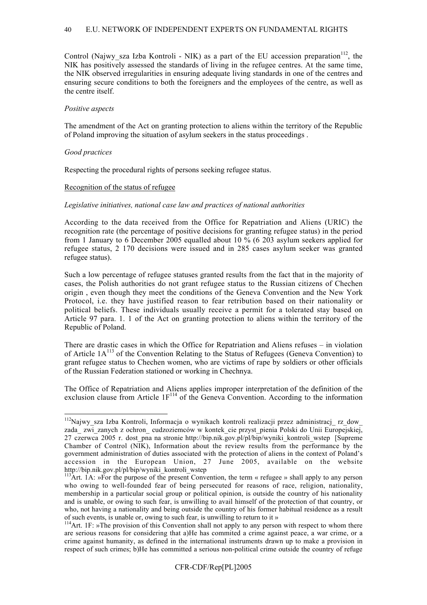Control (Najwy sza Izba Kontroli - NIK) as a part of the EU accession preparation<sup>112</sup>, the NIK has positively assessed the standards of living in the refugee centres. At the same time, the NIK observed irregularities in ensuring adequate living standards in one of the centres and ensuring secure conditions to both the foreigners and the employees of the centre, as well as the centre itself.

#### *Positive aspects*

The amendment of the Act on granting protection to aliens within the territory of the Republic of Poland improving the situation of asylum seekers in the status proceedings .

#### *Good practices*

Respecting the procedural rights of persons seeking refugee status.

#### Recognition of the status of refugee

#### *Legislative initiatives, national case law and practices of national authorities*

According to the data received from the Office for Repatriation and Aliens (URIC) the recognition rate (the percentage of positive decisions for granting refugee status) in the period from 1 January to 6 December 2005 equalled about 10 % (6 203 asylum seekers applied for refugee status, 2 170 decisions were issued and in 285 cases asylum seeker was granted refugee status).

Such a low percentage of refugee statuses granted results from the fact that in the majority of cases, the Polish authorities do not grant refugee status to the Russian citizens of Chechen origin , even though they meet the conditions of the Geneva Convention and the New York Protocol, i.e. they have justified reason to fear retribution based on their nationality or political beliefs. These individuals usually receive a permit for a tolerated stay based on Article 97 para. 1. 1 of the Act on granting protection to aliens within the territory of the Republic of Poland.

There are drastic cases in which the Office for Repatriation and Aliens refuses – in violation of Article  $1A^{113}$  of the Convention Relating to the Status of Refugees (Geneva Convention) to grant refugee status to Chechen women, who are victims of rape by soldiers or other officials of the Russian Federation stationed or working in Chechnya.

The Office of Repatriation and Aliens applies improper interpretation of the definition of the exclusion clause from Article  $1F<sup>114</sup>$  of the Geneva Convention. According to the information

nde 112<br>
112 Najwy sza Izba Kontroli, Informacja o wynikach kontroli realizacji przez administracj rz dow zada zwi zanych z ochron cudzoziemców w kontek cie przyst pienia Polski do Unii Europejskiej, 27 czerwca 2005 r. dost\_pna na stronie http://bip.nik.gov.pl/pl/bip/wyniki\_kontroli\_wstep [Supreme Chamber of Control (NIK), Information about the review results from the performance by the government administration of duties associated with the protection of aliens in the context of Poland's accession in the European Union, 27 June 2005, available on the website http://bip.nik.gov.pl/pl/bip/wyniki\_kontroli\_wstep

<sup>&</sup>lt;sup>113</sup>Art. 1A: »For the purpose of the present Convention, the term « refugee » shall apply to any person who owing to well-founded fear of being persecuted for reasons of race, religion, nationality, membership in a particular social group or political opinion, is outside the country of his nationality and is unable, or owing to such fear, is unwilling to avail himself of the protection of that country, or who, not having a nationality and being outside the country of his former habitual residence as a result of such events, is unable or, owing to such fear, is unwilling to return to it  $\frac{114}{114}$  art 1E;  $\frac{11}{114}$  art 1E;  $\frac{11}{114}$  art 1E;  $\frac{11}{114}$ 

<sup>&</sup>lt;sup>4</sup>Art. 1F:  $\sqrt{2}$  The provision of this Convention shall not apply to any person with respect to whom there are serious reasons for considering that a)He has commited a crime against peace, a war crime, or a crime against humanity, as defined in the international instruments drawn up to make a provision in respect of such crimes; b)He has committed a serious non-political crime outside the country of refuge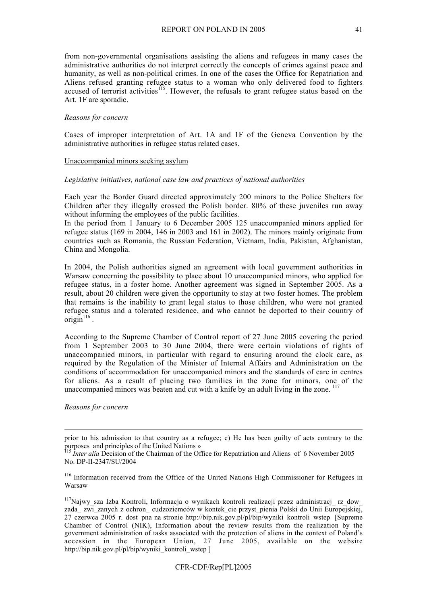from non-governmental organisations assisting the aliens and refugees in many cases the administrative authorities do not interpret correctly the concepts of crimes against peace and humanity, as well as non-political crimes. In one of the cases the Office for Repatriation and Aliens refused granting refugee status to a woman who only delivered food to fighters accused of terrorist activities<sup>115</sup>. However, the refusals to grant refugee status based on the Art. 1F are sporadic.

#### *Reasons for concern*

Cases of improper interpretation of Art. 1A and 1F of the Geneva Convention by the administrative authorities in refugee status related cases.

#### Unaccompanied minors seeking asylum

#### *Legislative initiatives, national case law and practices of national authorities*

Each year the Border Guard directed approximately 200 minors to the Police Shelters for Children after they illegally crossed the Polish border. 80% of these juveniles run away without informing the employees of the public facilities.

In the period from 1 January to 6 December 2005 125 unaccompanied minors applied for refugee status (169 in 2004, 146 in 2003 and 161 in 2002). The minors mainly originate from countries such as Romania, the Russian Federation, Vietnam, India, Pakistan, Afghanistan, China and Mongolia.

In 2004, the Polish authorities signed an agreement with local government authorities in Warsaw concerning the possibility to place about 10 unaccompanied minors, who applied for refugee status, in a foster home. Another agreement was signed in September 2005. As a result, about 20 children were given the opportunity to stay at two foster homes. The problem that remains is the inability to grant legal status to those children, who were not granted refugee status and a tolerated residence, and who cannot be deported to their country of origin $116$ .

According to the Supreme Chamber of Control report of 27 June 2005 covering the period from 1 September 2003 to 30 June 2004, there were certain violations of rights of unaccompanied minors, in particular with regard to ensuring around the clock care, as required by the Regulation of the Minister of Internal Affairs and Administration on the conditions of accommodation for unaccompanied minors and the standards of care in centres for aliens. As a result of placing two families in the zone for minors, one of the unaccompanied minors was beaten and cut with a knife by an adult living in the zone.<sup>117</sup>

*Reasons for concern*

<sup>116</sup> Information received from the Office of the United Nations High Commissioner for Refugees in Warsaw

<sup>117</sup>Najwy sza Izba Kontroli, Informacja o wynikach kontroli realizacji przez administracj rz dow zada zwi zanych z ochron cudzoziemców w kontek cie przyst pienia Polski do Unii Europejskiej, 27 czerwca 2005 r. dost\_pna na stronie http://bip.nik.gov.pl/pl/bip/wyniki\_kontroli\_wstep [Supreme Chamber of Control (NIK), Information about the review results from the realization by the government administration of tasks associated with the protection of aliens in the context of Poland's accession in the European Union, 27 June 2005, available on the website http://bip.nik.gov.pl/pl/bip/wyniki\_kontroli\_wstep ]

prior to his admission to that country as a refugee; c) He has been guilty of acts contrary to the purposes and principles of the United Nations »

<sup>&</sup>lt;sup>115</sup> *Inter alia* Decision of the Chairman of the Office for Repatriation and Aliens of 6 November 2005 No. DP-II-2347/SU/2004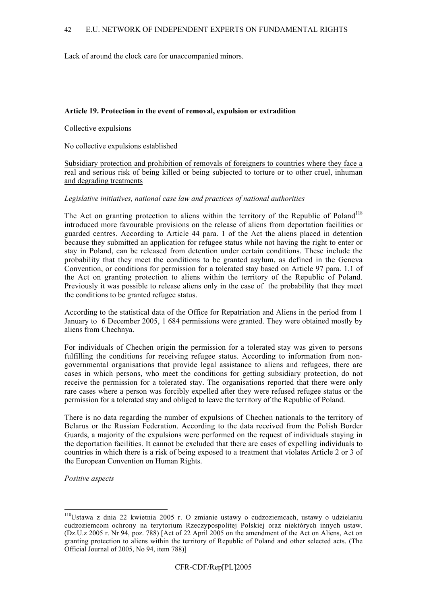Lack of around the clock care for unaccompanied minors.

## Article 19. Protection in the event of removal, expulsion or extradition

#### Collective expulsions

No collective expulsions established

Subsidiary protection and prohibition of removals of foreigners to countries where they face a real and serious risk of being killed or being subjected to torture or to other cruel, inhuman and degrading treatments

#### *Legislative initiatives, national case law and practices of national authorities*

The Act on granting protection to aliens within the territory of the Republic of Poland<sup>118</sup> introduced more favourable provisions on the release of aliens from deportation facilities or guarded centres. According to Article 44 para. 1 of the Act the aliens placed in detention because they submitted an application for refugee status while not having the right to enter or stay in Poland, can be released from detention under certain conditions. These include the probability that they meet the conditions to be granted asylum, as defined in the Geneva Convention, or conditions for permission for a tolerated stay based on Article 97 para. 1.1 of the Act on granting protection to aliens within the territory of the Republic of Poland. Previously it was possible to release aliens only in the case of the probability that they meet the conditions to be granted refugee status.

According to the statistical data of the Office for Repatriation and Aliens in the period from 1 January to 6 December 2005, 1 684 permissions were granted. They were obtained mostly by aliens from Chechnya.

For individuals of Chechen origin the permission for a tolerated stay was given to persons fulfilling the conditions for receiving refugee status. According to information from nongovernmental organisations that provide legal assistance to aliens and refugees, there are cases in which persons, who meet the conditions for getting subsidiary protection, do not receive the permission for a tolerated stay. The organisations reported that there were only rare cases where a person was forcibly expelled after they were refused refugee status or the permission for a tolerated stay and obliged to leave the territory of the Republic of Poland.

There is no data regarding the number of expulsions of Chechen nationals to the territory of Belarus or the Russian Federation. According to the data received from the Polish Border Guards, a majority of the expulsions were performed on the request of individuals staying in the deportation facilities. It cannot be excluded that there are cases of expelling individuals to countries in which there is a risk of being exposed to a treatment that violates Article 2 or 3 of the European Convention on Human Rights.

*Positive aspects*

 <sup>118</sup> Ustawa z dnia 22 kwietnia 2005 r. O zmianie ustawy o cudzoziemcach, ustawy o udzielaniu cudzoziemcom ochrony na terytorium Rzeczypospolitej Polskiej oraz niektórych innych ustaw. (Dz.U.z 2005 r. Nr 94, poz. 788) [Act of 22 April 2005 on the amendment of the Act on Aliens, Act on granting protection to aliens within the territory of Republic of Poland and other selected acts. (The Official Journal of 2005, No 94, item 788)]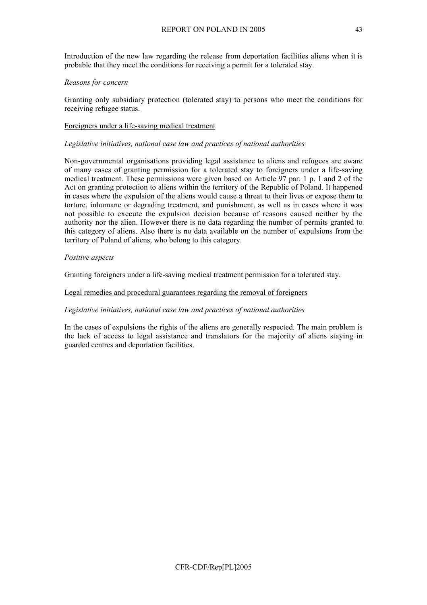Introduction of the new law regarding the release from deportation facilities aliens when it is probable that they meet the conditions for receiving a permit for a tolerated stay.

## *Reasons for concern*

Granting only subsidiary protection (tolerated stay) to persons who meet the conditions for receiving refugee status.

## Foreigners under a life-saving medical treatment

## *Legislative initiatives, national case law and practices of national authorities*

Non-governmental organisations providing legal assistance to aliens and refugees are aware of many cases of granting permission for a tolerated stay to foreigners under a life-saving medical treatment. These permissions were given based on Article 97 par. 1 p. 1 and 2 of the Act on granting protection to aliens within the territory of the Republic of Poland. It happened in cases where the expulsion of the aliens would cause a threat to their lives or expose them to torture, inhumane or degrading treatment, and punishment, as well as in cases where it was not possible to execute the expulsion decision because of reasons caused neither by the authority nor the alien. However there is no data regarding the number of permits granted to this category of aliens. Also there is no data available on the number of expulsions from the territory of Poland of aliens, who belong to this category.

## *Positive aspects*

Granting foreigners under a life-saving medical treatment permission for a tolerated stay.

## Legal remedies and procedural guarantees regarding the removal of foreigners

## *Legislative initiatives, national case law and practices of national authorities*

In the cases of expulsions the rights of the aliens are generally respected. The main problem is the lack of access to legal assistance and translators for the majority of aliens staying in guarded centres and deportation facilities.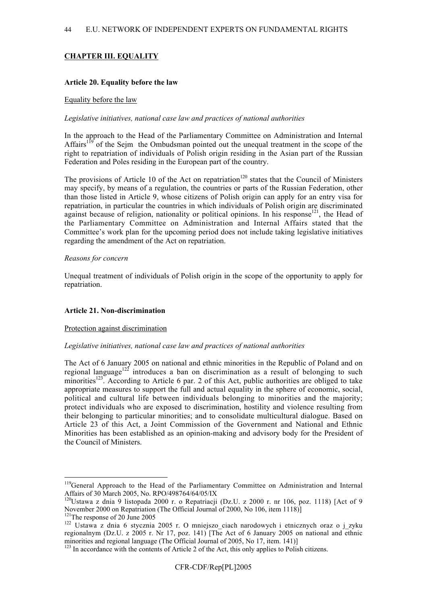#### E.U. NETWORK OF INDEPENDENT EXPERTS ON FUNDAMENTAL RIGHTS 44

# CHAPTER III. EQUALITY

## Article 20. Equality before the law

#### Equality before the law

## *Legislative initiatives, national case law and practices of national authorities*

In the approach to the Head of the Parliamentary Committee on Administration and Internal Affairs<sup>119</sup> of the Sejm the Ombudsman pointed out the unequal treatment in the scope of the right to repatriation of individuals of Polish origin residing in the Asian part of the Russian Federation and Poles residing in the European part of the country.

The provisions of Article 10 of the Act on repatriation<sup>120</sup> states that the Council of Ministers may specify, by means of a regulation, the countries or parts of the Russian Federation, other than those listed in Article 9, whose citizens of Polish origin can apply for an entry visa for repatriation, in particular the countries in which individuals of Polish origin are discriminated against because of religion, nationality or political opinions. In his response<sup>121</sup>, the Head of the Parliamentary Committee on Administration and Internal Affairs stated that the Committee's work plan for the upcoming period does not include taking legislative initiatives regarding the amendment of the Act on repatriation.

#### *Reasons for concern*

Unequal treatment of individuals of Polish origin in the scope of the opportunity to apply for repatriation.

## Article 21. Non-discrimination

#### Protection against discrimination

#### *Legislative initiatives, national case law and practices of national authorities*

The Act of 6 January 2005 on national and ethnic minorities in the Republic of Poland and on regional language<sup>122</sup> introduces a ban on discrimination as a result of belonging to such minorities<sup>123</sup>. According to Article 6 par. 2 of this Act, public authorities are obliged to take appropriate measures to support the full and actual equality in the sphere of economic, social, political and cultural life between individuals belonging to minorities and the majority; protect individuals who are exposed to discrimination, hostility and violence resulting from their belonging to particular minorities; and to consolidate multicultural dialogue. Based on Article 23 of this Act, a Joint Commission of the Government and National and Ethnic Minorities has been established as an opinion-making and advisory body for the President of the Council of Ministers.

<sup>&</sup>lt;sup>119</sup> General Approach to the Head of the Parliamentary Committee on Administration and Internal Affairs of 30 March 2005, No. RPO/498764/64/05/IX<br><sup>120</sup>Ustawa z dnia 9 listopada 2000 r. o Repatriacji (Dz.U. z 2000 r. nr 106, poz. 1118) [Act of 9

November 2000 on Repatriation (The Official Journal of 2000, No 106, item 1118)]

<sup>&</sup>lt;sup>121</sup>The response of 20 June 2005

<sup>&</sup>lt;sup>122</sup> Ustawa z dnia 6 stycznia 2005 r. O mniejszo\_ciach narodowych i etnicznych oraz o j\_zyku regionalnym (Dz.U. z 2005 r. Nr 17, poz. 141) [The Act of 6 January 2005 on national and ethnic minorities and regional language (The Official Journal of 2005, No 17, item. 141)]

<sup>&</sup>lt;sup>123</sup> In accordance with the contents of Article 2 of the Act, this only applies to Polish citizens.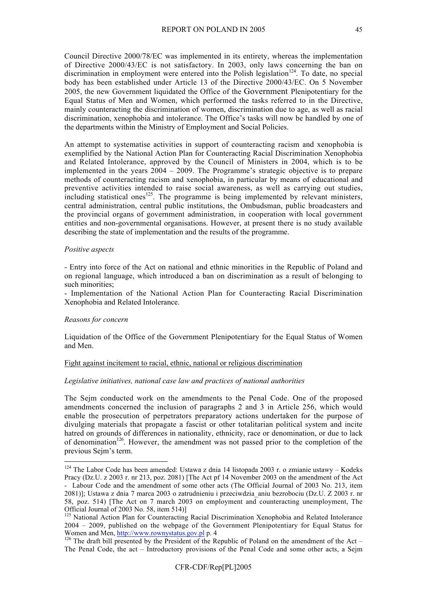Council Directive 2000/78/EC was implemented in its entirety, whereas the implementation of Directive 2000/43/EC is not satisfactory. In 2003, only laws concerning the ban on discrimination in employment were entered into the Polish legislation<sup>124</sup>. To date, no special body has been established under Article 13 of the Directive 2000/43/EC. On 5 November 2005, the new Government liquidated the Office of the Government Plenipotentiary for the Equal Status of Men and Women, which performed the tasks referred to in the Directive, mainly counteracting the discrimination of women, discrimination due to age, as well as racial discrimination, xenophobia and intolerance. The Office's tasks will now be handled by one of the departments within the Ministry of Employment and Social Policies.

An attempt to systematise activities in support of counteracting racism and xenophobia is exemplified by the National Action Plan for Counteracting Racial Discrimination Xenophobia and Related Intolerance, approved by the Council of Ministers in 2004, which is to be implemented in the years  $2004 - 2009$ . The Programme's strategic objective is to prepare methods of counteracting racism and xenophobia, in particular by means of educational and preventive activities intended to raise social awareness, as well as carrying out studies, including statistical ones<sup>125</sup>. The programme is being implemented by relevant ministers, central administration, central public institutions, the Ombudsman, public broadcasters and the provincial organs of government administration, in cooperation with local government entities and non-governmental organisations. However, at present there is no study available describing the state of implementation and the results of the programme.

#### *Positive aspects*

- Entry into force of the Act on national and ethnic minorities in the Republic of Poland and on regional language, which introduced a ban on discrimination as a result of belonging to such minorities;

- Implementation of the National Action Plan for Counteracting Racial Discrimination Xenophobia and Related Intolerance.

#### *Reasons for concern*

Liquidation of the Office of the Government Plenipotentiary for the Equal Status of Women and Men.

#### Fight against incitement to racial, ethnic, national or religious discrimination

## *Legislative initiatives, national case law and practices of national authorities*

The Sejm conducted work on the amendments to the Penal Code. One of the proposed amendments concerned the inclusion of paragraphs 2 and 3 in Article 256, which would enable the prosecution of perpetrators preparatory actions undertaken for the purpose of divulging materials that propagate a fascist or other totalitarian political system and incite hatred on grounds of differences in nationality, ethnicity, race or denomination, or due to lack of denomination<sup>126</sup>. However, the amendment was not passed prior to the completion of the previous Sejm's term.

 <sup>124</sup> The Labor Code has been amended: Ustawa z dnia 14 listopada 2003 r. o zmianie ustawy – Kodeks Pracy (Dz.U. z 2003 r. nr 213, poz. 2081) [The Act pf 14 November 2003 on the amendment of the Act

<sup>-</sup> Labour Code and the amendment of some other acts (The Official Journal of 2003 No. 213, item 2081)]; Ustawa z dnia 7 marca 2003 o zatrudnieniu i przeciwdzia\_aniu bezrobociu (Dz.U. Z 2003 r. nr 58, poz. 514) [The Act on 7 march 2003 on employment and counteracting unemployment, The Official Journal of 2003 No. 58, item 514)]

<sup>&</sup>lt;sup>125</sup> National Action Plan for Counteracting Racial Discrimination Xenophobia and Related Intolerance  $2004 - 2009$ , published on the webpage of the Government Plenipotentiary for Equal Status for Women and Men, http://www.rownystatus.gov.pl p. 4

<sup>&</sup>lt;sup>126</sup> The draft bill presented by the President of the Republic of Poland on the amendment of the Act – The Penal Code, the act – Introductory provisions of the Penal Code and some other acts, a Sejm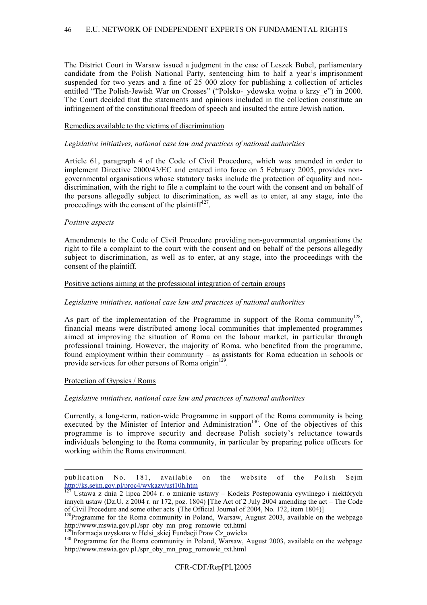The District Court in Warsaw issued a judgment in the case of Leszek Bubel, parliamentary candidate from the Polish National Party, sentencing him to half a year's imprisonment suspended for two years and a fine of 25 000 zloty for publishing a collection of articles entitled "The Polish-Jewish War on Crosses" ("Polsko-\_ydowska wojna o krzy\_e") in 2000. The Court decided that the statements and opinions included in the collection constitute an infringement of the constitutional freedom of speech and insulted the entire Jewish nation.

#### Remedies available to the victims of discrimination

## *Legislative initiatives, national case law and practices of national authorities*

Article 61, paragraph 4 of the Code of Civil Procedure, which was amended in order to implement Directive 2000/43/EC and entered into force on 5 February 2005, provides nongovernmental organisations whose statutory tasks include the protection of equality and nondiscrimination, with the right to file a complaint to the court with the consent and on behalf of the persons allegedly subject to discrimination, as well as to enter, at any stage, into the proceedings with the consent of the plaintiff $127$ .

## *Positive aspects*

Amendments to the Code of Civil Procedure providing non-governmental organisations the right to file a complaint to the court with the consent and on behalf of the persons allegedly subject to discrimination, as well as to enter, at any stage, into the proceedings with the consent of the plaintiff.

#### Positive actions aiming at the professional integration of certain groups

## *Legislative initiatives, national case law and practices of national authorities*

As part of the implementation of the Programme in support of the Roma community<sup>128</sup>, financial means were distributed among local communities that implemented programmes aimed at improving the situation of Roma on the labour market, in particular through professional training. However, the majority of Roma, who benefited from the programme, found employment within their community – as assistants for Roma education in schools or provide services for other persons of Roma origin<sup>129</sup>.

#### Protection of Gypsies / Roms

## *Legislative initiatives, national case law and practices of national authorities*

Currently, a long-term, nation-wide Programme in support of the Roma community is being executed by the Minister of Interior and Administration<sup>130</sup>. One of the objectives of this programme is to improve security and decrease Polish society's reluctance towards individuals belonging to the Roma community, in particular by preparing police officers for working within the Roma environment.

publication No. 181, available on the website of the Polish Sejm http://ks.sejm.gov.pl/proc4/wykazy/ust10h.htm

<sup>127</sup> Ustawa z dnia 2 lipca 2004 r. o zmianie ustawy – Kodeks Postepowania cywilnego i niektórych innych ustaw (Dz.U. z 2004 r. nr 172, poz. 1804) [The Act of 2 July 2004 amending the act – The Code of Civil Procedure and some other acts (The Official Journal of 2004, No. 172, item 1804)]

 $128$ Programme for the Roma community in Poland, Warsaw, August 2003, available on the webpage http://www.mswia.gov.pl./spr\_oby\_mn\_prog\_romowie\_txt.html

<sup>&</sup>lt;sup>129</sup>Informacja uzyskana w Helsi\_skiej Fundacji Praw Cz\_owieka

 $130$  Programme for the Roma community in Poland, Warsaw, August 2003, available on the webpage http://www.mswia.gov.pl./spr\_oby\_mn\_prog\_romowie\_txt.html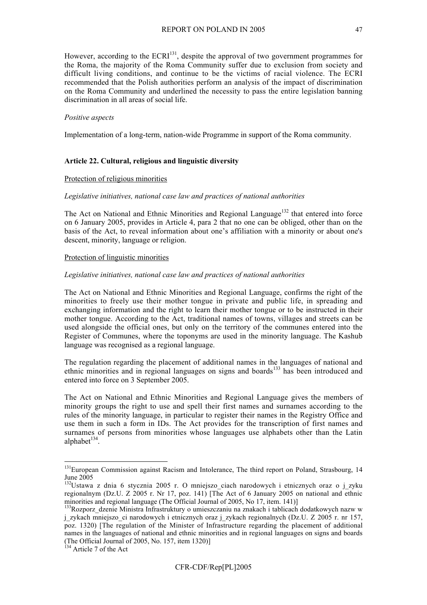47

However, according to the  $ECRI<sup>131</sup>$ , despite the approval of two government programmes for the Roma, the majority of the Roma Community suffer due to exclusion from society and difficult living conditions, and continue to be the victims of racial violence. The ECRI recommended that the Polish authorities perform an analysis of the impact of discrimination on the Roma Community and underlined the necessity to pass the entire legislation banning discrimination in all areas of social life.

# *Positive aspects*

Implementation of a long-term, nation-wide Programme in support of the Roma community.

# Article 22. Cultural, religious and linguistic diversity

## Protection of religious minorities

## *Legislative initiatives, national case law and practices of national authorities*

The Act on National and Ethnic Minorities and Regional Language<sup>132</sup> that entered into force on 6 January 2005, provides in Article 4, para 2 that no one can be obliged, other than on the basis of the Act, to reveal information about one's affiliation with a minority or about one's descent, minority, language or religion.

## Protection of linguistic minorities

## *Legislative initiatives, national case law and practices of national authorities*

The Act on National and Ethnic Minorities and Regional Language, confirms the right of the minorities to freely use their mother tongue in private and public life, in spreading and exchanging information and the right to learn their mother tongue or to be instructed in their mother tongue. According to the Act, traditional names of towns, villages and streets can be used alongside the official ones, but only on the territory of the communes entered into the Register of Communes, where the toponyms are used in the minority language. The Kashub language was recognised as a regional language.

The regulation regarding the placement of additional names in the languages of national and ethnic minorities and in regional languages on signs and boards<sup>133</sup> has been introduced and entered into force on 3 September 2005.

The Act on National and Ethnic Minorities and Regional Language gives the members of minority groups the right to use and spell their first names and surnames according to the rules of the minority language, in particular to register their names in the Registry Office and use them in such a form in IDs. The Act provides for the transcription of first names and surnames of persons from minorities whose languages use alphabets other than the Latin alphabet $^{134}$ .

<sup>&</sup>lt;sup>131</sup>European Commission against Racism and Intolerance, The third report on Poland, Strasbourg, 14 June 2005

<sup>&</sup>lt;sup>132</sup>Ustawa z dnia 6 stycznia 2005 r. O mniejszo\_ciach narodowych i etnicznych oraz o j\_zyku regionalnym (Dz.U. Z 2005 r. Nr 17, poz. 141) [The Act of 6 January 2005 on national and ethnic minorities and regional language (The Official Journal of 2005, No 17, item. 141)]

<sup>&</sup>lt;sup>133</sup>Rozporz\_dzenie Ministra Infrastruktury o umieszczaniu na znakach i tablicach dodatkowych nazw w j zykach mniejszo ci narodowych i etnicznych oraz j zykach regionalnych (Dz.U. Z 2005 r. nr 157, poz. 1320) [The regulation of the Minister of Infrastructure regarding the placement of additional names in the languages of national and ethnic minorities and in regional languages on signs and boards (The Official Journal of 2005, No. 157, item 1320)] 134 Article 7 of the Act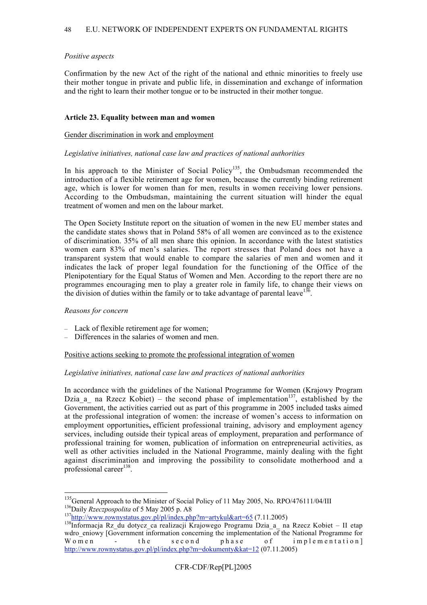## *Positive aspects*

Confirmation by the new Act of the right of the national and ethnic minorities to freely use their mother tongue in private and public life, in dissemination and exchange of information and the right to learn their mother tongue or to be instructed in their mother tongue.

## Article 23. Equality between man and women

## Gender discrimination in work and employment

## *Legislative initiatives, national case law and practices of national authorities*

In his approach to the Minister of Social Policy<sup>135</sup>, the Ombudsman recommended the introduction of a flexible retirement age for women, because the currently binding retirement age, which is lower for women than for men, results in women receiving lower pensions. According to the Ombudsman, maintaining the current situation will hinder the equal treatment of women and men on the labour market.

The Open Society Institute report on the situation of women in the new EU member states and the candidate states shows that in Poland 58% of all women are convinced as to the existence of discrimination. 35% of all men share this opinion. In accordance with the latest statistics women earn 83% of men's salaries. The report stresses that Poland does not have a transparent system that would enable to compare the salaries of men and women and it indicates the lack of proper legal foundation for the functioning of the Office of the Plenipotentiary for the Equal Status of Women and Men. According to the report there are no programmes encouraging men to play a greater role in family life, to change their views on the division of duties within the family or to take advantage of parental leave  $136$ .

#### *Reasons for concern*

- Lack of flexible retirement age for women;
- $\overline{a}$  Differences in the salaries of women and men.

#### Positive actions seeking to promote the professional integration of women

## *Legislative initiatives, national case law and practices of national authorities*

In accordance with the guidelines of the National Programme for Women (Krajowy Program Dzia a na Rzecz Kobiet) – the second phase of implementation<sup>137</sup>, established by the Government, the activities carried out as part of this programme in 2005 included tasks aimed at the professional integration of women: the increase of women's access to information on employment opportunities, efficient professional training, advisory and employment agency services, including outside their typical areas of employment, preparation and performance of professional training for women, publication of information on entrepreneurial activities, as well as other activities included in the National Programme, mainly dealing with the fight against discrimination and improving the possibility to consolidate motherhood and a professional career $^{138}$ .

 $h^{137}$ http://www.rownystatus.gov.pl/pl/index.php?m=artykul&art=65 (7.11.2005)

<sup>135</sup> <sup>133</sup>General Approach to the Minister of Social Policy of 11 May 2005, No. RPO/476111/04/III  $^{136}$  Doily *Brastnespolits* of 5 May 2005 p. A 8 <sup>136</sup>Daily *Rzeczpospolita* of 5 May 2005 p. A8

<sup>&</sup>lt;sup>138</sup>Informacja Rz\_du dotycz\_ca realizacji Krajowego Programu Dzia\_a\_ na Rzecz Kobiet – II etap wdro\_eniowy [Government information concerning the implementation of the National Programme for W o m e n  $\frac{1}{2}$  the second phase of implementation 1 Women - the second phase of implementation] http://www.rownystatus.gov.pl/pl/index.php?m=dokumenty&kat=12 (07.11.2005)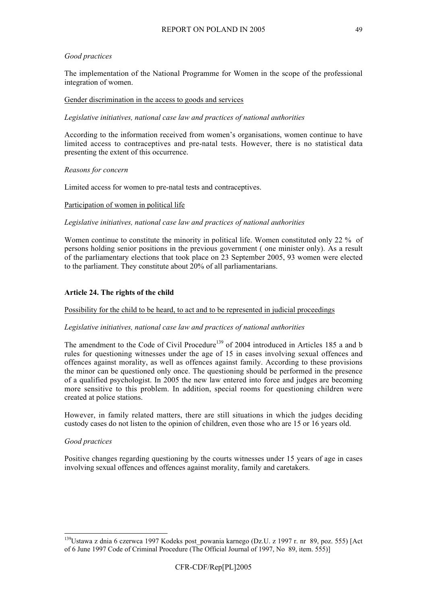## *Good practices*

The implementation of the National Programme for Women in the scope of the professional integration of women.

#### Gender discrimination in the access to goods and services

*Legislative initiatives, national case law and practices of national authorities*

According to the information received from women's organisations, women continue to have limited access to contraceptives and pre-natal tests. However, there is no statistical data presenting the extent of this occurrence.

#### *Reasons for concern*

Limited access for women to pre-natal tests and contraceptives.

#### Participation of women in political life

*Legislative initiatives, national case law and practices of national authorities*

Women continue to constitute the minority in political life. Women constituted only 22 % of persons holding senior positions in the previous government ( one minister only). As a result of the parliamentary elections that took place on 23 September 2005, 93 women were elected to the parliament. They constitute about 20% of all parliamentarians.

#### Article 24. The rights of the child

#### Possibility for the child to be heard, to act and to be represented in judicial proceedings

#### *Legislative initiatives, national case law and practices of national authorities*

The amendment to the Code of Civil Procedure<sup>139</sup> of 2004 introduced in Articles 185 a and b rules for questioning witnesses under the age of 15 in cases involving sexual offences and offences against morality, as well as offences against family. According to these provisions the minor can be questioned only once. The questioning should be performed in the presence of a qualified psychologist. In 2005 the new law entered into force and judges are becoming more sensitive to this problem. In addition, special rooms for questioning children were created at police stations.

However, in family related matters, there are still situations in which the judges deciding custody cases do not listen to the opinion of children, even those who are 15 or 16 years old.

#### *Good practices*

Positive changes regarding questioning by the courts witnesses under 15 years of age in cases involving sexual offences and offences against morality, family and caretakers.

 <sup>139</sup> Ustawa z dnia 6 czerwca 1997 Kodeks post\_powania karnego (Dz.U. z 1997 r. nr 89, poz. 555) [Act of 6 June 1997 Code of Criminal Procedure (The Official Journal of 1997, No 89, item. 555)]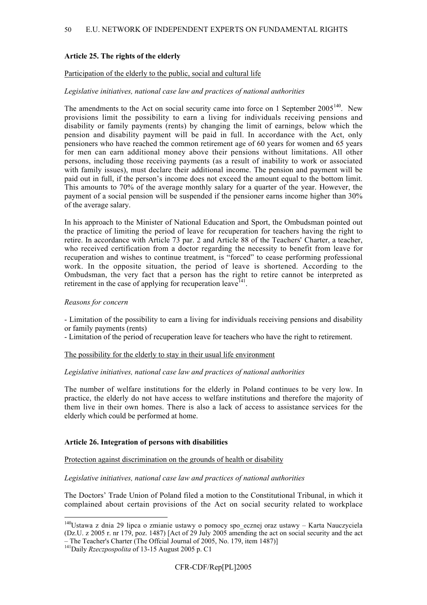## Article 25. The rights of the elderly

## Participation of the elderly to the public, social and cultural life

## *Legislative initiatives, national case law and practices of national authorities*

The amendments to the Act on social security came into force on 1 September  $2005^{140}$ . New provisions limit the possibility to earn a living for individuals receiving pensions and disability or family payments (rents) by changing the limit of earnings, below which the pension and disability payment will be paid in full. In accordance with the Act, only pensioners who have reached the common retirement age of 60 years for women and 65 years for men can earn additional money above their pensions without limitations. All other persons, including those receiving payments (as a result of inability to work or associated with family issues), must declare their additional income. The pension and payment will be paid out in full, if the person's income does not exceed the amount equal to the bottom limit. This amounts to 70% of the average monthly salary for a quarter of the year. However, the payment of a social pension will be suspended if the pensioner earns income higher than 30% of the average salary.

In his approach to the Minister of National Education and Sport, the Ombudsman pointed out the practice of limiting the period of leave for recuperation for teachers having the right to retire. In accordance with Article 73 par. 2 and Article 88 of the Teachers' Charter, a teacher, who received certification from a doctor regarding the necessity to benefit from leave for recuperation and wishes to continue treatment, is "forced" to cease performing professional work. In the opposite situation, the period of leave is shortened. According to the Ombudsman, the very fact that a person has the right to retire cannot be interpreted as retirement in the case of applying for recuperation leave  $^{141}$ .

## *Reasons for concern*

- Limitation of the possibility to earn a living for individuals receiving pensions and disability or family payments (rents)

- Limitation of the period of recuperation leave for teachers who have the right to retirement.

#### The possibility for the elderly to stay in their usual life environment

#### *Legislative initiatives, national case law and practices of national authorities*

The number of welfare institutions for the elderly in Poland continues to be very low. In practice, the elderly do not have access to welfare institutions and therefore the majority of them live in their own homes. There is also a lack of access to assistance services for the elderly which could be performed at home.

#### Article 26. Integration of persons with disabilities

Protection against discrimination on the grounds of health or disability

*Legislative initiatives, national case law and practices of national authorities*

The Doctors' Trade Union of Poland filed a motion to the Constitutional Tribunal, in which it complained about certain provisions of the Act on social security related to workplace

 <sup>140</sup> Ustawa z dnia 29 lipca o zmianie ustawy o pomocy spo\_ecznej oraz ustawy – Karta Nauczyciela (Dz.U. z 2005 r. nr 179, poz. 1487) [Act of 29 July 2005 amending the act on social security and the act – The Teacher's Charter (The Offcial Journal of 2005, No. 179, item 1487)]

<sup>141</sup> Daily *Rzeczpospolita* of 13-15 August 2005 p. C1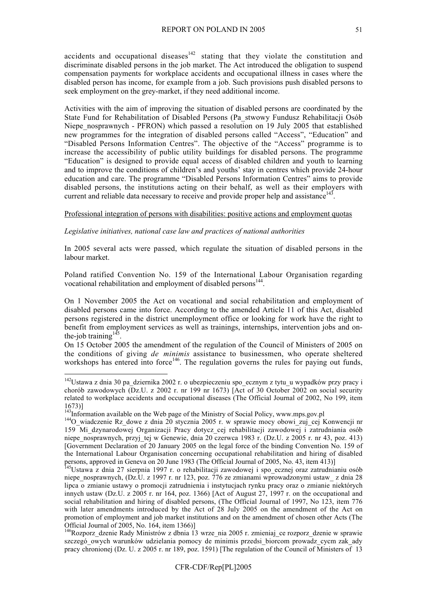accidents and occupational diseases $142$  stating that they violate the constitution and discriminate disabled persons in the job market. The Act introduced the obligation to suspend compensation payments for workplace accidents and occupational illness in cases where the disabled person has income, for example from a job. Such provisions push disabled persons to seek employment on the grey-market, if they need additional income.

Activities with the aim of improving the situation of disabled persons are coordinated by the State Fund for Rehabilitation of Disabled Persons (Pa\_stwowy Fundusz Rehabilitacji Osób Niepe nosprawnych - PFRON) which passed a resolution on 19 July 2005 that established new programmes for the integration of disabled persons called "Access", "Education" and "Disabled Persons Information Centres". The objective of the "Access" programme is to increase the accessibility of public utility buildings for disabled persons. The programme "Education" is designed to provide equal access of disabled children and youth to learning and to improve the conditions of children's and youths' stay in centres which provide 24-hour education and care. The programme "Disabled Persons Information Centres" aims to provide disabled persons, the institutions acting on their behalf, as well as their employers with current and reliable data necessary to receive and provide proper help and assistance $^{143}$ .

#### Professional integration of persons with disabilities: positive actions and employment quotas

#### *Legislative initiatives, national case law and practices of national authorities*

In 2005 several acts were passed, which regulate the situation of disabled persons in the labour market.

Poland ratified Convention No. 159 of the International Labour Organisation regarding vocational rehabilitation and employment of disabled persons<sup>144</sup>.

On 1 November 2005 the Act on vocational and social rehabilitation and employment of disabled persons came into force. According to the amended Article 11 of this Act, disabled persons registered in the district unemployment office or looking for work have the right to benefit from employment services as well as trainings, internships, intervention jobs and onthe-job training  $145$ .

On 15 October 2005 the amendment of the regulation of the Council of Ministers of 2005 on the conditions of giving *de minimis* assistance to businessmen, who operate sheltered workshops has entered into force<sup>146</sup>. The regulation governs the rules for paying out funds,

<sup>&</sup>lt;sup>142</sup>Ustawa z dnia 30 pa\_dziernika 2002 r. o ubezpieczeniu spo\_ecznym z tytu\_u wypadków przy pracy i chorób zawodowych (Dz.U. z 2002 r. nr 199 nr 1673) [Act of 30 October 2002 on social security related to workplace accidents and occupational diseases (The Official Journal of 2002, No 199, item 1673)]

<sup>&</sup>lt;sup>143</sup>Information available on the Web page of the Ministry of Social Policy, www.mps.gov.pl  $^{144}$ O wiedersnie Bz, dowe z dnie 20 stycznie 2005 r. w sprawie mogy obowi zwi, goi I

<sup>&</sup>lt;sup>144</sup>O wiadczenie Rz dowe z dnia 20 stycznia 2005 r. w sprawie mocy obowi\_zuj\_cej Konwencji nr 159 Mi\_dzynarodowej Organizacji Pracy dotycz\_cej rehabilitacji zawodowej i zatrudniania osób niepe nosprawnych, przyj tej w Genewie, dnia 20 czerwca 1983 r. (Dz.U. z 2005 r. nr 43, poz. 413) [Government Declaration of 20 January 2005 on the legal force of the binding Convention No. 159 of the International Labour Organisation concerning occupational rehabilitation and hiring of disabled persons, approved in Geneva on 20 June 1983 (The Official Journal of 2005, No. 43, item 413)]<br><sup>145</sup>Ustawa z dnia 27 sierpnia 1997 r. o rehabilitacji zawodowej i spo\_ecznej oraz zatrudnianiu osób

niepe\_nosprawnych, (Dz.U. z 1997 r. nr 123, poz. 776 ze zmianami wprowadzonymi ustaw\_ z dnia 28 lipca o zmianie ustawy o promocji zatrudnienia i instytucjach rynku pracy oraz o zmianie niektórych innych ustaw (Dz.U. z 2005 r. nr 164, poz. 1366) [Act of August 27, 1997 r. on the occupational and social rehabilitation and hiring of disabled persons, (The Official Journal of 1997, No 123, item 776 with later amendments introduced by the Act of 28 July 2005 on the amendment of the Act on promotion of employment and job market institutions and on the amendment of chosen other Acts (The Official Journal of 2005, No. 164, item 1366)]

<sup>&</sup>lt;sup>146</sup>Rozporz\_dzenie Rady Ministrów z dbnia 13 wrze\_nia 2005 r. zmieniaj\_ce rozporz\_dzenie w sprawie szczegó owych warunków udzielania pomocy de minimis przedsi biorcom prowadz cycm zak ady pracy chronionej (Dz. U. z 2005 r. nr 189, poz. 1591) [The regulation of the Council of Ministers of 13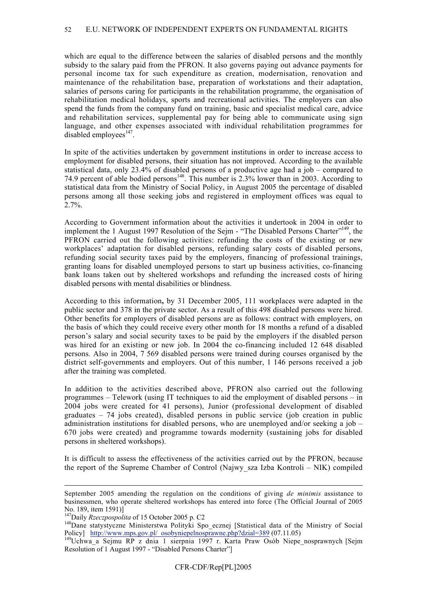which are equal to the difference between the salaries of disabled persons and the monthly subsidy to the salary paid from the PFRON. It also governs paying out advance payments for personal income tax for such expenditure as creation, modernisation, renovation and maintenance of the rehabilitation base, preparation of workstations and their adaptation, salaries of persons caring for participants in the rehabilitation programme, the organisation of rehabilitation medical holidays, sports and recreational activities. The employers can also spend the funds from the company fund on training, basic and specialist medical care, advice and rehabilitation services, supplemental pay for being able to communicate using sign language, and other expenses associated with individual rehabilitation programmes for disabled employees<sup>147</sup>.

In spite of the activities undertaken by government institutions in order to increase access to employment for disabled persons, their situation has not improved. According to the available statistical data, only 23.4% of disabled persons of a productive age had a job – compared to 74.9 percent of able bodied persons 148 . This number is 2.3% lower than in 2003. According to statistical data from the Ministry of Social Policy, in August 2005 the percentage of disabled persons among all those seeking jobs and registered in employment offices was equal to 2.7%.

According to Government information about the activities it undertook in 2004 in order to implement the 1 August 1997 Resolution of the Sejm - "The Disabled Persons Charter"<sup>149</sup>, the PFRON carried out the following activities: refunding the costs of the existing or new workplaces' adaptation for disabled persons, refunding salary costs of disabled persons, refunding social security taxes paid by the employers, financing of professional trainings, granting loans for disabled unemployed persons to start up business activities, co-financing bank loans taken out by sheltered workshops and refunding the increased costs of hiring disabled persons with mental disabilities or blindness.

According to this information, by 31 December 2005, 111 workplaces were adapted in the public sector and 378 in the private sector. As a result of this 498 disabled persons were hired. Other benefits for employers of disabled persons are as follows: contract with employers, on the basis of which they could receive every other month for 18 months a refund of a disabled person's salary and social security taxes to be paid by the employers if the disabled person was hired for an existing or new job. In 2004 the co-financing included 12 648 disabled persons. Also in 2004, 7 569 disabled persons were trained during courses organised by the district self-governments and employers. Out of this number, 1 146 persons received a job after the training was completed.

In addition to the activities described above, PFRON also carried out the following programmes – Telework (using IT techniques to aid the employment of disabled persons – in 2004 jobs were created for 41 persons), Junior (professional development of disabled graduates – 74 jobs created), disabled persons in public service (job creation in public administration institutions for disabled persons, who are unemployed and/or seeking a job  $-$ 670 jobs were created) and programme towards modernity (sustaining jobs for disabled persons in sheltered workshops).

It is difficult to assess the effectiveness of the activities carried out by the PFRON, because the report of the Supreme Chamber of Control (Najwy\_sza Izba Kontroli – NIK) compiled

September 2005 amending the regulation on the conditions of giving *de minimis* assistance to businessmen, who operate sheltered workshops has entered into force (The Official Journal of 2005 No. 189, item 1591)]

<sup>&</sup>lt;sup>147</sup>Daily *Rzeczpospolita* of 15 October 2005 p. C2<sup>148</sup>Dana statuture Ministerstwa Bolityki, Sp

<sup>&</sup>lt;sup>148</sup>Dane statystyczne Ministerstwa Polityki Spo\_ecznej [Statistical data of the Ministry of Social Policy] http://www.mps.gov.pl/\_osobyniepelnosprawne.php?dzial=389 (07.11.05)

<sup>&</sup>lt;sup>149</sup>Uchwa a Sejmu RP z dnia 1 sierpnia 1997 r. Karta Praw Osób Niepe nosprawnych [Sejm Resolution of 1 August 1997 - "Disabled Persons Charter"]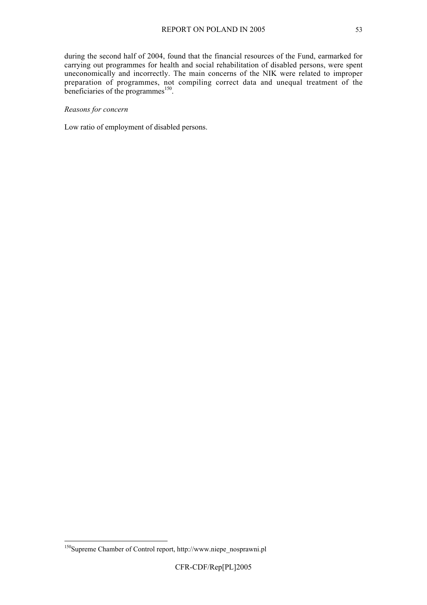during the second half of 2004, found that the financial resources of the Fund, earmarked for carrying out programmes for health and social rehabilitation of disabled persons, were spent uneconomically and incorrectly. The main concerns of the NIK were related to improper preparation of programmes, not compiling correct data and unequal treatment of the beneficiaries of the programmes $150$ .

# *Reasons for concern*

Low ratio of employment of disabled persons.

 <sup>150</sup> Supreme Chamber of Control report, http://www.niepe\_nosprawni.pl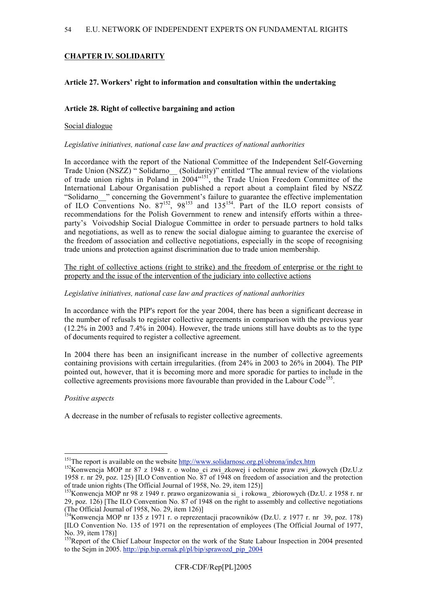# CHAPTER IV. SOLIDARITY

# Article 27. Workers' right to information and consultation within the undertaking

## Article 28. Right of collective bargaining and action

## Social dialogue

## *Legislative initiatives, national case law and practices of national authorities*

In accordance with the report of the National Committee of the Independent Self-Governing Trade Union (NSZZ) " Solidarno (Solidarity)" entitled "The annual review of the violations of trade union rights in Poland in 2004"<sup>151</sup>, the Trade Union Freedom Committee of the International Labour Organisation published a report about a complaint filed by NSZZ "Solidarno " concerning the Government's failure to guarantee the effective implementation of ILO Conventions No.  $87^{152}$ ,  $98^{153}$  and  $135^{154}$ . Part of the ILO report consists of recommendations for the Polish Government to renew and intensify efforts within a threeparty's Voivodship Social Dialogue Committee in order to persuade partners to hold talks and negotiations, as well as to renew the social dialogue aiming to guarantee the exercise of the freedom of association and collective negotiations, especially in the scope of recognising trade unions and protection against discrimination due to trade union membership.

The right of collective actions (right to strike) and the freedom of enterprise or the right to property and the issue of the intervention of the judiciary into collective actions

## *Legislative initiatives, national case law and practices of national authorities*

In accordance with the PIP's report for the year 2004, there has been a significant decrease in the number of refusals to register collective agreements in comparison with the previous year (12.2% in 2003 and 7.4% in 2004). However, the trade unions still have doubts as to the type of documents required to register a collective agreement.

In 2004 there has been an insignificant increase in the number of collective agreements containing provisions with certain irregularities. (from 24% in 2003 to 26% in 2004). The PIP pointed out, however, that it is becoming more and more sporadic for parties to include in the collective agreements provisions more favourable than provided in the Labour Code<sup>155</sup>.

## *Positive aspects*

A decrease in the number of refusals to register collective agreements.

 <sup>151</sup> <sup>151</sup>The report is available on the website <u>http://www.solidarnosc.org.pl/obrona/index.htm</u> 152K opusanea MOR pr 8.7 z 1948 r. a webpe, at zuit zkowei i ookronic prow zwitz

<sup>&</sup>lt;sup>152</sup>Konwencja MOP nr 87 z 1948 r. o wolno ci zwi zkowej i ochronie praw zwi\_zkowych (Dz.U.z 1958 r. nr 29, poz. 125) [ILO Convention No. 87 of 1948 on freedom of association and the protection of trade union rights (The Official Journal of 1958, No. 29, item 125)]

<sup>&</sup>lt;sup>153</sup> Konwencja MOP nr 98 z 1949 r. prawo organizowania si\_i rokowa\_zbiorowych (Dz.U. z 1958 r. nr 29, poz. 126) [The ILO Convention No. 87 of 1948 on the right to assembly and collective negotiations

<sup>(</sup>The Official Journal of 1958, No. 29, item 126)] 154 Konwencja MOP nr 135 z 1971 r. o reprezentacji pracowników (Dz.U. z 1977 r. nr 39, poz. 178) [ILO Convention No. 135 of 1971 on the representation of employees (The Official Journal of 1977, No. 39, item 178)]

<sup>&</sup>lt;sup>155</sup>Report of the Chief Labour Inspector on the work of the State Labour Inspection in 2004 presented to the Sejm in 2005. http://pip.bip.ornak.pl/pl/bip/sprawozd\_pip\_2004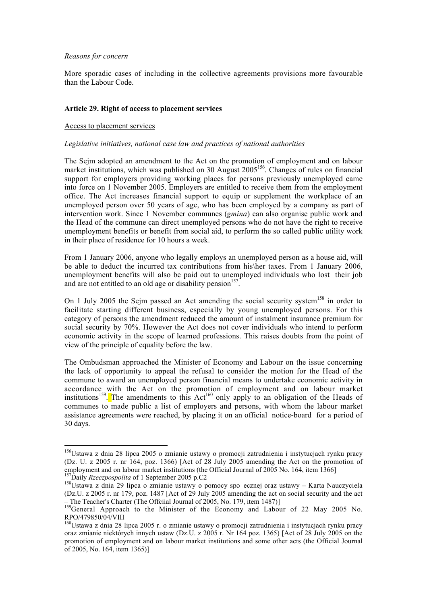## *Reasons for concern*

More sporadic cases of including in the collective agreements provisions more favourable than the Labour Code.

## Article 29. Right of access to placement services

#### Access to placement services

## *Legislative initiatives, national case law and practices of national authorities*

The Sejm adopted an amendment to the Act on the promotion of employment and on labour market institutions, which was published on 30 August 2005<sup>156</sup>. Changes of rules on financial support for employers providing working places for persons previously unemployed came into force on 1 November 2005. Employers are entitled to receive them from the employment office. The Act increases financial support to equip or supplement the workplace of an unemployed person over 50 years of age, who has been employed by a company as part of intervention work. Since 1 November communes (*gmina*) can also organise public work and the Head of the commune can direct unemployed persons who do not have the right to receive unemployment benefits or benefit from social aid, to perform the so called public utility work in their place of residence for 10 hours a week.

From 1 January 2006, anyone who legally employs an unemployed person as a house aid, will be able to deduct the incurred tax contributions from his\her taxes. From 1 January 2006, unemployment benefits will also be paid out to unemployed individuals who lost their job and are not entitled to an old age or disability pension $157$ .

On 1 July 2005 the Sejm passed an Act amending the social security system<sup>158</sup> in order to facilitate starting different business, especially by young unemployed persons. For this category of persons the amendment reduced the amount of instalment insurance premium for social security by 70%. However the Act does not cover individuals who intend to perform economic activity in the scope of learned professions. This raises doubts from the point of view of the principle of equality before the law.

The Ombudsman approached the Minister of Economy and Labour on the issue concerning the lack of opportunity to appeal the refusal to consider the motion for the Head of the commune to award an unemployed person financial means to undertake economic activity in accordance with the Act on the promotion of employment and on labour market institutions<sup>159</sup>. The amendments to this Act<sup>160</sup> only apply to an obligation of the Heads of communes to made public a list of employers and persons, with whom the labour market assistance agreements were reached, by placing it on an official notice-board for a period of 30 days.

 <sup>156</sup> Ustawa z dnia 28 lipca 2005 o zmianie ustawy o promocji zatrudnienia i instytucjach rynku pracy (Dz. U. z 2005 r. nr 164, poz. 1366) [Act of 28 July 2005 amending the Act on the promotion of employment and on labour market institutions (the Official Journal of 2005 No. 164, item 1366] <sup>157</sup>Daily *Rzeczpospolita* of 1 September 2005 p.C2<br><sup>158</sup>Ustawa z dnie 20 linea o zmienie ustawy o p

Ustawa z dnia 29 lipca o zmianie ustawy o pomocy spo\_ecznej oraz ustawy – Karta Nauczyciela (Dz.U. z 2005 r. nr 179, poz. 1487 [Act of 29 July 2005 amending the act on social security and the act

<sup>–</sup> The Teacher's Charter (The Offciial Journal of 2005, No. 179, item 1487)] 159 General Approach to the Minister of the Economy and Labour of 22 May 2005 No. RPO/479850/04/VIII

<sup>&</sup>lt;sup>160</sup>Ustawa z dnia 28 lipca 2005 r. o zmianie ustawy o promocji zatrudnienia i instytucjach rynku pracy oraz zmianie niektórych innych ustaw (Dz.U. z 2005 r. Nr 164 poz. 1365) [Act of 28 July 2005 on the promotion of employment and on labour market institutions and some other acts (the Official Journal of 2005, No. 164, item 1365)]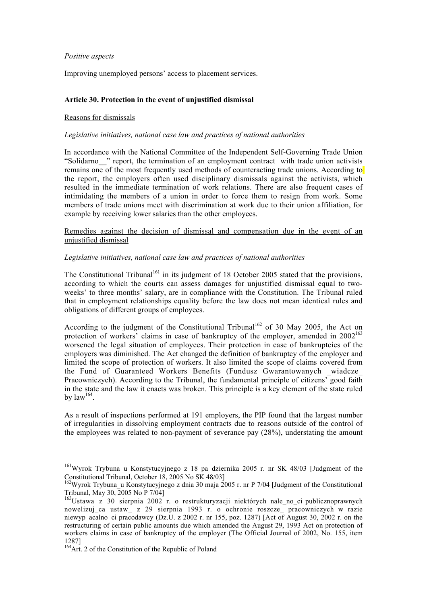## *Positive aspects*

Improving unemployed persons' access to placement services.

## Article 30. Protection in the event of unjustified dismissal

## Reasons for dismissals

## *Legislative initiatives, national case law and practices of national authorities*

In accordance with the National Committee of the Independent Self-Governing Trade Union "Solidarno " report, the termination of an employment contract with trade union activists remains one of the most frequently used methods of counteracting trade unions. According to the report, the employers often used disciplinary dismissals against the activists, which resulted in the immediate termination of work relations. There are also frequent cases of intimidating the members of a union in order to force them to resign from work. Some members of trade unions meet with discrimination at work due to their union affiliation, for example by receiving lower salaries than the other employees.

## Remedies against the decision of dismissal and compensation due in the event of an unjustified dismissal

# *Legislative initiatives, national case law and practices of national authorities*

The Constitutional Tribunal<sup>161</sup> in its judgment of 18 October 2005 stated that the provisions, according to which the courts can assess damages for unjustified dismissal equal to twoweeks' to three months' salary, are in compliance with the Constitution. The Tribunal ruled that in employment relationships equality before the law does not mean identical rules and obligations of different groups of employees.

According to the judgment of the Constitutional Tribunal<sup>162</sup> of 30 May 2005, the Act on protection of workers' claims in case of bankruptcy of the employer, amended in  $2002^{163}$ worsened the legal situation of employees. Their protection in case of bankruptcies of the employers was diminished. The Act changed the definition of bankruptcy of the employer and limited the scope of protection of workers. It also limited the scope of claims covered from the Fund of Guaranteed Workers Benefits (Fundusz Gwarantowanych \_wiadcze\_ Pracowniczych). According to the Tribunal, the fundamental principle of citizens' good faith in the state and the law it enacts was broken. This principle is a key element of the state ruled by  $law^{164}$ .

As a result of inspections performed at 191 employers, the PIP found that the largest number of irregularities in dissolving employment contracts due to reasons outside of the control of the employees was related to non-payment of severance pay (28%), understating the amount

 <sup>161</sup> Wyrok Trybuna\_u Konstytucyjnego z 18 pa\_dziernika 2005 r. nr SK 48/03 [Judgment of the Constitutional Tribunal, October 18, 2005 No SK 48/03]

<sup>&</sup>lt;sup>162</sup>Wyrok Trybuna u Konstytucyjnego z dnia 30 maja 2005 r. nr P 7/04 [Judgment of the Constitutional Tribunal, May 30, 2005 No P 7/04]

<sup>&</sup>lt;sup>163</sup>Ustawa z 30 sierpnia 2002 r. o restrukturyzacji niektórych nale no ci publicznoprawnych nowelizuj ca ustaw\_ z 29 sierpnia 1993 r. o ochronie roszcze\_ pracowniczych w razie niewyp acalno ci pracodawcy (Dz.U. z 2002 r. nr 155, poz. 1287) [Act of August 30, 2002 r. on the restructuring of certain public amounts due which amended the August 29, 1993 Act on protection of workers claims in case of bankruptcy of the employer (The Official Journal of 2002, No. 155, item 1287]

<sup>&</sup>lt;sup>164</sup> Art. 2 of the Constitution of the Republic of Poland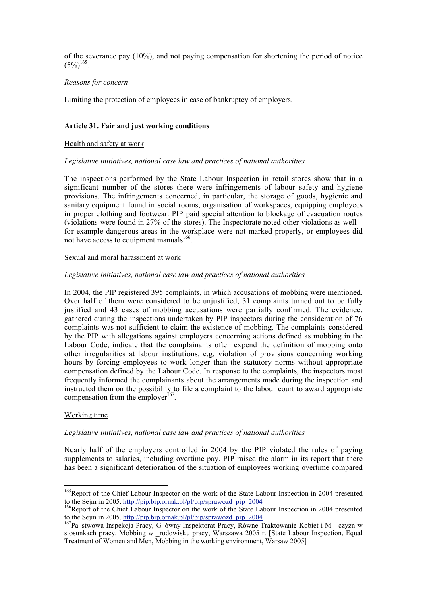of the severance pay (10%), and not paying compensation for shortening the period of notice  $(5\%)^{165}$ .

## *Reasons for concern*

Limiting the protection of employees in case of bankruptcy of employers.

## Article 31. Fair and just working conditions

## Health and safety at work

## *Legislative initiatives, national case law and practices of national authorities*

The inspections performed by the State Labour Inspection in retail stores show that in a significant number of the stores there were infringements of labour safety and hygiene provisions. The infringements concerned, in particular, the storage of goods, hygienic and sanitary equipment found in social rooms, organisation of workspaces, equipping employees in proper clothing and footwear. PIP paid special attention to blockage of evacuation routes (violations were found in 27% of the stores). The Inspectorate noted other violations as well – for example dangerous areas in the workplace were not marked properly, or employees did not have access to equipment manuals $^{166}$ .

#### Sexual and moral harassment at work

#### *Legislative initiatives, national case law and practices of national authorities*

In 2004, the PIP registered 395 complaints, in which accusations of mobbing were mentioned. Over half of them were considered to be unjustified, 31 complaints turned out to be fully justified and 43 cases of mobbing accusations were partially confirmed. The evidence, gathered during the inspections undertaken by PIP inspectors during the consideration of 76 complaints was not sufficient to claim the existence of mobbing. The complaints considered by the PIP with allegations against employers concerning actions defined as mobbing in the Labour Code, indicate that the complainants often expend the definition of mobbing onto other irregularities at labour institutions, e.g. violation of provisions concerning working hours by forcing employees to work longer than the statutory norms without appropriate compensation defined by the Labour Code. In response to the complaints, the inspectors most frequently informed the complainants about the arrangements made during the inspection and instructed them on the possibility to file a complaint to the labour court to award appropriate compensation from the employer  $^{167}$ .

## Working time

#### *Legislative initiatives, national case law and practices of national authorities*

Nearly half of the employers controlled in 2004 by the PIP violated the rules of paying supplements to salaries, including overtime pay. PIP raised the alarm in its report that there has been a significant deterioration of the situation of employees working overtime compared

<sup>&</sup>lt;sup>165</sup>Report of the Chief Labour Inspector on the work of the State Labour Inspection in 2004 presented to the Sejm in 2005. http://pip.bip.ornak.pl/pl/bip/sprawozd\_pip\_2004

<sup>&</sup>lt;sup>166</sup>Report of the Chief Labour Inspector on the work of the State Labour Inspection in 2004 presented

to the Sejm in 2005. http://pip.bip.ornak.pl/pl/bip/sprawozd\_pip\_2004<br><sup>167</sup>Pa\_stwowa Inspekcja Pracy, G\_ówny Inspektorat Pracy, Równe Traktowanie Kobiet i M\_\_czyzn w stosunkach pracy, Mobbing w rodowisku pracy, Warszawa 2005 r. [State Labour Inspection, Equal Treatment of Women and Men, Mobbing in the working environment, Warsaw 2005]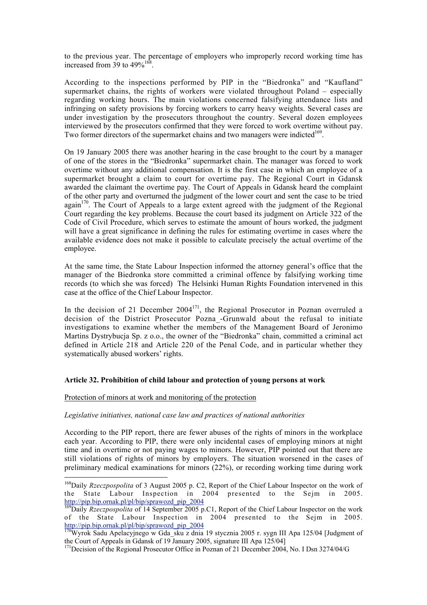to the previous year. The percentage of employers who improperly record working time has increased from 39 to  $49\%$ <sup>16</sup> .

According to the inspections performed by PIP in the "Biedronka" and "Kaufland" supermarket chains, the rights of workers were violated throughout Poland – especially regarding working hours. The main violations concerned falsifying attendance lists and infringing on safety provisions by forcing workers to carry heavy weights. Several cases are under investigation by the prosecutors throughout the country. Several dozen employees interviewed by the prosecutors confirmed that they were forced to work overtime without pay. Two former directors of the supermarket chains and two managers were indicted<sup>169</sup>.

On 19 January 2005 there was another hearing in the case brought to the court by a manager of one of the stores in the "Biedronka" supermarket chain. The manager was forced to work overtime without any additional compensation. It is the first case in which an employee of a supermarket brought a claim to court for overtime pay. The Regional Court in Gdansk awarded the claimant the overtime pay. The Court of Appeals in Gdansk heard the complaint of the other party and overturned the judgment of the lower court and sent the case to be tried again<sup>170</sup>. The Court of Appeals to a large extent agreed with the judgment of the Regional Court regarding the key problems. Because the court based its judgment on Article 322 of the Code of Civil Procedure, which serves to estimate the amount of hours worked, the judgment will have a great significance in defining the rules for estimating overtime in cases where the available evidence does not make it possible to calculate precisely the actual overtime of the employee.

At the same time, the State Labour Inspection informed the attorney general's office that the manager of the Biedronka store committed a criminal offence by falsifying working time records (to which she was forced) The Helsinki Human Rights Foundation intervened in this case at the office of the Chief Labour Inspector.

In the decision of 21 December  $2004^{171}$ , the Regional Prosecutor in Poznan overruled a decision of the District Prosecutor Pozna\_-Grunwald about the refusal to initiate investigations to examine whether the members of the Management Board of Jeronimo Martins Dystrybucja Sp. z o.o., the owner of the "Biedronka" chain, committed a criminal act defined in Article 218 and Article 220 of the Penal Code, and in particular whether they systematically abused workers' rights.

#### Article 32. Prohibition of child labour and protection of young persons at work

#### Protection of minors at work and monitoring of the protection

#### *Legislative initiatives, national case law and practices of national authorities*

According to the PIP report, there are fewer abuses of the rights of minors in the workplace each year. According to PIP, there were only incidental cases of employing minors at night time and in overtime or not paying wages to minors. However, PIP pointed out that there are still violations of rights of minors by employers. The situation worsened in the cases of preliminary medical examinations for minors (22%), or recording working time during work

<sup>&</sup>lt;sup>168</sup>Daily *Rzeczpospolita* of 3 August 2005 p. C2, Report of the Chief Labour Inspector on the work of the State Labour Inspection in 2004 presented to the Sejm in 2005. http://pip.bip.ornak.pl/pl/bip/sprawozd\_pip\_2004

<sup>&</sup>lt;sup>169</sup>Daily *Rzeczpospolita* of 14 September 2005 p.C1, Report of the Chief Labour Inspector on the work of the State Labour Inspection in 2004 presented to the Sejm in 2005. http://pip.bip.ornak.pl/pl/bip/sprawozd\_pip\_2004<br><sup>170</sup>Wyrok Sadu Apelacyjnego w Gda\_sku z dnia 19 stycznia 2005 r. sygn III Apa 125/04 [Judgment of

the Court of Appeals in Gdansk of 19 January 2005, signature III Apa 125/04]

<sup>&</sup>lt;sup>171</sup>Decision of the Regional Prosecutor Office in Poznan of 21 December 2004, No. I Dsn 3274/04/G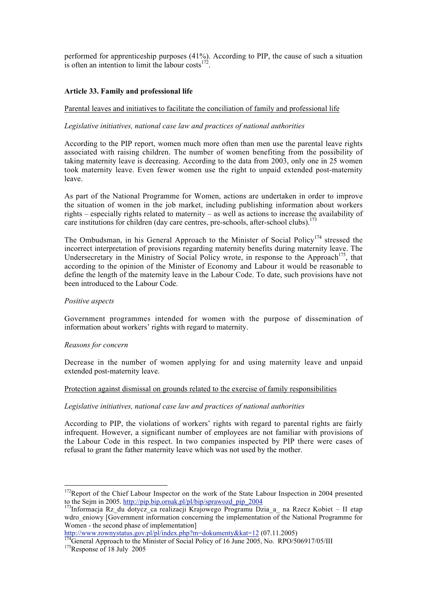performed for apprenticeship purposes (41%). According to PIP, the cause of such a situation is often an intention to limit the labour  $costs<sup>172</sup>$ .

## Article 33. Family and professional life

## Parental leaves and initiatives to facilitate the conciliation of family and professional life

## *Legislative initiatives, national case law and practices of national authorities*

According to the PIP report, women much more often than men use the parental leave rights associated with raising children. The number of women benefiting from the possibility of taking maternity leave is decreasing. According to the data from 2003, only one in 25 women took maternity leave. Even fewer women use the right to unpaid extended post-maternity leave.

As part of the National Programme for Women, actions are undertaken in order to improve the situation of women in the job market, including publishing information about workers rights – especially rights related to maternity – as well as actions to increase the availability of care institutions for children (day care centres, pre-schools, after-school clubs).<sup>173</sup>

The Ombudsman, in his General Approach to the Minister of Social Policy<sup>174</sup> stressed the incorrect interpretation of provisions regarding maternity benefits during maternity leave. The Undersecretary in the Ministry of Social Policy wrote, in response to the Approach<sup>175</sup>, that according to the opinion of the Minister of Economy and Labour it would be reasonable to define the length of the maternity leave in the Labour Code. To date, such provisions have not been introduced to the Labour Code.

#### *Positive aspects*

Government programmes intended for women with the purpose of dissemination of information about workers' rights with regard to maternity.

#### *Reasons for concern*

Decrease in the number of women applying for and using maternity leave and unpaid extended post-maternity leave.

## Protection against dismissal on grounds related to the exercise of family responsibilities

#### *Legislative initiatives, national case law and practices of national authorities*

According to PIP, the violations of workers' rights with regard to parental rights are fairly infrequent. However, a significant number of employees are not familiar with provisions of the Labour Code in this respect. In two companies inspected by PIP there were cases of refusal to grant the father maternity leave which was not used by the mother.

http://www.rownystatus.gov.pl/pl/index.php?m=dokumenty&kat=12 (07.11.2005)

<sup>&</sup>lt;sup>172</sup>Report of the Chief Labour Inspector on the work of the State Labour Inspection in 2004 presented to the Sejm in 2005. http://pip.bip.ornak.pl/pl/bip/sprawozd\_pip\_2004

<sup>&</sup>lt;sup>173</sup>Informacja Rz du dotycz ca realizacji Krajowego Programu Dzia\_a\_ na Rzecz Kobiet – II etap wdro eniowy [Government information concerning the implementation of the National Programme for Women - the second phase of implementation]

<sup>&</sup>lt;sup>4</sup>General Approach to the Minister of Social Policy of 16 June 2005, No. RPO/506917/05/III  $175$ Response of 18 July 2005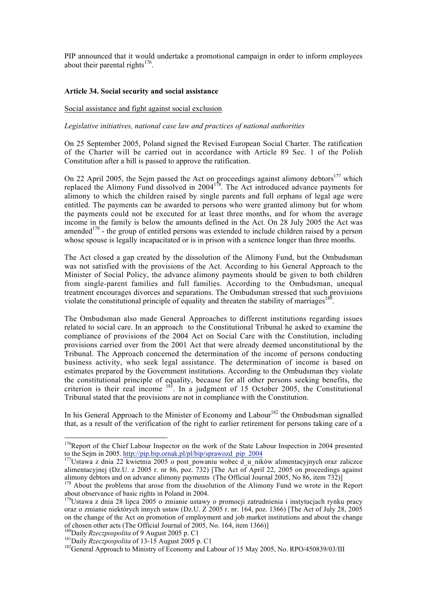PIP announced that it would undertake a promotional campaign in order to inform employees about their parental rights $^{176}$ .

## Article 34. Social security and social assistance

#### Social assistance and fight against social exclusion

## *Legislative initiatives, national case law and practices of national authorities*

On 25 September 2005, Poland signed the Revised European Social Charter. The ratification of the Charter will be carried out in accordance with Article 89 Sec. 1 of the Polish Constitution after a bill is passed to approve the ratification.

On 22 April 2005, the Sejm passed the Act on proceedings against alimony debtors<sup>177</sup> which replaced the Alimony Fund dissolved in  $2004^{178}$ . The Act introduced advance payments for alimony to which the children raised by single parents and full orphans of legal age were entitled. The payments can be awarded to persons who were granted alimony but for whom the payments could not be executed for at least three months, and for whom the average income in the family is below the amounts defined in the Act. On 28 July 2005 the Act was amended $179$  - the group of entitled persons was extended to include children raised by a person whose spouse is legally incapacitated or is in prison with a sentence longer than three months.

The Act closed a gap created by the dissolution of the Alimony Fund, but the Ombudsman was not satisfied with the provisions of the Act. According to his General Approach to the Minister of Social Policy, the advance alimony payments should be given to both children from single-parent families and full families. According to the Ombudsman, unequal treatment encourages divorces and separations. The Ombudsman stressed that such provisions violate the constitutional principle of equality and threaten the stability of marriages<sup>180</sup> .

The Ombudsman also made General Approaches to different institutions regarding issues related to social care. In an approach to the Constitutional Tribunal he asked to examine the compliance of provisions of the 2004 Act on Social Care with the Constitution, including provisions carried over from the 2001 Act that were already deemed unconstitutional by the Tribunal. The Approach concerned the determination of the income of persons conducting business activity, who seek legal assistance. The determination of income is based on estimates prepared by the Government institutions. According to the Ombudsman they violate the constitutional principle of equality, because for all other persons seeking benefits, the criterion is their real income  $181$ . In a judgment of 15 October 2005, the Constitutional Tribunal stated that the provisions are not in compliance with the Constitution.

In his General Approach to the Minister of Economy and Labour<sup>182</sup> the Ombudsman signalled that, as a result of the verification of the right to earlier retirement for persons taking care of a

<sup>180</sup>Daily *Rzeczpospolita* of 9 August 2005 p. C1<br><sup>181</sup>Daily *Presencepolita* of 13, 15 August 2005 r

<sup>&</sup>lt;sup>176</sup>Report of the Chief Labour Inspector on the work of the State Labour Inspection in 2004 presented to the Sejm in 2005. http://pip.bip.ornak.pl/pl/bip/sprawozd\_pip\_2004

Ustawa z dnia 22 kwietnia 2005 o post\_powaniu wobec d\_u\_ników alimentacyjnych oraz zaliczce alimentacyjnej (Dz.U. z 2005 r. nr 86, poz. 732) [The Act of April 22, 2005 on proceedings against alimony debtors and on advance alimony payments (The Official Journal 2005, No 86, item 732)]

 $8$  About the problems that arose from the dissolution of the Alimony Fund we wrote in the Report about observance of basic rights in Poland in 2004.<br><sup>179</sup>Ustawa z dnia 28 lipca 2005 o zmianie ustawy o promocji zatrudnienia i instytucjach rynku pracy

oraz o zmianie niektórych innych ustaw (Dz.U. Z 2005 r. nr. 164, poz. 1366) [The Act of July 28, 2005 on the change of the Act on promotion of employment and job market institutions and about the change of chosen other acts (The Official Journal of 2005, No. 164, item 1366)]<br> $\frac{180 \text{Fe}}{180 \text{Fe}}$ 

 $^{181}$ Daily *Rzeczpospolita* of 13-15 August 2005 p. C1

<sup>&</sup>lt;sup>182</sup>General Approach to Ministry of Economy and Labour of 15 May 2005, No. RPO/450839/03/III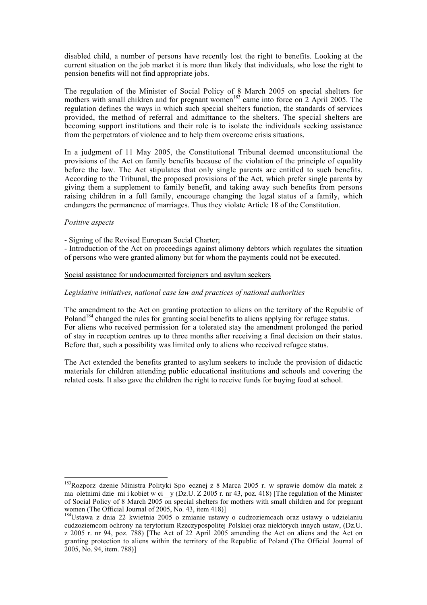disabled child, a number of persons have recently lost the right to benefits. Looking at the current situation on the job market it is more than likely that individuals, who lose the right to pension benefits will not find appropriate jobs.

The regulation of the Minister of Social Policy of 8 March 2005 on special shelters for mothers with small children and for pregnant women<sup>183</sup> came into force on 2 April 2005. The regulation defines the ways in which such special shelters function, the standards of services provided, the method of referral and admittance to the shelters. The special shelters are becoming support institutions and their role is to isolate the individuals seeking assistance from the perpetrators of violence and to help them overcome crisis situations.

In a judgment of 11 May 2005, the Constitutional Tribunal deemed unconstitutional the provisions of the Act on family benefits because of the violation of the principle of equality before the law. The Act stipulates that only single parents are entitled to such benefits. According to the Tribunal, the proposed provisions of the Act, which prefer single parents by giving them a supplement to family benefit, and taking away such benefits from persons raising children in a full family, encourage changing the legal status of a family, which endangers the permanence of marriages. Thus they violate Article 18 of the Constitution.

## *Positive aspects*

- Signing of the Revised European Social Charter;

- Introduction of the Act on proceedings against alimony debtors which regulates the situation of persons who were granted alimony but for whom the payments could not be executed.

#### Social assistance for undocumented foreigners and asylum seekers

## *Legislative initiatives, national case law and practices of national authorities*

The amendment to the Act on granting protection to aliens on the territory of the Republic of Poland<sup>184</sup> changed the rules for granting social benefits to aliens applying for refugee status. For aliens who received permission for a tolerated stay the amendment prolonged the period of stay in reception centres up to three months after receiving a final decision on their status. Before that, such a possibility was limited only to aliens who received refugee status.

The Act extended the benefits granted to asylum seekers to include the provision of didactic materials for children attending public educational institutions and schools and covering the related costs. It also gave the children the right to receive funds for buying food at school.

<sup>&</sup>lt;sup>183</sup>Rozporz\_dzenie Ministra Polityki Spo\_ecznej z 8 Marca 2005 r. w sprawie domów dla matek z ma oletnimi dzie mi i kobiet w ci y (Dz.U. Z 2005 r. nr 43, poz. 418) [The regulation of the Minister of Social Policy of 8 March 2005 on special shelters for mothers with small children and for pregnant women (The Official Journal of 2005, No. 43, item 418)]

<sup>&</sup>lt;sup>184</sup>Ustawa z dnia 22 kwietnia 2005 o zmianie ustawy o cudzoziemcach oraz ustawy o udzielaniu cudzoziemcom ochrony na terytorium Rzeczypospolitej Polskiej oraz niektórych innych ustaw, (Dz.U. z 2005 r. nr 94, poz. 788) [The Act of 22 April 2005 amending the Act on aliens and the Act on granting protection to aliens within the territory of the Republic of Poland (The Official Journal of 2005, No. 94, item. 788)]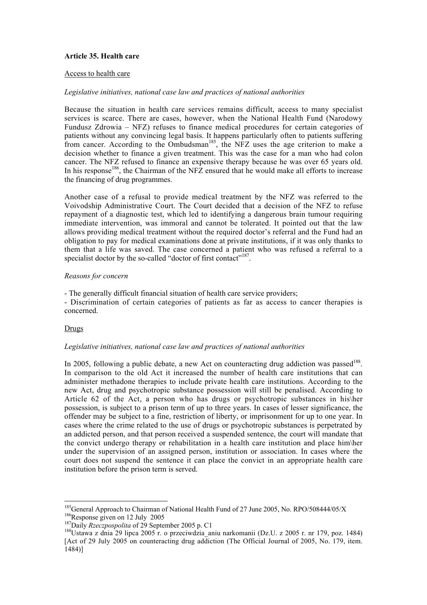## Article 35. Health care

## Access to health care

## *Legislative initiatives, national case law and practices of national authorities*

Because the situation in health care services remains difficult, access to many specialist services is scarce. There are cases, however, when the National Health Fund (Narodowy Fundusz Zdrowia – NFZ) refuses to finance medical procedures for certain categories of patients without any convincing legal basis. It happens particularly often to patients suffering from cancer. According to the Ombudsman<sup>185</sup>, the NFZ uses the age criterion to make a decision whether to finance a given treatment. This was the case for a man who had colon cancer. The NFZ refused to finance an expensive therapy because he was over 65 years old. In his response<sup>186</sup>, the Chairman of the NFZ ensured that he would make all efforts to increase the financing of drug programmes.

Another case of a refusal to provide medical treatment by the NFZ was referred to the Voivodship Administrative Court. The Court decided that a decision of the NFZ to refuse repayment of a diagnostic test, which led to identifying a dangerous brain tumour requiring immediate intervention, was immoral and cannot be tolerated. It pointed out that the law allows providing medical treatment without the required doctor's referral and the Fund had an obligation to pay for medical examinations done at private institutions, if it was only thanks to them that a life was saved. The case concerned a patient who was refused a referral to a specialist doctor by the so-called "doctor of first contact"<sup>187</sup>.

## *Reasons for concern*

- The generally difficult financial situation of health care service providers;

- Discrimination of certain categories of patients as far as access to cancer therapies is concerned.

## Drugs

#### *Legislative initiatives, national case law and practices of national authorities*

In 2005, following a public debate, a new Act on counteracting drug addiction was passed<sup>188</sup>. In comparison to the old Act it increased the number of health care institutions that can administer methadone therapies to include private health care institutions. According to the new Act, drug and psychotropic substance possession will still be penalised. According to Article 62 of the Act, a person who has drugs or psychotropic substances in his\her possession, is subject to a prison term of up to three years. In cases of lesser significance, the offender may be subject to a fine, restriction of liberty, or imprisonment for up to one year. In cases where the crime related to the use of drugs or psychotropic substances is perpetrated by an addicted person, and that person received a suspended sentence, the court will mandate that the convict undergo therapy or rehabilitation in a health care institution and place him\her under the supervision of an assigned person, institution or association. In cases where the court does not suspend the sentence it can place the convict in an appropriate health care institution before the prison term is served.

<sup>185</sup> <sup>185</sup> General Approach to Chairman of National Health Fund of 27 June 2005, No. RPO/508444/05/X  $^{186}$  Begrones given an 12 July 2005  $186$ Response given on 12 July 2005

<sup>&</sup>lt;sup>187</sup>Daily *Rzeczpospolita* of 29 September 2005 p. C1

Ustawa z dnia 29 lipca 2005 r. o przeciwdzia\_aniu narkomanii (Dz.U. z 2005 r. nr 179, poz. 1484) [Act of 29 July 2005 on counteracting drug addiction (The Official Journal of 2005, No. 179, item. 1484)]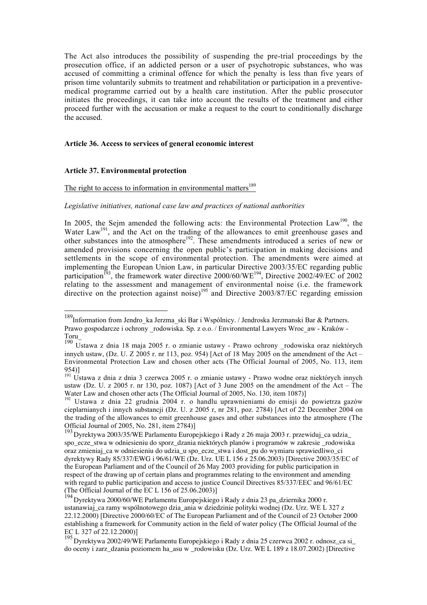The Act also introduces the possibility of suspending the pre-trial proceedings by the prosecution office, if an addicted person or a user of psychotropic substances, who was accused of committing a criminal offence for which the penalty is less than five years of prison time voluntarily submits to treatment and rehabilitation or participation in a preventivemedical programme carried out by a health care institution. After the public prosecutor initiates the proceedings, it can take into account the results of the treatment and either proceed further with the accusation or make a request to the court to conditionally discharge the accused.

## Article 36. Access to services of general economic interest

## Article 37. Environmental protection

# The right to access to information in environmental matters<sup>189</sup>

## *Legislative initiatives, national case law and practices of national authorities*

In 2005, the Sejm amended the following acts: the Environmental Protection  $Law<sup>190</sup>$ , the Water Law<sup>191</sup>, and the Act on the trading of the allowances to emit greenhouse gases and other substances into the atmosphere<sup>192</sup>. These amendments introduced a series of new or amended provisions concerning the open public's participation in making decisions and settlements in the scope of environmental protection. The amendments were aimed at implementing the European Union Law, in particular Directive 2003/35/EC regarding public participation<sup>193</sup>, the framework water directive 2000/60/WE<sup>194</sup>, Directive 2002/49/EC of 2002 relating to the assessment and management of environmental noise (i.e. the framework directive on the protection against noise)<sup>195</sup> and Directive 2003/87/EC regarding emission

 <sup>189</sup> Information from Jendro\_ka Jerzma\_ski Bar i Wspólnicy. / Jendroska Jerzmanski Bar & Partners. Prawo gospodarcze i ochrony \_rodowiska. Sp. z o.o. / Environmental Lawyers Wroc\_aw - Kraków - Toru\_

 $190$  Ustawa z dnia 18 maja 2005 r. o zmianie ustawy - Prawo ochrony \_rodowiska oraz niektórych innych ustaw, (Dz. U. Z 2005 r. nr 113, poz. 954) [Act of 18 May 2005 on the amendment of the Act – Environmental Protection Law and chosen other acts (The Official Journal of 2005, No. 113, item 954)]

<sup>&</sup>lt;sup>191</sup> Ustawa z dnia z dnia 3 czerwca 2005 r. o zmianie ustawy - Prawo wodne oraz niektórych innych ustaw (Dz. U. z 2005 r. nr 130, poz. 1087) [Act of 3 June 2005 on the amendment of the Act – The Water Law and chosen other acts (The Official Journal of 2005, No. 130, item 1087)]

<sup>192</sup> Ustawa z dnia 22 grudnia 2004 r. o handlu uprawnieniami do emisji do powietrza gazów cieplarnianych i innych substancji (Dz. U. z 2005 r, nr 281, poz. 2784) [Act of 22 December 2004 on the trading of the allowances to emit greenhouse gases and other substances into the atmosphere (The Official Journal of 2005, No. 281, item 2784)]

<sup>193</sup> Dyrektywa 2003/35/WE Parlamentu Europejskiego i Rady z 26 maja 2003 r. przewiduj\_ca udzia\_ spo\_ecze\_stwa w odniesieniu do sporz\_dzania niektórych planów i programów w zakresie \_rodowiska oraz zmieniaj\_ca w odniesieniu do udzia\_u spo\_ecze\_stwa i dost\_pu do wymiaru sprawiedliwo\_ci dyrektywy Rady 85/337/EWG i 96/61/WE (Dz. Urz. UE L 156 z 25.06.2003) [Directive 2003/35/EC of the European Parliament and of the Council of 26 May 2003 providing for public participation in respect of the drawing up of certain plans and programmes relating to the environment and amending with regard to public participation and access to justice Council Directives 85/337/EEC and 96/61/EC (The Official Journal of the EC L 156 of 25.06.2003)] 194 Dyrektywa 2000/60/WE Parlamentu Europejskiego i Rady z dnia 23 pa\_dziernika 2000 r.

ustanawiaj ca ramy wspólnotowego dzia ania w dziedzinie polityki wodnej (Dz. Urz. WE L 327 z 22.12.2000) [Directive 2000/60/EC of The European Parliament and of the Council of 23 October 2000 establishing a framework for Community action in the field of water policy (The Official Journal of the EC L 327 of 22.12.2000)]

<sup>195</sup> Dyrektywa 2002/49/WE Parlamentu Europejskiego i Rady z dnia 25 czerwca 2002 r. odnosz\_ca si\_ do oceny i zarz\_dzania poziomem ha\_asu w \_rodowisku (Dz. Urz. WE L 189 z 18.07.2002) [Directive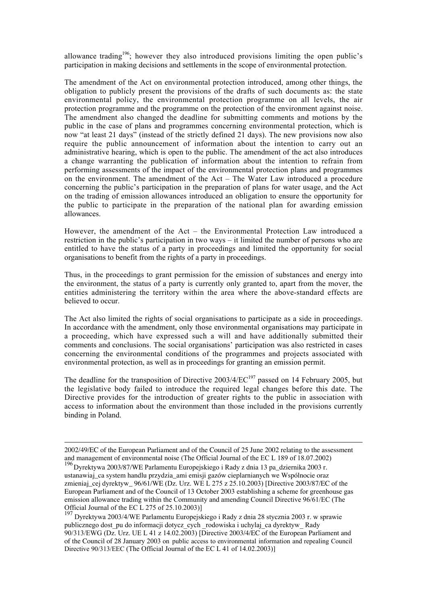allowance trading  $196$ ; however they also introduced provisions limiting the open public's participation in making decisions and settlements in the scope of environmental protection.

The amendment of the Act on environmental protection introduced, among other things, the obligation to publicly present the provisions of the drafts of such documents as: the state environmental policy, the environmental protection programme on all levels, the air protection programme and the programme on the protection of the environment against noise. The amendment also changed the deadline for submitting comments and motions by the public in the case of plans and programmes concerning environmental protection, which is now "at least 21 days" (instead of the strictly defined 21 days). The new provisions now also require the public announcement of information about the intention to carry out an administrative hearing, which is open to the public. The amendment of the act also introduces a change warranting the publication of information about the intention to refrain from performing assessments of the impact of the environmental protection plans and programmes on the environment. The amendment of the Act – The Water Law introduced a procedure concerning the public's participation in the preparation of plans for water usage, and the Act on the trading of emission allowances introduced an obligation to ensure the opportunity for the public to participate in the preparation of the national plan for awarding emission allowances.

However, the amendment of the Act – the Environmental Protection Law introduced a restriction in the public's participation in two ways – it limited the number of persons who are entitled to have the status of a party in proceedings and limited the opportunity for social organisations to benefit from the rights of a party in proceedings.

Thus, in the proceedings to grant permission for the emission of substances and energy into the environment, the status of a party is currently only granted to, apart from the mover, the entities administering the territory within the area where the above-standard effects are believed to occur.

The Act also limited the rights of social organisations to participate as a side in proceedings. In accordance with the amendment, only those environmental organisations may participate in a proceeding, which have expressed such a will and have additionally submitted their comments and conclusions. The social organisations' participation was also restricted in cases concerning the environmental conditions of the programmes and projects associated with environmental protection, as well as in proceedings for granting an emission permit.

The deadline for the transposition of Directive 2003/4/EC<sup>197</sup> passed on 14 February 2005, but the legislative body failed to introduce the required legal changes before this date. The Directive provides for the introduction of greater rights to the public in association with access to information about the environment than those included in the provisions currently binding in Poland.

 $\overline{a}$ 

<sup>2002/49/</sup>EC of the European Parliament and of the Council of 25 June 2002 relating to the assessment and management of environmental noise (The Official Journal of the EC L 189 of 18.07.2002)

<sup>&</sup>lt;sup>196</sup> Dyrektywa 2003/87/WE Parlamentu Europejskiego i Rady z dnia 13 pa\_dziernika 2003 r. ustanawiaj\_ca system handlu przydzia\_ami emisji gazów cieplarnianych we Wspólnocie oraz zmieniaj\_cej dyrektyw\_96/61/WE (Dz. Urz. WE L 275 z 25.10.2003) [Directive 2003/87/EC of the European Parliament and of the Council of 13 October 2003 establishing a scheme for greenhouse gas emission allowance trading within the Community and amending Council Directive 96/61/EC (The Official Journal of the EC L 275 of 25.10.2003)]<br><sup>197</sup> Dyrektywa 2003/4/WE Parlamentu Europejskiego i Rady z dnia 28 stycznia 2003 r. w sprawie

publicznego dost\_pu do informacji dotycz\_cych \_rodowiska i uchylaj\_ca dyrektyw\_ Rady  $90/313$ /EWG (Dz. Urz. UE L 41 z 14.02.2003) [Directive 2003/4/EC of the European Parliament and of the Council of 28 January 2003 on public access to environmental information and repealing Council Directive 90/313/EEC (The Official Journal of the EC L 41 of 14.02.2003)]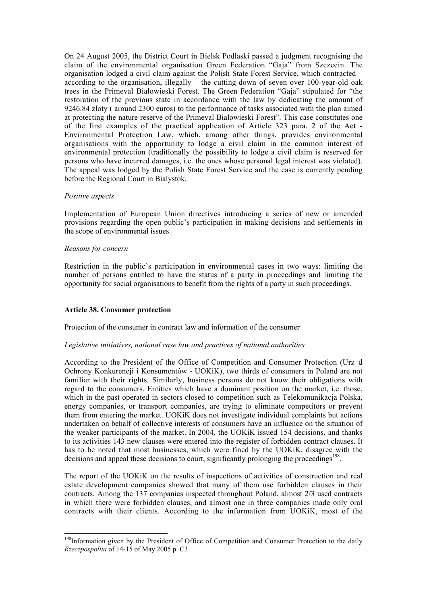On 24 August 2005, the District Court in Bielsk Podlaski passed a judgment recognising the claim of the environmental organisation Green Federation "Gaja" from Szczecin. The organisation lodged a civil claim against the Polish State Forest Service, which contracted – according to the organisation, illegally – the cutting-down of seven over 100-year-old oak trees in the Primeval Bialowieski Forest. The Green Federation "Gaja" stipulated for "the restoration of the previous state in accordance with the law by dedicating the amount of 9246.84 zloty ( around 2300 euros) to the performance of tasks associated with the plan aimed at protecting the nature reserve of the Primeval Bialowieski Forest". This case constitutes one of the first examples of the practical application of Article 323 para. 2 of the Act - Environmental Protection Law, which, among other things, provides environmental organisations with the opportunity to lodge a civil claim in the common interest of environmental protection (traditionally the possibility to lodge a civil claim is reserved for persons who have incurred damages, i.e. the ones whose personal legal interest was violated). The appeal was lodged by the Polish State Forest Service and the case is currently pending before the Regional Court in Bialystok.

#### *Positive aspects*

Implementation of European Union directives introducing a series of new or amended provisions regarding the open public's participation in making decisions and settlements in the scope of environmental issues.

## *Reasons for concern*

Restriction in the public's participation in environmental cases in two ways: limiting the number of persons entitled to have the status of a party in proceedings and limiting the opportunity for social organisations to benefit from the rights of a party in such proceedings.

#### Article 38. Consumer protection

## Protection of the consumer in contract law and information of the consumer

#### *Legislative initiatives, national case law and practices of national authorities*

According to the President of the Office of Competition and Consumer Protection (Urz\_d Ochrony Konkurencji i Konsumentów - UOKiK), two thirds of consumers in Poland are not familiar with their rights. Similarly, business persons do not know their obligations with regard to the consumers. Entities which have a dominant position on the market, i.e. those, which in the past operated in sectors closed to competition such as Telekomunikacia Polska, energy companies, or transport companies, are trying to eliminate competitors or prevent them from entering the market. UOKiK does not investigate individual complaints but actions undertaken on behalf of collective interests of consumers have an influence on the situation of the weaker participants of the market. In 2004, the UOKiK issued 154 decisions, and thanks to its activities 143 new clauses were entered into the register of forbidden contract clauses. It has to be noted that most businesses, which were fined by the UOKiK, disagree with the decisions and appeal these decisions to court, significantly prolonging the proceedings<sup>198</sup>.

The report of the UOKiK on the results of inspections of activities of construction and real estate development companies showed that many of them use forbidden clauses in their contracts. Among the 137 companies inspected throughout Poland, almost 2/3 used contracts in which there were forbidden clauses, and almost one in three companies made only oral contracts with their clients. According to the information from UOKiK, most of the

<sup>&</sup>lt;sup>198</sup>Information given by the President of Office of Competition and Consumer Protection to the daily *Rzeczpospolita* of 14-15 of May 2005 p. C3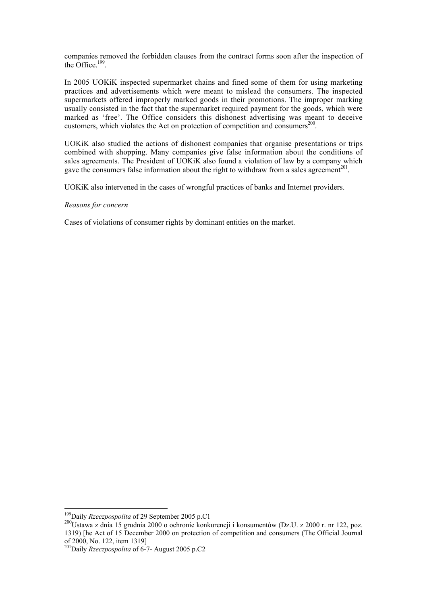companies removed the forbidden clauses from the contract forms soon after the inspection of the  $\widehat{O}$ ffice.<sup>199</sup>.

In 2005 UOKiK inspected supermarket chains and fined some of them for using marketing practices and advertisements which were meant to mislead the consumers. The inspected supermarkets offered improperly marked goods in their promotions. The improper marking usually consisted in the fact that the supermarket required payment for the goods, which were marked as 'free'. The Office considers this dishonest advertising was meant to deceive customers, which violates the Act on protection of competition and consumers $200$ .

UOKiK also studied the actions of dishonest companies that organise presentations or trips combined with shopping. Many companies give false information about the conditions of sales agreements. The President of UOKiK also found a violation of law by a company which gave the consumers false information about the right to withdraw from a sales agreement<sup>201</sup>.

UOKiK also intervened in the cases of wrongful practices of banks and Internet providers.

#### *Reasons for concern*

Cases of violations of consumer rights by dominant entities on the market.

<sup>&</sup>lt;sup>199</sup>Daily *Rzeczpospolita* of 29 September 2005 p.C1

<sup>200</sup> Ustawa z dnia 15 grudnia 2000 o ochronie konkurencji i konsumentów (Dz.U. z 2000 r. nr 122, poz. 1319) [he Act of 15 December 2000 on protection of competition and consumers (The Official Journal

of 2000, No. 122, item 1319] 201 Daily *Rzeczpospolita* of 6-7- August 2005 p.C2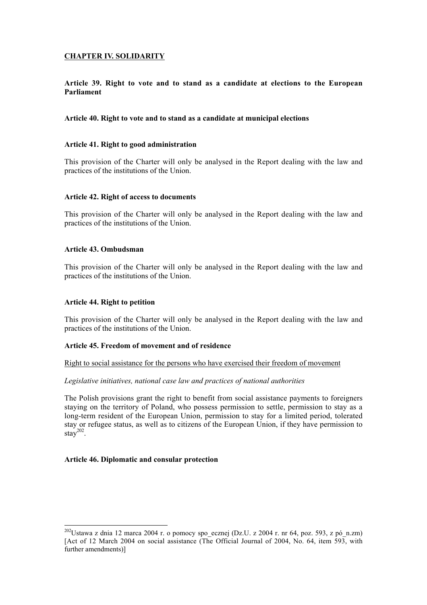# CHAPTER IV. SOLIDARITY

## Article 39. Right to vote and to stand as a candidate at elections to the European Parliament

## Article 40. Right to vote and to stand as a candidate at municipal elections

## Article 41. Right to good administration

This provision of the Charter will only be analysed in the Report dealing with the law and practices of the institutions of the Union.

#### Article 42. Right of access to documents

This provision of the Charter will only be analysed in the Report dealing with the law and practices of the institutions of the Union.

## Article 43. Ombudsman

This provision of the Charter will only be analysed in the Report dealing with the law and practices of the institutions of the Union.

## Article 44. Right to petition

This provision of the Charter will only be analysed in the Report dealing with the law and practices of the institutions of the Union.

#### Article 45. Freedom of movement and of residence

Right to social assistance for the persons who have exercised their freedom of movement

## *Legislative initiatives, national case law and practices of national authorities*

The Polish provisions grant the right to benefit from social assistance payments to foreigners staying on the territory of Poland, who possess permission to settle, permission to stay as a long-term resident of the European Union, permission to stay for a limited period, tolerated stay or refugee status, as well as to citizens of the European Union, if they have permission to stay<sup>202</sup>.

#### Article 46. Diplomatic and consular protection

 <sup>202</sup> Ustawa z dnia 12 marca 2004 r. o pomocy spo\_ecznej (Dz.U. z 2004 r. nr 64, poz. 593, z pó\_n.zm) [Act of 12 March 2004 on social assistance (The Official Journal of 2004, No. 64, item 593, with further amendments)]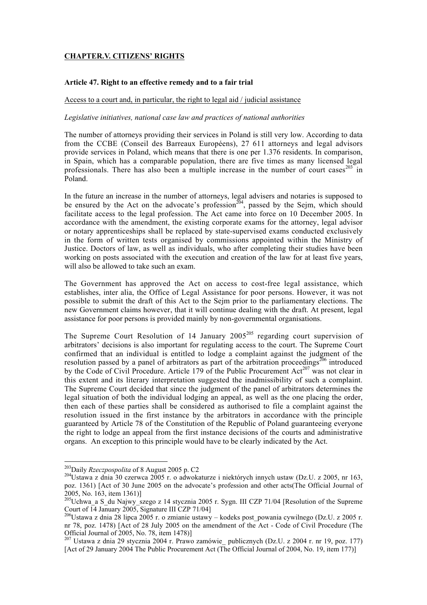# CHAPTER.V. CITIZENS' RIGHTS

## Article 47. Right to an effective remedy and to a fair trial

#### Access to a court and, in particular, the right to legal aid / judicial assistance

#### *Legislative initiatives, national case law and practices of national authorities*

The number of attorneys providing their services in Poland is still very low. According to data from the CCBE (Conseil des Barreaux Européens), 27 611 attorneys and legal advisors provide services in Poland, which means that there is one per 1.376 residents. In comparison, in Spain, which has a comparable population, there are five times as many licensed legal professionals. There has also been a multiple increase in the number of court cases<sup>203</sup> in Poland.

In the future an increase in the number of attorneys, legal advisers and notaries is supposed to be ensured by the Act on the advocate's profession<sup>204</sup>, passed by the Sejm, which should facilitate access to the legal profession. The Act came into force on 10 December 2005. In accordance with the amendment, the existing corporate exams for the attorney, legal advisor or notary apprenticeships shall be replaced by state-supervised exams conducted exclusively in the form of written tests organised by commissions appointed within the Ministry of Justice. Doctors of law, as well as individuals, who after completing their studies have been working on posts associated with the execution and creation of the law for at least five years, will also be allowed to take such an exam.

The Government has approved the Act on access to cost-free legal assistance, which establishes, inter alia, the Office of Legal Assistance for poor persons. However, it was not possible to submit the draft of this Act to the Sejm prior to the parliamentary elections. The new Government claims however, that it will continue dealing with the draft. At present, legal assistance for poor persons is provided mainly by non-governmental organisations.

The Supreme Court Resolution of 14 January  $2005^{205}$  regarding court supervision of arbitrators' decisions is also important for regulating access to the court. The Supreme Court confirmed that an individual is entitled to lodge a complaint against the judgment of the resolution passed by a panel of arbitrators as part of the arbitration proceedings<sup> $206$ </sup> introduced by the Code of Civil Procedure. Article 179 of the Public Procurement  $Act^{207}$  was not clear in this extent and its literary interpretation suggested the inadmissibility of such a complaint. The Supreme Court decided that since the judgment of the panel of arbitrators determines the legal situation of both the individual lodging an appeal, as well as the one placing the order, then each of these parties shall be considered as authorised to file a complaint against the resolution issued in the first instance by the arbitrators in accordance with the principle guaranteed by Article 78 of the Constitution of the Republic of Poland guaranteeing everyone the right to lodge an appeal from the first instance decisions of the courts and administrative organs. An exception to this principle would have to be clearly indicated by the Act.

 <sup>203</sup> <sup>203</sup>Daily *Rzeczpospolita* of 8 August 2005 p. C2<br><sup>204</sup>Llatarya z dnie 20 azaryze 2005 r. o odwolz

Ustawa z dnia 30 czerwca 2005 r. o adwokaturze i niektórych innych ustaw (Dz.U. z 2005, nr 163, poz. 1361) [Act of 30 June 2005 on the advocate's profession and other acts(The Official Journal of 2005, No. 163, item 1361)]<br><sup>205</sup>Uchwa a S\_du Najwy\_szego z 14 stycznia 2005 r. Sygn. III CZP 71/04 [Resolution of the Supreme

Court of  $\overline{14}$  January 2005, Signature III CZP 71/04]

<sup>&</sup>lt;sup>206</sup>Ustawa z dnia 28 lipca 2005 r. o zmianie ustawy – kodeks post powania cywilnego (Dz.U. z 2005 r. nr 78, poz. 1478) [Act of 28 July 2005 on the amendment of the Act - Code of Civil Procedure (The Official Journal of 2005, No. 78, item 1478)]

 $^{207}$  Ustawa z dnia 29 stycznia 2004 r. Prawo zamówie publicznych (Dz.U. z 2004 r. nr 19, poz. 177) [Act of 29 January 2004 The Public Procurement Act (The Official Journal of 2004, No. 19, item 177)]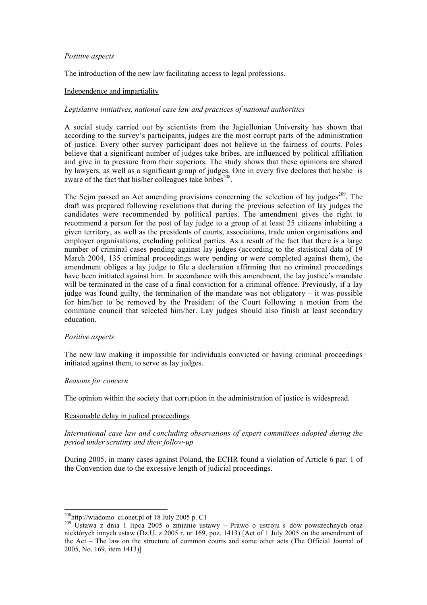## *Positive aspects*

The introduction of the new law facilitating access to legal professions.

## Independence and impartiality

## *Legislative initiatives, national case law and practices of national authorities*

A social study carried out by scientists from the Jagiellonian University has shown that according to the survey's participants, judges are the most corrupt parts of the administration of justice. Every other survey participant does not believe in the fairness of courts. Poles believe that a significant number of judges take bribes, are influenced by political affiliation and give in to pressure from their superiors. The study shows that these opinions are shared by lawyers, as well as a significant group of judges. One in every five declares that he/she is aware of the fact that his/her colleagues take bribes<sup>208</sup>.

The Sejm passed an Act amending provisions concerning the selection of lay judges<sup>209</sup>. The draft was prepared following revelations that during the previous selection of lay judges the candidates were recommended by political parties. The amendment gives the right to recommend a person for the post of lay judge to a group of at least 25 citizens inhabiting a given territory, as well as the presidents of courts, associations, trade union organisations and employer organisations, excluding political parties. As a result of the fact that there is a large number of criminal cases pending against lay judges (according to the statistical data of 19 March 2004, 135 criminal proceedings were pending or were completed against them), the amendment obliges a lay judge to file a declaration affirming that no criminal proceedings have been initiated against him. In accordance with this amendment, the lay justice's mandate will be terminated in the case of a final conviction for a criminal offence. Previously, if a lay judge was found guilty, the termination of the mandate was not obligatory – it was possible for him/her to be removed by the President of the Court following a motion from the commune council that selected him/her. Lay judges should also finish at least secondary education.

## *Positive aspects*

The new law making it impossible for individuals convicted or having criminal proceedings initiated against them, to serve as lay judges.

#### *Reasons for concern*

The opinion within the society that corruption in the administration of justice is widespread.

#### Reasonable delay in judical proceedings

*International case law and concluding observations of expert committees adopted during the period under scrutiny and their follow-up*

During 2005, in many cases against Poland, the ECHR found a violation of Article 6 par. 1 of the Convention due to the excessive length of judicial proceedings.

 $^{208}$ http://wiadomo\_ci.onet.pl of 18 July 2005 p. C1

 $\frac{109}{209}$  Ustawa z dnia 1 lipca 2005 o zmianie ustawy – Prawo o ustroju s\_dów powszechnych oraz niektórych innych ustaw (Dz.U. z 2005 r. nr 169, poz. 1413) [Act of 1 July 2005 on the amendment of the Act – The law on the structure of common courts and some other acts (The Official Journal of 2005, No. 169, item 1413)]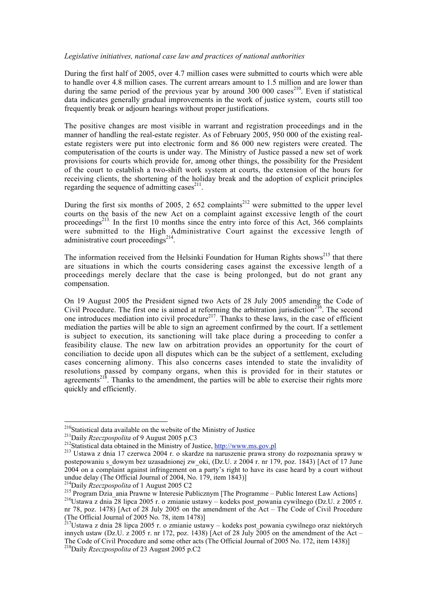## *Legislative initiatives, national case law and practices of national authorities*

During the first half of 2005, over 4.7 million cases were submitted to courts which were able to handle over 4.8 million cases. The current arrears amount to 1.5 million and are lower than during the same period of the previous year by around 300 000 cases<sup>210</sup>. Even if statistical data indicates generally gradual improvements in the work of justice system, courts still too frequently break or adjourn hearings without proper justifications.

The positive changes are most visible in warrant and registration proceedings and in the manner of handling the real-estate register. As of February 2005, 950 000 of the existing realestate registers were put into electronic form and 86 000 new registers were created. The computerisation of the courts is under way. The Ministry of Justice passed a new set of work provisions for courts which provide for, among other things, the possibility for the President of the court to establish a two-shift work system at courts, the extension of the hours for receiving clients, the shortening of the holiday break and the adoption of explicit principles regarding the sequence of admitting cases $^{211}$ .

During the first six months of 2005, 2 652 complaints<sup>212</sup> were submitted to the upper level courts on the basis of the new Act on a complaint against excessive length of the court proceedings<sup>213.</sup> In the first 10 months since the entry into force of this Act, 366 complaints were submitted to the High Administrative Court against the excessive length of administrative court proceedings $2^{14}$ .

The information received from the Helsinki Foundation for Human Rights shows<sup>215</sup> that there are situations in which the courts considering cases against the excessive length of a proceedings merely declare that the case is being prolonged, but do not grant any compensation.

On 19 August 2005 the President signed two Acts of 28 July 2005 amending the Code of Civil Procedure. The first one is aimed at reforming the arbitration jurisdiction<sup>216</sup>. The second one introduces mediation into civil procedure $^{217}$ . Thanks to these laws, in the case of efficient mediation the parties will be able to sign an agreement confirmed by the court. If a settlement is subject to execution, its sanctioning will take place during a proceeding to confer a feasibility clause. The new law on arbitration provides an opportunity for the court of conciliation to decide upon all disputes which can be the subject of a settlement, excluding cases concerning alimony. This also concerns cases intended to state the invalidity of resolutions passed by company organs, when this is provided for in their statutes or agreements<sup>218</sup>. Thanks to the amendment, the parties will be able to exercise their rights more quickly and efficiently.

<sup>4</sup>Daily *Rzeczpospolita* of 1 August 2005 C2

<sup>210</sup> <sup>210</sup>Statistical data available on the website of the Ministry of Justice  $\frac{211 \text{ Doi}}{211 \text{ Doi}}$ 

<sup>&</sup>lt;sup>211</sup>Daily *Rzeczpospolita* of 9 August 2005 p.C3<br><sup>212</sup>Statistical data obtained in the Ministry of Justice, <u>http://www.ms.gov.pl</u>

 $\frac{213}{100}$ Ustawa z dnia 17 czerwca 2004 r. o skardze na naruszenie prawa strony do rozpoznania sprawy w postepowaniu s\_dowym bez uzasadnionej zw\_oki, (Dz.U. z 2004 r. nr 179, poz. 1843) [Act of 17 June 2004 on a complaint against infringement on a party's right to have its case heard by a court without undue delay (The Official Journal of 2004, No. 179, item 1843)]<br><sup>214</sup>Deily *Presspectorality* of 1 Awayst 2005 C2

<sup>&</sup>lt;sup>215</sup> Program Dzia\_ania Prawne w Interesie Publicznym [The Programme – Public Interest Law Actions] Ustawa z dnia 28 lipca 2005 r. o zmianie ustawy – kodeks post\_powania cywilnego (Dz.U. z 2005 r. nr 78, poz. 1478) [Act of 28 July 2005 on the amendment of the Act – The Code of Civil Procedure (The Official Journal of 2005 No. 78, item 1478)]<br><sup>217</sup>Ustawe z dnie 28 linea 2005 r. o zmianie usta

Ustawa z dnia 28 lipca 2005 r. o zmianie ustawy – kodeks post powania cywilnego oraz niektórych innych ustaw (Dz.U. z 2005 r. nr 172, poz. 1438) [Act of 28 July  $\overline{2005}$  on the amendment of the Act – The Code of Civil Procedure and some other acts (The Official Journal of 2005 No. 172, item 1438)] 218 Daily *Rzeczpospolita* of 23 August 2005 p.C2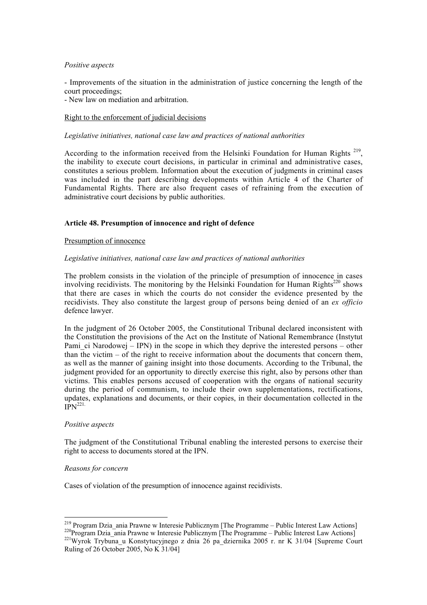## *Positive aspects*

- Improvements of the situation in the administration of justice concerning the length of the court proceedings;

- New law on mediation and arbitration.

## Right to the enforcement of judicial decisions

## *Legislative initiatives, national case law and practices of national authorities*

According to the information received from the Helsinki Foundation for Human Rights  $^{219}$ , the inability to execute court decisions, in particular in criminal and administrative cases, constitutes a serious problem. Information about the execution of judgments in criminal cases was included in the part describing developments within Article 4 of the Charter of Fundamental Rights. There are also frequent cases of refraining from the execution of administrative court decisions by public authorities.

## Article 48. Presumption of innocence and right of defence

#### Presumption of innocence

## *Legislative initiatives, national case law and practices of national authorities*

The problem consists in the violation of the principle of presumption of innocence in cases involving recidivists. The monitoring by the Helsinki Foundation for Human Rights<sup>220</sup> shows that there are cases in which the courts do not consider the evidence presented by the recidivists. They also constitute the largest group of persons being denied of an *ex officio* defence lawyer.

In the judgment of 26 October 2005, the Constitutional Tribunal declared inconsistent with the Constitution the provisions of the Act on the Institute of National Remembrance (Instytut Pami ci Narodowej – IPN) in the scope in which they deprive the interested persons – other than the victim – of the right to receive information about the documents that concern them, as well as the manner of gaining insight into those documents. According to the Tribunal, the judgment provided for an opportunity to directly exercise this right, also by persons other than victims. This enables persons accused of cooperation with the organs of national security during the period of communism, to include their own supplementations, rectifications, updates, explanations and documents, or their copies, in their documentation collected in the  $IPN<sup>221</sup>$ .

#### *Positive aspects*

The judgment of the Constitutional Tribunal enabling the interested persons to exercise their right to access to documents stored at the IPN.

#### *Reasons for concern*

Cases of violation of the presumption of innocence against recidivists.

<sup>219</sup> <sup>219</sup> Program Dzia\_ania Prawne w Interesie Publicznym [The Programme – Public Interest Law Actions]  $_{220\text{Program}}$  Dzia\_ania Brawne w Interesie Publicznym [The Programme – Public Interest Law Actional <sup>220</sup>Program Dzia\_ania Prawne w Interesie Publicznym [The Programme – Public Interest Law Actions] <sup>221</sup>Wyrok Trybuna u Konstytucyjnego z dnia 26 pa\_dziernika 2005 r. nr K 31/04 [Supreme Court Ruling of 26 October 2005, No K 31/04]